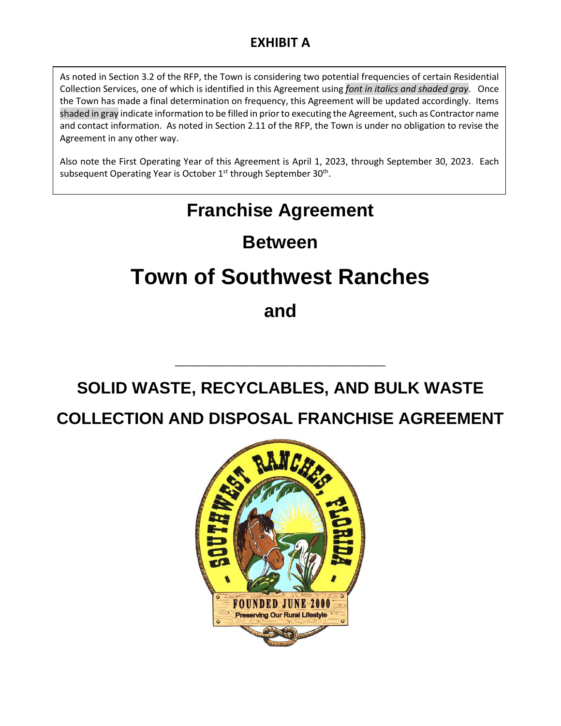# **EXHIBIT A**

As noted in Section 3.2 of the RFP, the Town is considering two potential frequencies of certain Residential Collection Services, one of which is identified in this Agreement using *font in italics and shaded gray*. Once the Town has made a final determination on frequency, this Agreement will be updated accordingly. Items shaded in gray indicate information to be filled in prior to executing the Agreement, such as Contractor name and contact information. As noted in Section 2.11 of the RFP, the Town is under no obligation to revise the Agreement in any other way.

Also note the First Operating Year of this Agreement is April 1, 2023, through September 30, 2023. Each subsequent Operating Year is October 1<sup>st</sup> through September 30<sup>th</sup>.

# **Franchise Agreement**

# **Between**

# **Town of Southwest Ranches**

**and**

# **SOLID WASTE, RECYCLABLES, AND BULK WASTE**

\_\_\_\_\_\_\_\_\_\_\_\_\_\_\_\_\_\_\_\_\_\_\_\_\_\_\_\_\_\_\_\_\_\_\_\_\_\_\_\_\_\_

# **COLLECTION AND DISPOSAL FRANCHISE AGREEMENT**

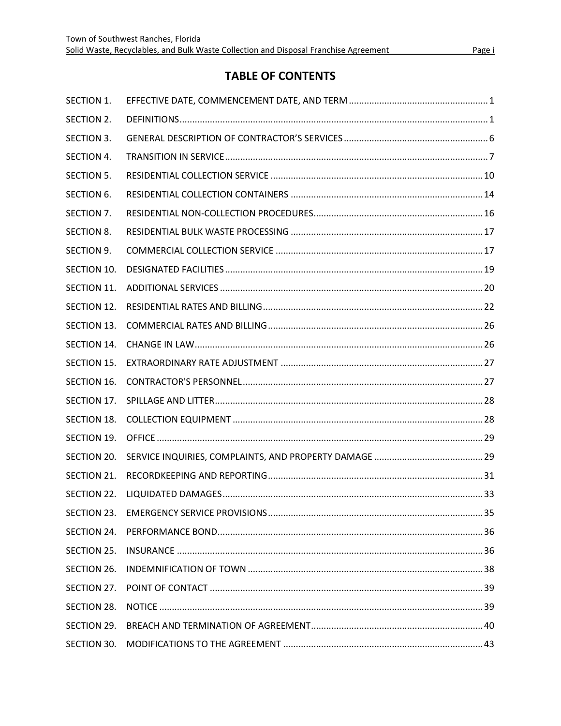# **TABLE OF CONTENTS**

| SECTION 1.         |  |
|--------------------|--|
| SECTION 2.         |  |
| SECTION 3.         |  |
| SECTION 4.         |  |
| SECTION 5.         |  |
| SECTION 6.         |  |
| SECTION 7.         |  |
| SECTION 8.         |  |
| SECTION 9.         |  |
| SECTION 10.        |  |
| SECTION 11.        |  |
| SECTION 12.        |  |
| <b>SECTION 13.</b> |  |
| SECTION 14.        |  |
| SECTION 15.        |  |
| SECTION 16.        |  |
| SECTION 17.        |  |
| SECTION 18.        |  |
| SECTION 19.        |  |
| SECTION 20.        |  |
| SECTION 21.        |  |
| SECTION 22.        |  |
| SECTION 23.        |  |
| SECTION 24.        |  |
| SECTION 25.        |  |
| SECTION 26.        |  |
| SECTION 27.        |  |
| SECTION 28.        |  |
| SECTION 29.        |  |
| SECTION 30.        |  |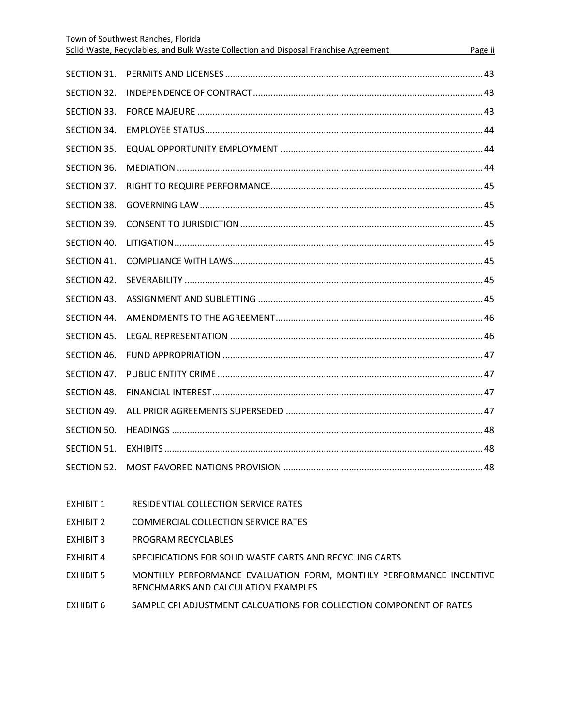|                    | Town of Southwest Ranches, Florida                                                   |         |
|--------------------|--------------------------------------------------------------------------------------|---------|
|                    | Solid Waste, Recyclables, and Bulk Waste Collection and Disposal Franchise Agreement | Page ii |
| SECTION 31.        |                                                                                      |         |
| SECTION 32.        |                                                                                      |         |
| SECTION 33.        |                                                                                      |         |
| SECTION 34.        |                                                                                      |         |
| <b>SECTION 35.</b> |                                                                                      |         |
| SECTION 36.        |                                                                                      |         |
| SECTION 37.        |                                                                                      |         |
| SECTION 38.        |                                                                                      |         |
| SECTION 39.        |                                                                                      |         |
| SECTION 40.        |                                                                                      |         |
| SECTION 41.        |                                                                                      |         |
| SECTION 42.        |                                                                                      |         |
| SECTION 43.        |                                                                                      |         |
| SECTION 44.        |                                                                                      |         |
| SECTION 45.        |                                                                                      |         |
| SECTION 46.        |                                                                                      |         |
| SECTION 47.        |                                                                                      |         |
| SECTION 48.        |                                                                                      |         |
| SECTION 49.        |                                                                                      |         |
| SECTION 50.        |                                                                                      |         |
| SECTION 51.        |                                                                                      |         |
| SECTION 52.        |                                                                                      |         |
|                    |                                                                                      |         |
|                    |                                                                                      |         |

- EXHIBIT 1 RESIDENTIAL COLLECTION SERVICE RATES
- EXHIBIT 2 COMMERCIAL COLLECTION SERVICE RATES
- EXHIBIT 3 PROGRAM RECYCLABLES
- EXHIBIT 4 SPECIFICATIONS FOR SOLID WASTE CARTS AND RECYCLING CARTS
- EXHIBIT 5 MONTHLY PERFORMANCE EVALUATION FORM, MONTHLY PERFORMANCE INCENTIVE BENCHMARKS AND CALCULATION EXAMPLES
- EXHIBIT 6 SAMPLE CPI ADJUSTMENT CALCUATIONS FOR COLLECTION COMPONENT OF RATES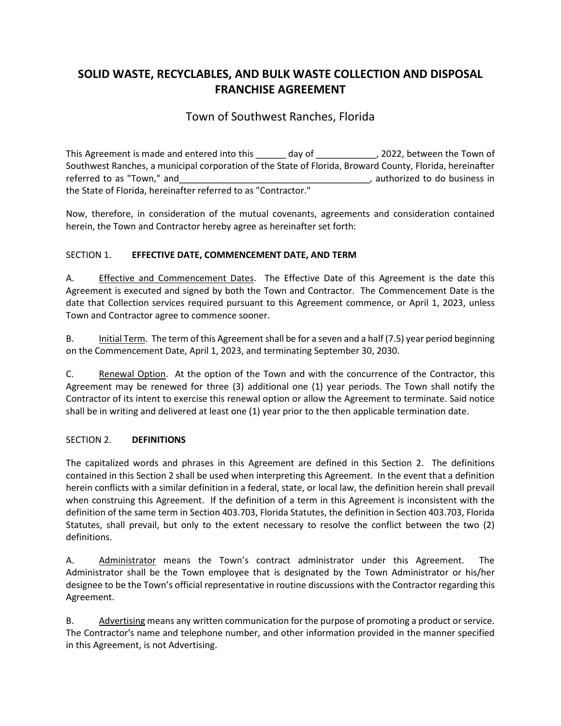# **SOLID WASTE, RECYCLABLES, AND BULK WASTE COLLECTION AND DISPOSAL FRANCHISE AGREEMENT**

# Town of Southwest Ranches, Florida

This Agreement is made and entered into this day of this Agreement is made and entered into this day of the Town of Southwest Ranches, a municipal corporation of the State of Florida, Broward County, Florida, hereinafter referred to as "Town," and **the same of the same of the same of the same of the same of the same of the same of the same of the same of the same of the same of the same of the same of the same of the same of the same of th** the State of Florida, hereinafter referred to as "Contractor."

Now, therefore, in consideration of the mutual covenants, agreements and consideration contained herein, the Town and Contractor hereby agree as hereinafter set forth:

# <span id="page-3-0"></span>SECTION 1. **EFFECTIVE DATE, COMMENCEMENT DATE, AND TERM**

A. Effective and Commencement Dates. The Effective Date of this Agreement is the date this Agreement is executed and signed by both the Town and Contractor. The Commencement Date is the date that Collection services required pursuant to this Agreement commence, or April 1, 2023, unless Town and Contractor agree to commence sooner.

B. Initial Term. The term of this Agreement shall be for a seven and a half (7.5) year period beginning on the Commencement Date, April 1, 2023, and terminating September 30, 2030.

C. Renewal Option. At the option of the Town and with the concurrence of the Contractor, this Agreement may be renewed for three (3) additional one (1) year periods. The Town shall notify the Contractor of its intent to exercise this renewal option or allow the Agreement to terminate. Said notice shall be in writing and delivered at least one (1) year prior to the then applicable termination date.

# <span id="page-3-1"></span>SECTION 2. **DEFINITIONS**

The capitalized words and phrases in this Agreement are defined in this Section 2. The definitions contained in this Section 2 shall be used when interpreting this Agreement. In the event that a definition herein conflicts with a similar definition in a federal, state, or local law, the definition herein shall prevail when construing this Agreement. If the definition of a term in this Agreement is inconsistent with the definition of the same term in Section 403.703, Florida Statutes, the definition in Section 403.703, Florida Statutes, shall prevail, but only to the extent necessary to resolve the conflict between the two (2) definitions.

A. Administrator means the Town's contract administrator under this Agreement. The Administrator shall be the Town employee that is designated by the Town Administrator or his/her designee to be the Town's official representative in routine discussions with the Contractor regarding this Agreement.

B. Advertising means any written communication for the purpose of promoting a product or service. The Contractor's name and telephone number, and other information provided in the manner specified in this Agreement, is not Advertising.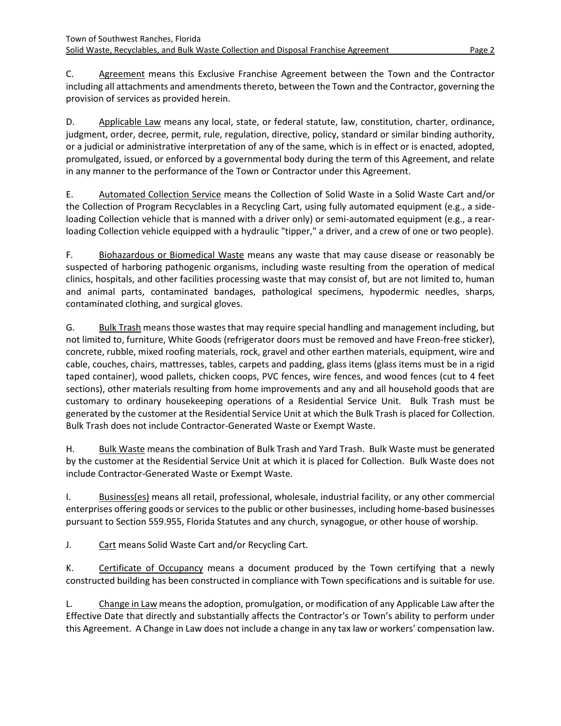C. Agreement means this Exclusive Franchise Agreement between the Town and the Contractor including all attachments and amendments thereto, between the Town and the Contractor, governing the provision of services as provided herein.

D. Applicable Law means any local, state, or federal statute, law, constitution, charter, ordinance, judgment, order, decree, permit, rule, regulation, directive, policy, standard or similar binding authority, or a judicial or administrative interpretation of any of the same, which is in effect or is enacted, adopted, promulgated, issued, or enforced by a governmental body during the term of this Agreement, and relate in any manner to the performance of the Town or Contractor under this Agreement.

E. Automated Collection Service means the Collection of Solid Waste in a Solid Waste Cart and/or the Collection of Program Recyclables in a Recycling Cart, using fully automated equipment (e.g., a sideloading Collection vehicle that is manned with a driver only) or semi-automated equipment (e.g., a rearloading Collection vehicle equipped with a hydraulic "tipper," a driver, and a crew of one or two people).

F. Biohazardous or Biomedical Waste means any waste that may cause disease or reasonably be suspected of harboring pathogenic organisms, including waste resulting from the operation of medical clinics, hospitals, and other facilities processing waste that may consist of, but are not limited to, human and animal parts, contaminated bandages, pathological specimens, hypodermic needles, sharps, contaminated clothing, and surgical gloves.

G. Bulk Trash means those wastes that may require special handling and management including, but not limited to, furniture, White Goods (refrigerator doors must be removed and have Freon-free sticker), concrete, rubble, mixed roofing materials, rock, gravel and other earthen materials, equipment, wire and cable, couches, chairs, mattresses, tables, carpets and padding, glass items (glass items must be in a rigid taped container), wood pallets, chicken coops, PVC fences, wire fences, and wood fences (cut to 4 feet sections), other materials resulting from home improvements and any and all household goods that are customary to ordinary housekeeping operations of a Residential Service Unit. Bulk Trash must be generated by the customer at the Residential Service Unit at which the Bulk Trash is placed for Collection. Bulk Trash does not include Contractor-Generated Waste or Exempt Waste.

H. Bulk Waste means the combination of Bulk Trash and Yard Trash. Bulk Waste must be generated by the customer at the Residential Service Unit at which it is placed for Collection. Bulk Waste does not include Contractor-Generated Waste or Exempt Waste.

I. Business(es) means all retail, professional, wholesale, industrial facility, or any other commercial enterprises offering goods or services to the public or other businesses, including home-based businesses pursuant to Section 559.955, Florida Statutes and any church, synagogue, or other house of worship.

J. Cart means Solid Waste Cart and/or Recycling Cart.

K. Certificate of Occupancy means a document produced by the Town certifying that a newly constructed building has been constructed in compliance with Town specifications and is suitable for use.

L. Change in Law means the adoption, promulgation, or modification of any Applicable Law after the Effective Date that directly and substantially affects the Contractor's or Town's ability to perform under this Agreement. A Change in Law does not include a change in any tax law or workers' compensation law.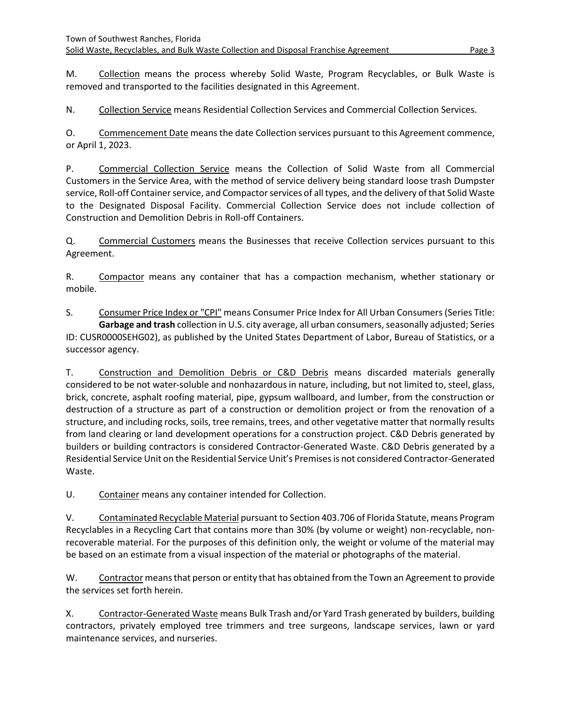M. Collection means the process whereby Solid Waste, Program Recyclables, or Bulk Waste is removed and transported to the facilities designated in this Agreement.

N. Collection Service means Residential Collection Services and Commercial Collection Services.

O. Commencement Date means the date Collection services pursuant to this Agreement commence, or April 1, 2023.

P. Commercial Collection Service means the Collection of Solid Waste from all Commercial Customers in the Service Area, with the method of service delivery being standard loose trash Dumpster service, Roll-off Container service, and Compactor services of all types, and the delivery of that Solid Waste to the Designated Disposal Facility. Commercial Collection Service does not include collection of Construction and Demolition Debris in Roll-off Containers.

Q. Commercial Customers means the Businesses that receive Collection services pursuant to this Agreement.

R. Compactor means any container that has a compaction mechanism, whether stationary or mobile.

S. Consumer Price Index or "CPI" means Consumer Price Index for All Urban Consumers (Series Title: **Garbage and trash** collection in U.S. city average, all urban consumers, seasonally adjusted; Series ID: CUSR0000SEHG02), as published by the United States Department of Labor, Bureau of Statistics, or a successor agency.

T. Construction and Demolition Debris or C&D Debris means discarded materials generally considered to be not water-soluble and nonhazardous in nature, including, but not limited to, steel, glass, brick, concrete, asphalt roofing material, pipe, gypsum wallboard, and lumber, from the construction or destruction of a structure as part of a construction or demolition project or from the renovation of a structure, and including rocks, soils, tree remains, trees, and other vegetative matter that normally results from land clearing or land development operations for a construction project. C&D Debris generated by builders or building contractors is considered Contractor-Generated Waste. C&D Debris generated by a Residential Service Unit on the Residential Service Unit's Premises is not considered Contractor-Generated Waste.

U. Container means any container intended for Collection.

V. Contaminated Recyclable Material pursuant to Section 403.706 of Florida Statute, means Program Recyclables in a Recycling Cart that contains more than 30% (by volume or weight) non-recyclable, nonrecoverable material. For the purposes of this definition only, the weight or volume of the material may be based on an estimate from a visual inspection of the material or photographs of the material.

W. Contractor means that person or entity that has obtained from the Town an Agreement to provide the services set forth herein.

X. Contractor-Generated Waste means Bulk Trash and/or Yard Trash generated by builders, building contractors, privately employed tree trimmers and tree surgeons, landscape services, lawn or yard maintenance services, and nurseries.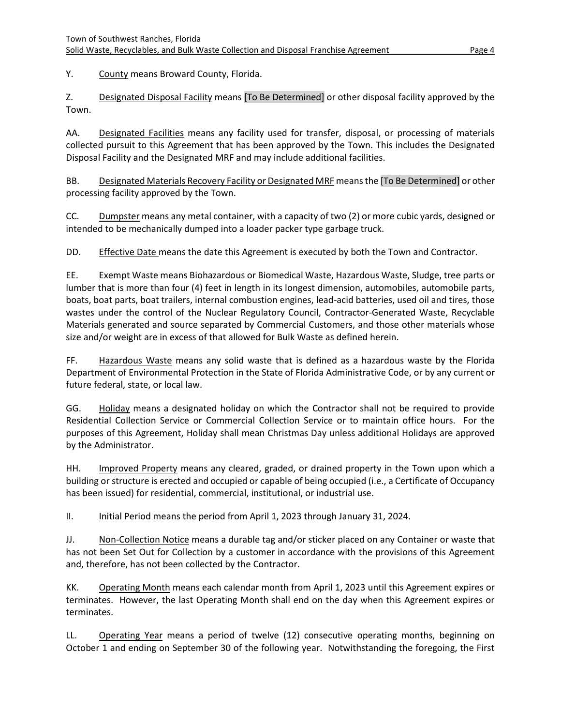Y. County means Broward County, Florida.

Z. Designated Disposal Facility means [To Be Determined] or other disposal facility approved by the Town.

AA. Designated Facilities means any facility used for transfer, disposal, or processing of materials collected pursuit to this Agreement that has been approved by the Town. This includes the Designated Disposal Facility and the Designated MRF and may include additional facilities.

BB. Designated Materials Recovery Facility or Designated MRF means the [To Be Determined] or other processing facility approved by the Town.

CC. Dumpster means any metal container, with a capacity of two (2) or more cubic yards, designed or intended to be mechanically dumped into a loader packer type garbage truck.

DD. Effective Date means the date this Agreement is executed by both the Town and Contractor.

EE. Exempt Waste means Biohazardous or Biomedical Waste, Hazardous Waste, Sludge, tree parts or lumber that is more than four (4) feet in length in its longest dimension, automobiles, automobile parts, boats, boat parts, boat trailers, internal combustion engines, lead-acid batteries, used oil and tires, those wastes under the control of the Nuclear Regulatory Council, Contractor-Generated Waste, Recyclable Materials generated and source separated by Commercial Customers, and those other materials whose size and/or weight are in excess of that allowed for Bulk Waste as defined herein.

FF. Hazardous Waste means any solid waste that is defined as a hazardous waste by the Florida Department of Environmental Protection in the State of Florida Administrative Code, or by any current or future federal, state, or local law.

GG. Holiday means a designated holiday on which the Contractor shall not be required to provide Residential Collection Service or Commercial Collection Service or to maintain office hours. For the purposes of this Agreement, Holiday shall mean Christmas Day unless additional Holidays are approved by the Administrator.

HH. Improved Property means any cleared, graded, or drained property in the Town upon which a building or structure is erected and occupied or capable of being occupied (i.e., a Certificate of Occupancy has been issued) for residential, commercial, institutional, or industrial use.

II. Initial Period means the period from April 1, 2023 through January 31, 2024.

JJ. Non-Collection Notice means a durable tag and/or sticker placed on any Container or waste that has not been Set Out for Collection by a customer in accordance with the provisions of this Agreement and, therefore, has not been collected by the Contractor.

KK. Operating Month means each calendar month from April 1, 2023 until this Agreement expires or terminates. However, the last Operating Month shall end on the day when this Agreement expires or terminates.

LL. Operating Year means a period of twelve (12) consecutive operating months, beginning on October 1 and ending on September 30 of the following year. Notwithstanding the foregoing, the First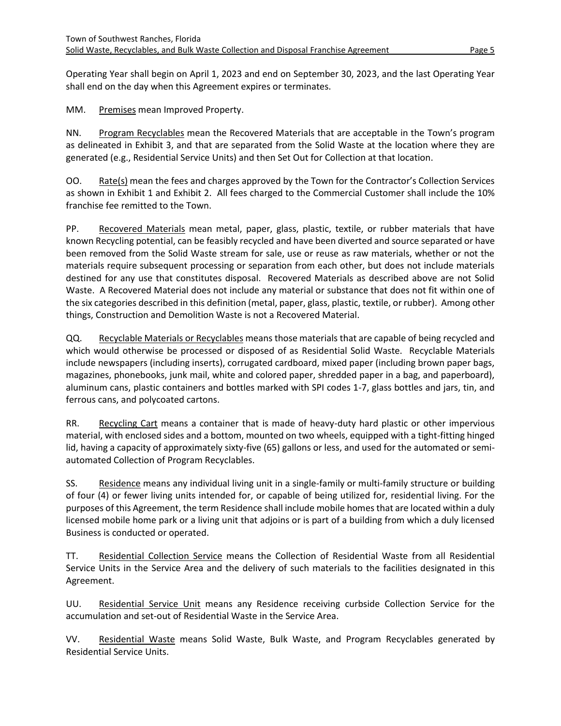Operating Year shall begin on April 1, 2023 and end on September 30, 2023, and the last Operating Year shall end on the day when this Agreement expires or terminates.

MM. Premises mean Improved Property.

NN. Program Recyclables mean the Recovered Materials that are acceptable in the Town's program as delineated in Exhibit 3, and that are separated from the Solid Waste at the location where they are generated (e.g., Residential Service Units) and then Set Out for Collection at that location.

OO. Rate(s) mean the fees and charges approved by the Town for the Contractor's Collection Services as shown in Exhibit 1 and Exhibit 2. All fees charged to the Commercial Customer shall include the 10% franchise fee remitted to the Town.

PP. Recovered Materials mean metal, paper, glass, plastic, textile, or rubber materials that have known Recycling potential, can be feasibly recycled and have been diverted and source separated or have been removed from the Solid Waste stream for sale, use or reuse as raw materials, whether or not the materials require subsequent processing or separation from each other, but does not include materials destined for any use that constitutes disposal. Recovered Materials as described above are not Solid Waste. A Recovered Material does not include any material or substance that does not fit within one of the six categories described in this definition (metal, paper, glass, plastic, textile, or rubber). Among other things, Construction and Demolition Waste is not a Recovered Material.

QQ. Recyclable Materials or Recyclables means those materials that are capable of being recycled and which would otherwise be processed or disposed of as Residential Solid Waste. Recyclable Materials include newspapers (including inserts), corrugated cardboard, mixed paper (including brown paper bags, magazines, phonebooks, junk mail, white and colored paper, shredded paper in a bag, and paperboard), aluminum cans, plastic containers and bottles marked with SPI codes 1-7, glass bottles and jars, tin, and ferrous cans, and polycoated cartons.

RR. Recycling Cart means a container that is made of heavy-duty hard plastic or other impervious material, with enclosed sides and a bottom, mounted on two wheels, equipped with a tight-fitting hinged lid, having a capacity of approximately sixty-five (65) gallons or less, and used for the automated or semiautomated Collection of Program Recyclables.

SS. Residence means any individual living unit in a single-family or multi-family structure or building of four (4) or fewer living units intended for, or capable of being utilized for, residential living. For the purposes of this Agreement, the term Residence shall include mobile homes that are located within a duly licensed mobile home park or a living unit that adjoins or is part of a building from which a duly licensed Business is conducted or operated.

TT. Residential Collection Service means the Collection of Residential Waste from all Residential Service Units in the Service Area and the delivery of such materials to the facilities designated in this Agreement.

UU. Residential Service Unit means any Residence receiving curbside Collection Service for the accumulation and set-out of Residential Waste in the Service Area.

VV. Residential Waste means Solid Waste, Bulk Waste, and Program Recyclables generated by Residential Service Units.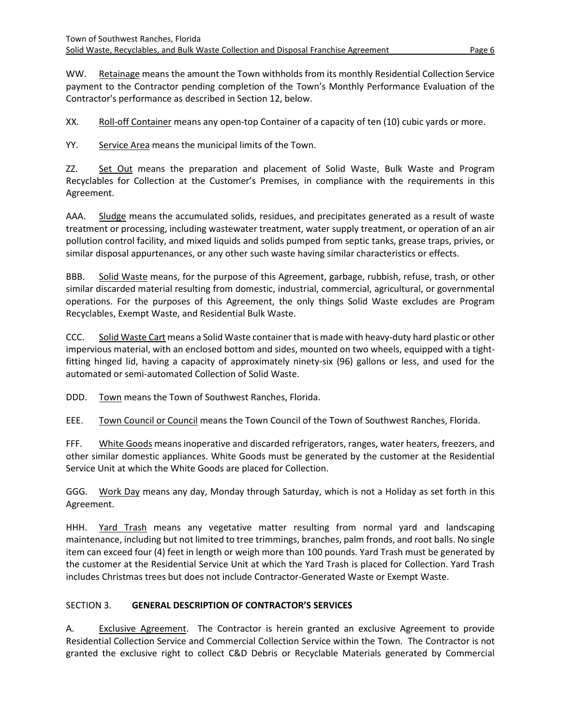WW. Retainage means the amount the Town withholds from its monthly Residential Collection Service payment to the Contractor pending completion of the Town's Monthly Performance Evaluation of the Contractor's performance as described in Section 12, below.

XX. Roll-off Container means any open-top Container of a capacity of ten (10) cubic yards or more.

YY. Service Area means the municipal limits of the Town.

ZZ. Set Out means the preparation and placement of Solid Waste, Bulk Waste and Program Recyclables for Collection at the Customer's Premises, in compliance with the requirements in this Agreement.

AAA. Sludge means the accumulated solids, residues, and precipitates generated as a result of waste treatment or processing, including wastewater treatment, water supply treatment, or operation of an air pollution control facility, and mixed liquids and solids pumped from septic tanks, grease traps, privies, or similar disposal appurtenances, or any other such waste having similar characteristics or effects.

BBB. Solid Waste means, for the purpose of this Agreement, garbage, rubbish, refuse, trash, or other similar discarded material resulting from domestic, industrial, commercial, agricultural, or governmental operations. For the purposes of this Agreement, the only things Solid Waste excludes are Program Recyclables, Exempt Waste, and Residential Bulk Waste.

CCC. Solid Waste Cart means a Solid Waste container that is made with heavy-duty hard plastic or other impervious material, with an enclosed bottom and sides, mounted on two wheels, equipped with a tightfitting hinged lid, having a capacity of approximately ninety-six (96) gallons or less, and used for the automated or semi-automated Collection of Solid Waste.

DDD. Town means the Town of Southwest Ranches, Florida.

EEE. Town Council or Council means the Town Council of the Town of Southwest Ranches, Florida.

FFF. White Goods means inoperative and discarded refrigerators, ranges, water heaters, freezers, and other similar domestic appliances. White Goods must be generated by the customer at the Residential Service Unit at which the White Goods are placed for Collection.

GGG. Work Day means any day, Monday through Saturday, which is not a Holiday as set forth in this Agreement.

HHH. Yard Trash means any vegetative matter resulting from normal yard and landscaping maintenance, including but not limited to tree trimmings, branches, palm fronds, and root balls. No single item can exceed four (4) feet in length or weigh more than 100 pounds. Yard Trash must be generated by the customer at the Residential Service Unit at which the Yard Trash is placed for Collection. Yard Trash includes Christmas trees but does not include Contractor-Generated Waste or Exempt Waste.

# <span id="page-8-0"></span>SECTION 3. **GENERAL DESCRIPTION OF CONTRACTOR'S SERVICES**

A. Exclusive Agreement. The Contractor is herein granted an exclusive Agreement to provide Residential Collection Service and Commercial Collection Service within the Town. The Contractor is not granted the exclusive right to collect C&D Debris or Recyclable Materials generated by Commercial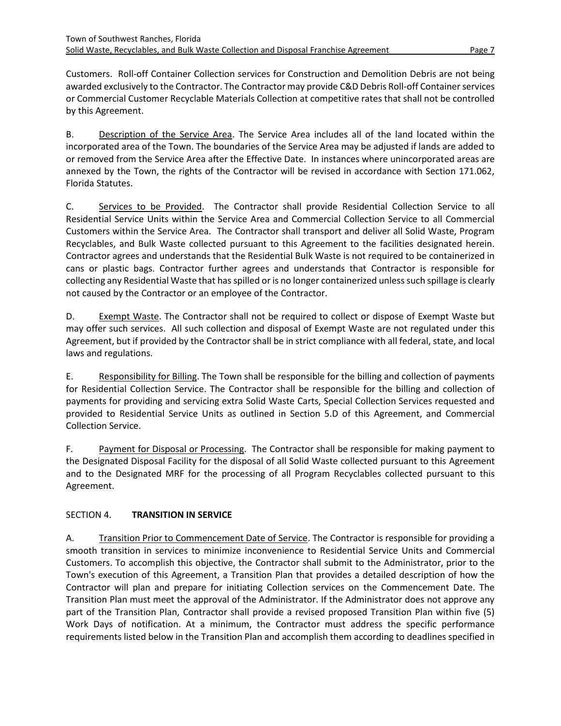Customers. Roll-off Container Collection services for Construction and Demolition Debris are not being awarded exclusively to the Contractor. The Contractor may provide C&D Debris Roll-off Container services or Commercial Customer Recyclable Materials Collection at competitive rates that shall not be controlled by this Agreement.

B. Description of the Service Area. The Service Area includes all of the land located within the incorporated area of the Town. The boundaries of the Service Area may be adjusted if lands are added to or removed from the Service Area after the Effective Date. In instances where unincorporated areas are annexed by the Town, the rights of the Contractor will be revised in accordance with Section 171.062, Florida Statutes.

C. Services to be Provided. The Contractor shall provide Residential Collection Service to all Residential Service Units within the Service Area and Commercial Collection Service to all Commercial Customers within the Service Area. The Contractor shall transport and deliver all Solid Waste, Program Recyclables, and Bulk Waste collected pursuant to this Agreement to the facilities designated herein. Contractor agrees and understands that the Residential Bulk Waste is not required to be containerized in cans or plastic bags. Contractor further agrees and understands that Contractor is responsible for collecting any Residential Waste that has spilled or is no longer containerized unless such spillage is clearly not caused by the Contractor or an employee of the Contractor.

D. Exempt Waste. The Contractor shall not be required to collect or dispose of Exempt Waste but may offer such services. All such collection and disposal of Exempt Waste are not regulated under this Agreement, but if provided by the Contractor shall be in strict compliance with all federal, state, and local laws and regulations.

E. Responsibility for Billing. The Town shall be responsible for the billing and collection of payments for Residential Collection Service. The Contractor shall be responsible for the billing and collection of payments for providing and servicing extra Solid Waste Carts, Special Collection Services requested and provided to Residential Service Units as outlined in Section 5.D of this Agreement, and Commercial Collection Service.

F. Payment for Disposal or Processing. The Contractor shall be responsible for making payment to the Designated Disposal Facility for the disposal of all Solid Waste collected pursuant to this Agreement and to the Designated MRF for the processing of all Program Recyclables collected pursuant to this Agreement.

# <span id="page-9-0"></span>SECTION 4. **TRANSITION IN SERVICE**

A. Transition Prior to Commencement Date of Service. The Contractor is responsible for providing a smooth transition in services to minimize inconvenience to Residential Service Units and Commercial Customers. To accomplish this objective, the Contractor shall submit to the Administrator, prior to the Town's execution of this Agreement, a Transition Plan that provides a detailed description of how the Contractor will plan and prepare for initiating Collection services on the Commencement Date. The Transition Plan must meet the approval of the Administrator. If the Administrator does not approve any part of the Transition Plan, Contractor shall provide a revised proposed Transition Plan within five (5) Work Days of notification. At a minimum, the Contractor must address the specific performance requirements listed below in the Transition Plan and accomplish them according to deadlines specified in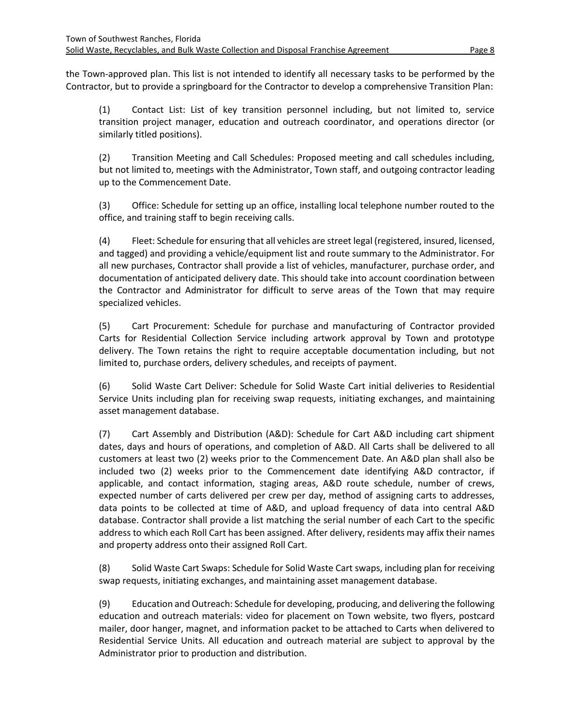the Town-approved plan. This list is not intended to identify all necessary tasks to be performed by the Contractor, but to provide a springboard for the Contractor to develop a comprehensive Transition Plan:

(1) Contact List: List of key transition personnel including, but not limited to, service transition project manager, education and outreach coordinator, and operations director (or similarly titled positions).

(2) Transition Meeting and Call Schedules: Proposed meeting and call schedules including, but not limited to, meetings with the Administrator, Town staff, and outgoing contractor leading up to the Commencement Date.

(3) Office: Schedule for setting up an office, installing local telephone number routed to the office, and training staff to begin receiving calls.

(4) Fleet: Schedule for ensuring that all vehicles are street legal (registered, insured, licensed, and tagged) and providing a vehicle/equipment list and route summary to the Administrator. For all new purchases, Contractor shall provide a list of vehicles, manufacturer, purchase order, and documentation of anticipated delivery date. This should take into account coordination between the Contractor and Administrator for difficult to serve areas of the Town that may require specialized vehicles.

(5) Cart Procurement: Schedule for purchase and manufacturing of Contractor provided Carts for Residential Collection Service including artwork approval by Town and prototype delivery. The Town retains the right to require acceptable documentation including, but not limited to, purchase orders, delivery schedules, and receipts of payment.

(6) Solid Waste Cart Deliver: Schedule for Solid Waste Cart initial deliveries to Residential Service Units including plan for receiving swap requests, initiating exchanges, and maintaining asset management database.

(7) Cart Assembly and Distribution (A&D): Schedule for Cart A&D including cart shipment dates, days and hours of operations, and completion of A&D. All Carts shall be delivered to all customers at least two (2) weeks prior to the Commencement Date. An A&D plan shall also be included two (2) weeks prior to the Commencement date identifying A&D contractor, if applicable, and contact information, staging areas, A&D route schedule, number of crews, expected number of carts delivered per crew per day, method of assigning carts to addresses, data points to be collected at time of A&D, and upload frequency of data into central A&D database. Contractor shall provide a list matching the serial number of each Cart to the specific address to which each Roll Cart has been assigned. After delivery, residents may affix their names and property address onto their assigned Roll Cart.

(8) Solid Waste Cart Swaps: Schedule for Solid Waste Cart swaps, including plan for receiving swap requests, initiating exchanges, and maintaining asset management database.

(9) Education and Outreach: Schedule for developing, producing, and delivering the following education and outreach materials: video for placement on Town website, two flyers, postcard mailer, door hanger, magnet, and information packet to be attached to Carts when delivered to Residential Service Units. All education and outreach material are subject to approval by the Administrator prior to production and distribution.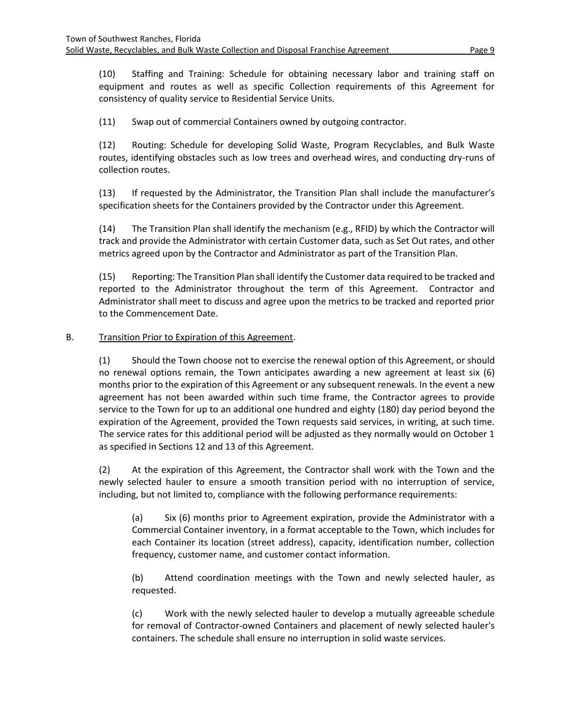(10) Staffing and Training: Schedule for obtaining necessary labor and training staff on equipment and routes as well as specific Collection requirements of this Agreement for consistency of quality service to Residential Service Units.

(11) Swap out of commercial Containers owned by outgoing contractor.

(12) Routing: Schedule for developing Solid Waste, Program Recyclables, and Bulk Waste routes, identifying obstacles such as low trees and overhead wires, and conducting dry-runs of collection routes.

(13) If requested by the Administrator, the Transition Plan shall include the manufacturer's specification sheets for the Containers provided by the Contractor under this Agreement.

(14) The Transition Plan shall identify the mechanism (e.g., RFID) by which the Contractor will track and provide the Administrator with certain Customer data, such as Set Out rates, and other metrics agreed upon by the Contractor and Administrator as part of the Transition Plan.

(15) Reporting: The Transition Plan shall identify the Customer data required to be tracked and reported to the Administrator throughout the term of this Agreement. Contractor and Administrator shall meet to discuss and agree upon the metrics to be tracked and reported prior to the Commencement Date.

# B. Transition Prior to Expiration of this Agreement.

(1) Should the Town choose not to exercise the renewal option of this Agreement, or should no renewal options remain, the Town anticipates awarding a new agreement at least six (6) months prior to the expiration of this Agreement or any subsequent renewals. In the event a new agreement has not been awarded within such time frame, the Contractor agrees to provide service to the Town for up to an additional one hundred and eighty (180) day period beyond the expiration of the Agreement, provided the Town requests said services, in writing, at such time. The service rates for this additional period will be adjusted as they normally would on October 1 as specified in Sections 12 and 13 of this Agreement.

(2) At the expiration of this Agreement, the Contractor shall work with the Town and the newly selected hauler to ensure a smooth transition period with no interruption of service, including, but not limited to, compliance with the following performance requirements:

(a) Six (6) months prior to Agreement expiration, provide the Administrator with a Commercial Container inventory, in a format acceptable to the Town, which includes for each Container its location (street address), capacity, identification number, collection frequency, customer name, and customer contact information.

(b) Attend coordination meetings with the Town and newly selected hauler, as requested.

(c) Work with the newly selected hauler to develop a mutually agreeable schedule for removal of Contractor-owned Containers and placement of newly selected hauler's containers. The schedule shall ensure no interruption in solid waste services.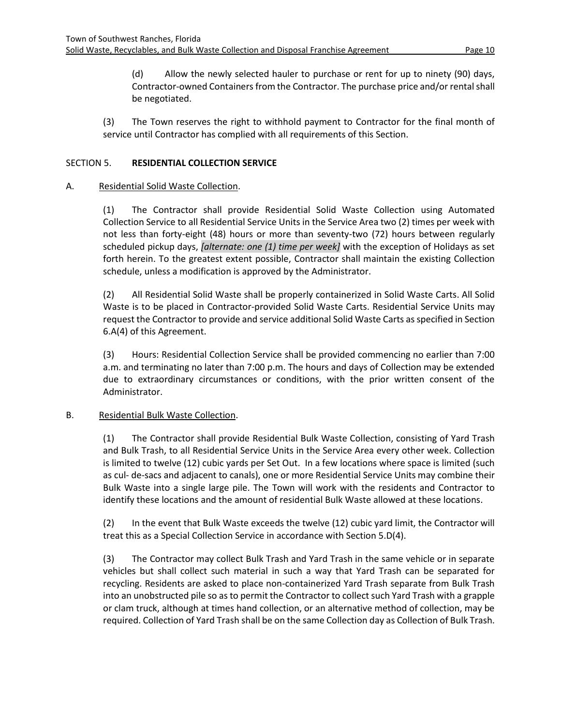(d) Allow the newly selected hauler to purchase or rent for up to ninety (90) days, Contractor-owned Containers from the Contractor. The purchase price and/or rental shall be negotiated.

(3) The Town reserves the right to withhold payment to Contractor for the final month of service until Contractor has complied with all requirements of this Section.

#### <span id="page-12-0"></span>SECTION 5. **RESIDENTIAL COLLECTION SERVICE**

#### A. Residential Solid Waste Collection.

(1) The Contractor shall provide Residential Solid Waste Collection using Automated Collection Service to all Residential Service Units in the Service Area two (2) times per week with not less than forty-eight (48) hours or more than seventy-two (72) hours between regularly scheduled pickup days, *[alternate: one (1) time per week]* with the exception of Holidays as set forth herein. To the greatest extent possible, Contractor shall maintain the existing Collection schedule, unless a modification is approved by the Administrator.

(2) All Residential Solid Waste shall be properly containerized in Solid Waste Carts. All Solid Waste is to be placed in Contractor-provided Solid Waste Carts. Residential Service Units may request the Contractor to provide and service additional Solid Waste Carts as specified in Section 6.A(4) of this Agreement.

(3) Hours: Residential Collection Service shall be provided commencing no earlier than 7:00 a.m. and terminating no later than 7:00 p.m. The hours and days of Collection may be extended due to extraordinary circumstances or conditions, with the prior written consent of the Administrator.

#### B. Residential Bulk Waste Collection.

(1) The Contractor shall provide Residential Bulk Waste Collection, consisting of Yard Trash and Bulk Trash, to all Residential Service Units in the Service Area every other week. Collection is limited to twelve (12) cubic yards per Set Out. In a few locations where space is limited (such as cul- de-sacs and adjacent to canals), one or more Residential Service Units may combine their Bulk Waste into a single large pile. The Town will work with the residents and Contractor to identify these locations and the amount of residential Bulk Waste allowed at these locations.

(2) In the event that Bulk Waste exceeds the twelve (12) cubic yard limit, the Contractor will treat this as a Special Collection Service in accordance with Section 5.D(4).

(3) The Contractor may collect Bulk Trash and Yard Trash in the same vehicle or in separate vehicles but shall collect such material in such a way that Yard Trash can be separated for recycling. Residents are asked to place non-containerized Yard Trash separate from Bulk Trash into an unobstructed pile so as to permit the Contractor to collect such Yard Trash with a grapple or clam truck, although at times hand collection, or an alternative method of collection, may be required. Collection of Yard Trash shall be on the same Collection day as Collection of Bulk Trash.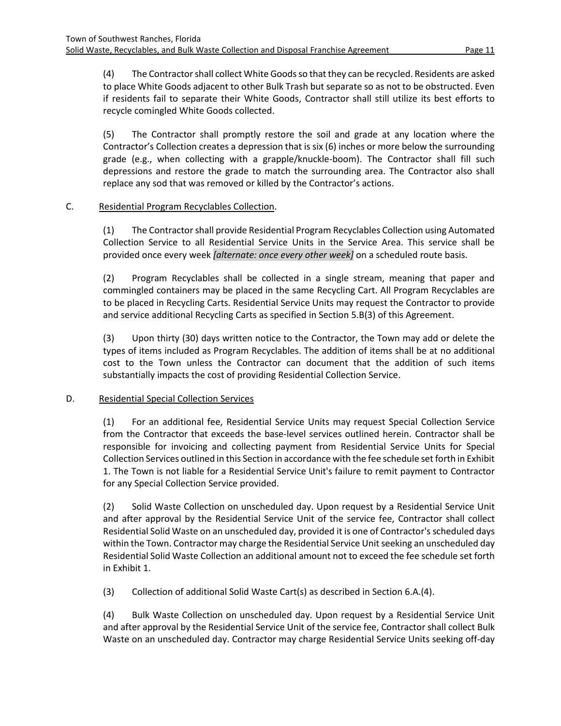(4) The Contractorshall collect White Goods so that they can be recycled. Residents are asked to place White Goods adjacent to other Bulk Trash but separate so as not to be obstructed. Even if residents fail to separate their White Goods, Contractor shall still utilize its best efforts to recycle comingled White Goods collected.

(5) The Contractor shall promptly restore the soil and grade at any location where the Contractor's Collection creates a depression that is six (6) inches or more below the surrounding grade (e.g., when collecting with a grapple/knuckle-boom). The Contractor shall fill such depressions and restore the grade to match the surrounding area. The Contractor also shall replace any sod that was removed or killed by the Contractor's actions.

#### C. Residential Program Recyclables Collection.

(1) The Contractorshall provide Residential Program Recyclables Collection using Automated Collection Service to all Residential Service Units in the Service Area. This service shall be provided once every week *[alternate: once every other week]* on a scheduled route basis.

(2) Program Recyclables shall be collected in a single stream, meaning that paper and commingled containers may be placed in the same Recycling Cart. All Program Recyclables are to be placed in Recycling Carts. Residential Service Units may request the Contractor to provide and service additional Recycling Carts as specified in Section 5.B(3) of this Agreement.

(3) Upon thirty (30) days written notice to the Contractor, the Town may add or delete the types of items included as Program Recyclables. The addition of items shall be at no additional cost to the Town unless the Contractor can document that the addition of such items substantially impacts the cost of providing Residential Collection Service.

#### D. Residential Special Collection Services

(1) For an additional fee, Residential Service Units may request Special Collection Service from the Contractor that exceeds the base-level services outlined herein. Contractor shall be responsible for invoicing and collecting payment from Residential Service Units for Special Collection Services outlined in this Section in accordance with the fee schedule set forth in Exhibit 1. The Town is not liable for a Residential Service Unit's failure to remit payment to Contractor for any Special Collection Service provided.

(2) Solid Waste Collection on unscheduled day. Upon request by a Residential Service Unit and after approval by the Residential Service Unit of the service fee, Contractor shall collect Residential Solid Waste on an unscheduled day, provided it is one of Contractor's scheduled days within the Town. Contractor may charge the Residential Service Unit seeking an unscheduled day Residential Solid Waste Collection an additional amount not to exceed the fee schedule set forth in Exhibit 1.

(3) Collection of additional Solid Waste Cart(s) as described in Section 6.A.(4).

(4) Bulk Waste Collection on unscheduled day. Upon request by a Residential Service Unit and after approval by the Residential Service Unit of the service fee, Contractor shall collect Bulk Waste on an unscheduled day. Contractor may charge Residential Service Units seeking off-day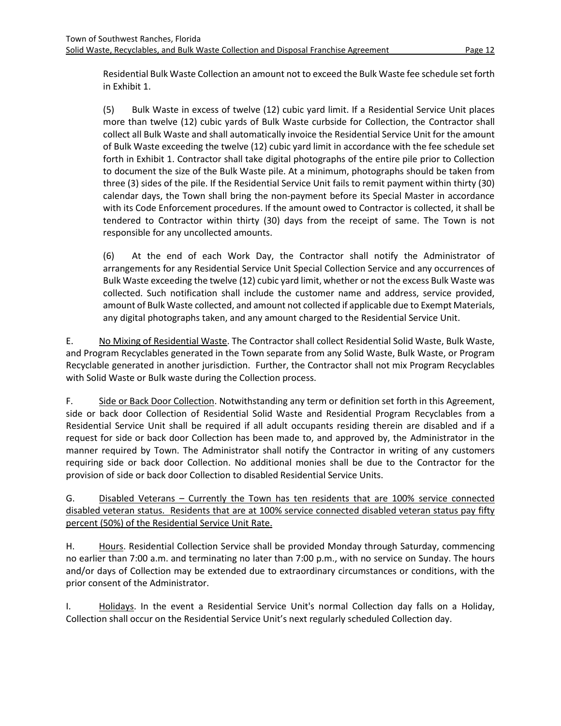Residential Bulk Waste Collection an amount not to exceed the Bulk Waste fee schedule set forth in Exhibit 1.

(5) Bulk Waste in excess of twelve (12) cubic yard limit. If a Residential Service Unit places more than twelve (12) cubic yards of Bulk Waste curbside for Collection, the Contractor shall collect all Bulk Waste and shall automatically invoice the Residential Service Unit for the amount of Bulk Waste exceeding the twelve (12) cubic yard limit in accordance with the fee schedule set forth in Exhibit 1. Contractor shall take digital photographs of the entire pile prior to Collection to document the size of the Bulk Waste pile. At a minimum, photographs should be taken from three (3) sides of the pile. If the Residential Service Unit fails to remit payment within thirty (30) calendar days, the Town shall bring the non-payment before its Special Master in accordance with its Code Enforcement procedures. If the amount owed to Contractor is collected, it shall be tendered to Contractor within thirty (30) days from the receipt of same. The Town is not responsible for any uncollected amounts.

(6) At the end of each Work Day, the Contractor shall notify the Administrator of arrangements for any Residential Service Unit Special Collection Service and any occurrences of Bulk Waste exceeding the twelve (12) cubic yard limit, whether or not the excess Bulk Waste was collected. Such notification shall include the customer name and address, service provided, amount of Bulk Waste collected, and amount not collected if applicable due to Exempt Materials, any digital photographs taken, and any amount charged to the Residential Service Unit.

E. No Mixing of Residential Waste. The Contractor shall collect Residential Solid Waste, Bulk Waste, and Program Recyclables generated in the Town separate from any Solid Waste, Bulk Waste, or Program Recyclable generated in another jurisdiction. Further, the Contractor shall not mix Program Recyclables with Solid Waste or Bulk waste during the Collection process.

F. Side or Back Door Collection. Notwithstanding any term or definition set forth in this Agreement, side or back door Collection of Residential Solid Waste and Residential Program Recyclables from a Residential Service Unit shall be required if all adult occupants residing therein are disabled and if a request for side or back door Collection has been made to, and approved by, the Administrator in the manner required by Town. The Administrator shall notify the Contractor in writing of any customers requiring side or back door Collection. No additional monies shall be due to the Contractor for the provision of side or back door Collection to disabled Residential Service Units.

G. Disabled Veterans – Currently the Town has ten residents that are 100% service connected disabled veteran status. Residents that are at 100% service connected disabled veteran status pay fifty percent (50%) of the Residential Service Unit Rate.

H. Hours. Residential Collection Service shall be provided Monday through Saturday, commencing no earlier than 7:00 a.m. and terminating no later than 7:00 p.m., with no service on Sunday. The hours and/or days of Collection may be extended due to extraordinary circumstances or conditions, with the prior consent of the Administrator.

I. Holidays. In the event a Residential Service Unit's normal Collection day falls on a Holiday, Collection shall occur on the Residential Service Unit's next regularly scheduled Collection day.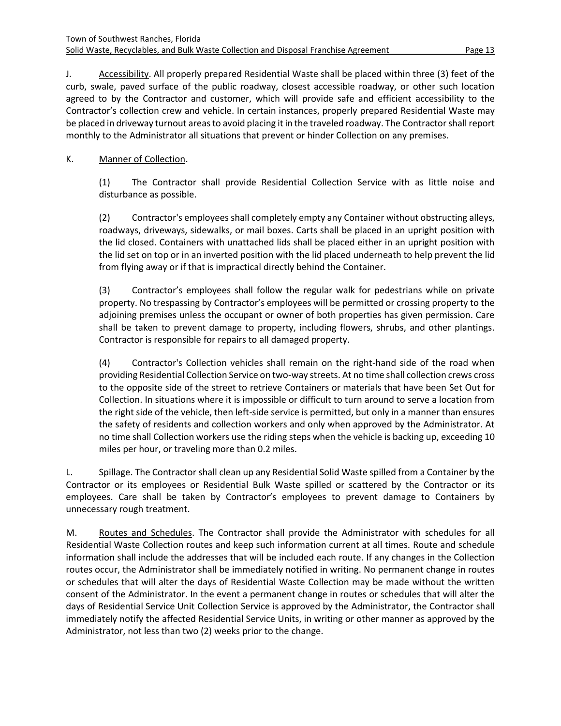J. Accessibility. All properly prepared Residential Waste shall be placed within three (3) feet of the curb, swale, paved surface of the public roadway, closest accessible roadway, or other such location agreed to by the Contractor and customer, which will provide safe and efficient accessibility to the Contractor's collection crew and vehicle. In certain instances, properly prepared Residential Waste may be placed in driveway turnout areas to avoid placing it in the traveled roadway. The Contractorshall report monthly to the Administrator all situations that prevent or hinder Collection on any premises.

# K. Manner of Collection.

(1) The Contractor shall provide Residential Collection Service with as little noise and disturbance as possible.

(2) Contractor's employees shall completely empty any Container without obstructing alleys, roadways, driveways, sidewalks, or mail boxes. Carts shall be placed in an upright position with the lid closed. Containers with unattached lids shall be placed either in an upright position with the lid set on top or in an inverted position with the lid placed underneath to help prevent the lid from flying away or if that is impractical directly behind the Container.

(3) Contractor's employees shall follow the regular walk for pedestrians while on private property. No trespassing by Contractor's employees will be permitted or crossing property to the adjoining premises unless the occupant or owner of both properties has given permission. Care shall be taken to prevent damage to property, including flowers, shrubs, and other plantings. Contractor is responsible for repairs to all damaged property.

(4) Contractor's Collection vehicles shall remain on the right-hand side of the road when providing Residential Collection Service on two-way streets. At no time shall collection crews cross to the opposite side of the street to retrieve Containers or materials that have been Set Out for Collection. In situations where it is impossible or difficult to turn around to serve a location from the right side of the vehicle, then left-side service is permitted, but only in a manner than ensures the safety of residents and collection workers and only when approved by the Administrator. At no time shall Collection workers use the riding steps when the vehicle is backing up, exceeding 10 miles per hour, or traveling more than 0.2 miles.

L. Spillage. The Contractor shall clean up any Residential Solid Waste spilled from a Container by the Contractor or its employees or Residential Bulk Waste spilled or scattered by the Contractor or its employees. Care shall be taken by Contractor's employees to prevent damage to Containers by unnecessary rough treatment.

M. Routes and Schedules. The Contractor shall provide the Administrator with schedules for all Residential Waste Collection routes and keep such information current at all times. Route and schedule information shall include the addresses that will be included each route. If any changes in the Collection routes occur, the Administrator shall be immediately notified in writing. No permanent change in routes or schedules that will alter the days of Residential Waste Collection may be made without the written consent of the Administrator. In the event a permanent change in routes or schedules that will alter the days of Residential Service Unit Collection Service is approved by the Administrator, the Contractor shall immediately notify the affected Residential Service Units, in writing or other manner as approved by the Administrator, not less than two (2) weeks prior to the change.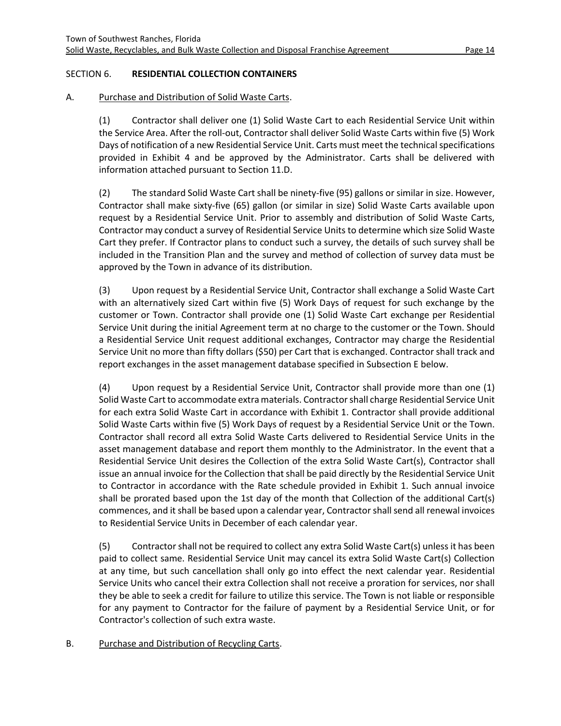#### <span id="page-16-0"></span>SECTION 6. **RESIDENTIAL COLLECTION CONTAINERS**

# A. Purchase and Distribution of Solid Waste Carts.

(1) Contractor shall deliver one (1) Solid Waste Cart to each Residential Service Unit within the Service Area. After the roll-out, Contractor shall deliver Solid Waste Carts within five (5) Work Days of notification of a new Residential Service Unit. Carts must meet the technical specifications provided in Exhibit 4 and be approved by the Administrator. Carts shall be delivered with information attached pursuant to Section 11.D.

(2) The standard Solid Waste Cart shall be ninety-five (95) gallons or similar in size. However, Contractor shall make sixty-five (65) gallon (or similar in size) Solid Waste Carts available upon request by a Residential Service Unit. Prior to assembly and distribution of Solid Waste Carts, Contractor may conduct a survey of Residential Service Units to determine which size Solid Waste Cart they prefer. If Contractor plans to conduct such a survey, the details of such survey shall be included in the Transition Plan and the survey and method of collection of survey data must be approved by the Town in advance of its distribution.

(3) Upon request by a Residential Service Unit, Contractor shall exchange a Solid Waste Cart with an alternatively sized Cart within five (5) Work Days of request for such exchange by the customer or Town. Contractor shall provide one (1) Solid Waste Cart exchange per Residential Service Unit during the initial Agreement term at no charge to the customer or the Town. Should a Residential Service Unit request additional exchanges, Contractor may charge the Residential Service Unit no more than fifty dollars (\$50) per Cart that is exchanged. Contractor shall track and report exchanges in the asset management database specified in Subsection E below.

(4) Upon request by a Residential Service Unit, Contractor shall provide more than one (1) Solid Waste Cart to accommodate extra materials. Contractorshall charge Residential Service Unit for each extra Solid Waste Cart in accordance with Exhibit 1. Contractor shall provide additional Solid Waste Carts within five (5) Work Days of request by a Residential Service Unit or the Town. Contractor shall record all extra Solid Waste Carts delivered to Residential Service Units in the asset management database and report them monthly to the Administrator. In the event that a Residential Service Unit desires the Collection of the extra Solid Waste Cart(s), Contractor shall issue an annual invoice for the Collection that shall be paid directly by the Residential Service Unit to Contractor in accordance with the Rate schedule provided in Exhibit 1. Such annual invoice shall be prorated based upon the 1st day of the month that Collection of the additional Cart(s) commences, and it shall be based upon a calendar year, Contractor shall send all renewal invoices to Residential Service Units in December of each calendar year.

(5) Contractor shall not be required to collect any extra Solid Waste Cart(s) unless it has been paid to collect same. Residential Service Unit may cancel its extra Solid Waste Cart(s) Collection at any time, but such cancellation shall only go into effect the next calendar year. Residential Service Units who cancel their extra Collection shall not receive a proration for services, nor shall they be able to seek a credit for failure to utilize this service. The Town is not liable or responsible for any payment to Contractor for the failure of payment by a Residential Service Unit, or for Contractor's collection of such extra waste.

#### B. Purchase and Distribution of Recycling Carts.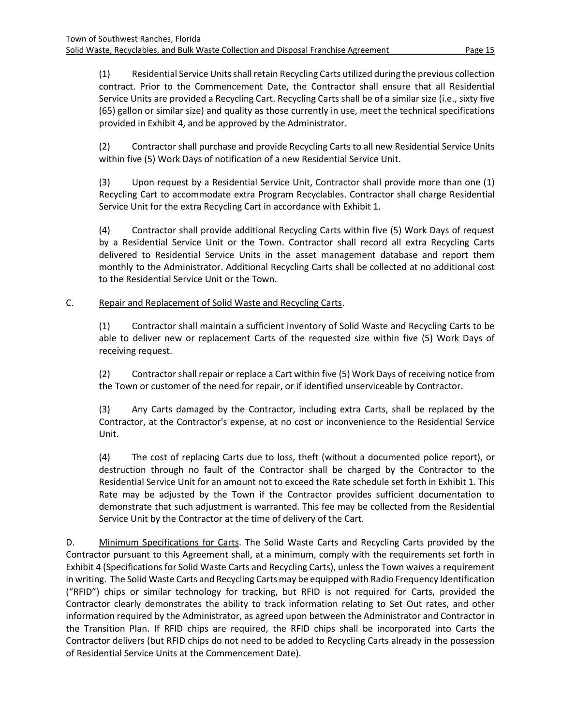(1) Residential Service Units shall retain Recycling Carts utilized during the previous collection contract. Prior to the Commencement Date, the Contractor shall ensure that all Residential Service Units are provided a Recycling Cart. Recycling Carts shall be of a similar size (i.e., sixty five (65) gallon or similar size) and quality as those currently in use, meet the technical specifications provided in Exhibit 4, and be approved by the Administrator.

(2) Contractor shall purchase and provide Recycling Carts to all new Residential Service Units within five (5) Work Days of notification of a new Residential Service Unit.

(3) Upon request by a Residential Service Unit, Contractor shall provide more than one (1) Recycling Cart to accommodate extra Program Recyclables. Contractor shall charge Residential Service Unit for the extra Recycling Cart in accordance with Exhibit 1.

(4) Contractor shall provide additional Recycling Carts within five (5) Work Days of request by a Residential Service Unit or the Town. Contractor shall record all extra Recycling Carts delivered to Residential Service Units in the asset management database and report them monthly to the Administrator. Additional Recycling Carts shall be collected at no additional cost to the Residential Service Unit or the Town.

# C. Repair and Replacement of Solid Waste and Recycling Carts.

(1) Contractor shall maintain a sufficient inventory of Solid Waste and Recycling Carts to be able to deliver new or replacement Carts of the requested size within five (5) Work Days of receiving request.

(2) Contractor shall repair or replace a Cart within five (5) Work Days of receiving notice from the Town or customer of the need for repair, or if identified unserviceable by Contractor.

(3) Any Carts damaged by the Contractor, including extra Carts, shall be replaced by the Contractor, at the Contractor's expense, at no cost or inconvenience to the Residential Service Unit.

(4) The cost of replacing Carts due to loss, theft (without a documented police report), or destruction through no fault of the Contractor shall be charged by the Contractor to the Residential Service Unit for an amount not to exceed the Rate schedule set forth in Exhibit 1. This Rate may be adjusted by the Town if the Contractor provides sufficient documentation to demonstrate that such adjustment is warranted. This fee may be collected from the Residential Service Unit by the Contractor at the time of delivery of the Cart.

D. Minimum Specifications for Carts. The Solid Waste Carts and Recycling Carts provided by the Contractor pursuant to this Agreement shall, at a minimum, comply with the requirements set forth in Exhibit 4 (Specifications for Solid Waste Carts and Recycling Carts), unless the Town waives a requirement in writing. The Solid Waste Carts and Recycling Carts may be equipped with Radio Frequency Identification ("RFID") chips or similar technology for tracking, but RFID is not required for Carts, provided the Contractor clearly demonstrates the ability to track information relating to Set Out rates, and other information required by the Administrator, as agreed upon between the Administrator and Contractor in the Transition Plan. If RFID chips are required, the RFID chips shall be incorporated into Carts the Contractor delivers (but RFID chips do not need to be added to Recycling Carts already in the possession of Residential Service Units at the Commencement Date).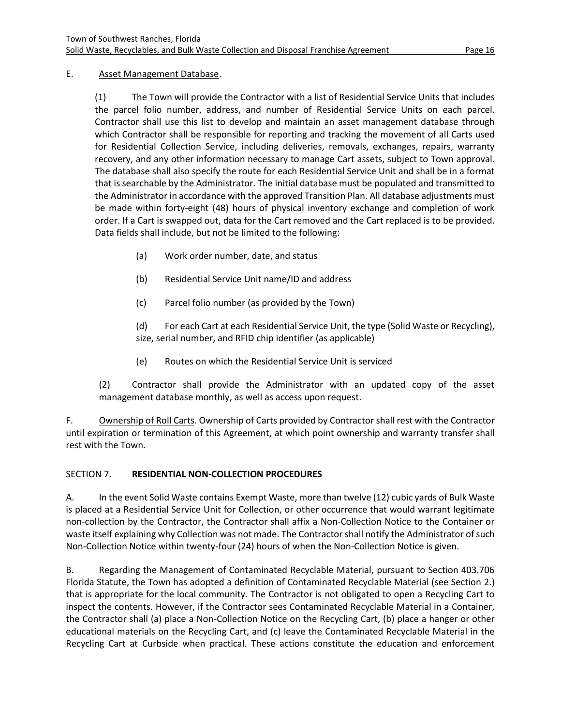#### E. Asset Management Database.

(1) The Town will provide the Contractor with a list of Residential Service Units that includes the parcel folio number, address, and number of Residential Service Units on each parcel. Contractor shall use this list to develop and maintain an asset management database through which Contractor shall be responsible for reporting and tracking the movement of all Carts used for Residential Collection Service, including deliveries, removals, exchanges, repairs, warranty recovery, and any other information necessary to manage Cart assets, subject to Town approval. The database shall also specify the route for each Residential Service Unit and shall be in a format that is searchable by the Administrator. The initial database must be populated and transmitted to the Administrator in accordance with the approved Transition Plan. All database adjustments must be made within forty-eight (48) hours of physical inventory exchange and completion of work order. If a Cart is swapped out, data for the Cart removed and the Cart replaced is to be provided. Data fields shall include, but not be limited to the following:

- (a) Work order number, date, and status
- (b) Residential Service Unit name/ID and address
- (c) Parcel folio number (as provided by the Town)

(d) For each Cart at each Residential Service Unit, the type (Solid Waste or Recycling), size, serial number, and RFID chip identifier (as applicable)

(e) Routes on which the Residential Service Unit is serviced

(2) Contractor shall provide the Administrator with an updated copy of the asset management database monthly, as well as access upon request.

F. Ownership of Roll Carts. Ownership of Carts provided by Contractor shall rest with the Contractor until expiration or termination of this Agreement, at which point ownership and warranty transfer shall rest with the Town.

# <span id="page-18-0"></span>SECTION 7. **RESIDENTIAL NON-COLLECTION PROCEDURES**

A. In the event Solid Waste contains Exempt Waste, more than twelve (12) cubic yards of Bulk Waste is placed at a Residential Service Unit for Collection, or other occurrence that would warrant legitimate non-collection by the Contractor, the Contractor shall affix a Non-Collection Notice to the Container or waste itself explaining why Collection was not made. The Contractor shall notify the Administrator of such Non-Collection Notice within twenty-four (24) hours of when the Non-Collection Notice is given.

B. Regarding the Management of Contaminated Recyclable Material, pursuant to Section 403.706 Florida Statute, the Town has adopted a definition of Contaminated Recyclable Material (see Section 2.) that is appropriate for the local community. The Contractor is not obligated to open a Recycling Cart to inspect the contents. However, if the Contractor sees Contaminated Recyclable Material in a Container, the Contractor shall (a) place a Non-Collection Notice on the Recycling Cart, (b) place a hanger or other educational materials on the Recycling Cart, and (c) leave the Contaminated Recyclable Material in the Recycling Cart at Curbside when practical. These actions constitute the education and enforcement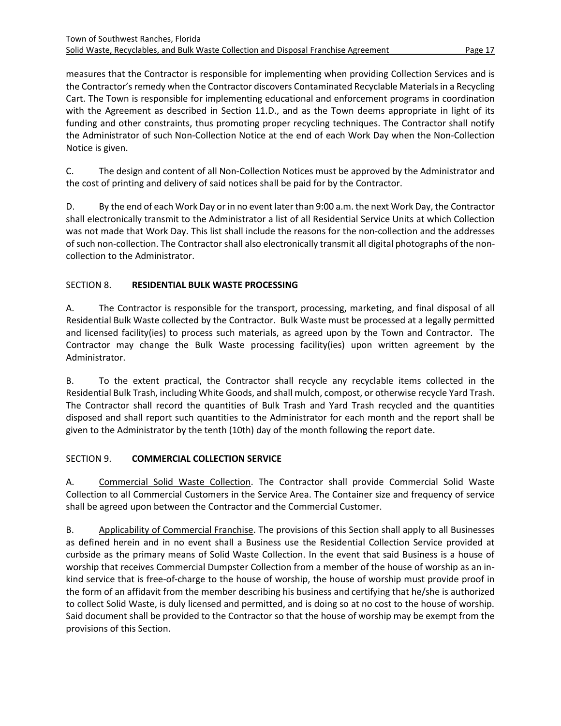measures that the Contractor is responsible for implementing when providing Collection Services and is the Contractor's remedy when the Contractor discovers Contaminated Recyclable Materials in a Recycling Cart. The Town is responsible for implementing educational and enforcement programs in coordination with the Agreement as described in Section 11.D., and as the Town deems appropriate in light of its funding and other constraints, thus promoting proper recycling techniques. The Contractor shall notify the Administrator of such Non-Collection Notice at the end of each Work Day when the Non-Collection Notice is given.

C. The design and content of all Non-Collection Notices must be approved by the Administrator and the cost of printing and delivery of said notices shall be paid for by the Contractor.

D. By the end of each Work Day or in no event later than 9:00 a.m. the next Work Day, the Contractor shall electronically transmit to the Administrator a list of all Residential Service Units at which Collection was not made that Work Day. This list shall include the reasons for the non-collection and the addresses of such non-collection. The Contractor shall also electronically transmit all digital photographs of the noncollection to the Administrator.

# <span id="page-19-0"></span>SECTION 8. **RESIDENTIAL BULK WASTE PROCESSING**

A. The Contractor is responsible for the transport, processing, marketing, and final disposal of all Residential Bulk Waste collected by the Contractor. Bulk Waste must be processed at a legally permitted and licensed facility(ies) to process such materials, as agreed upon by the Town and Contractor. The Contractor may change the Bulk Waste processing facility(ies) upon written agreement by the Administrator.

B. To the extent practical, the Contractor shall recycle any recyclable items collected in the Residential Bulk Trash, including White Goods, and shall mulch, compost, or otherwise recycle Yard Trash. The Contractor shall record the quantities of Bulk Trash and Yard Trash recycled and the quantities disposed and shall report such quantities to the Administrator for each month and the report shall be given to the Administrator by the tenth (10th) day of the month following the report date.

# <span id="page-19-1"></span>SECTION 9. **COMMERCIAL COLLECTION SERVICE**

A. Commercial Solid Waste Collection. The Contractor shall provide Commercial Solid Waste Collection to all Commercial Customers in the Service Area. The Container size and frequency of service shall be agreed upon between the Contractor and the Commercial Customer.

B. Applicability of Commercial Franchise. The provisions of this Section shall apply to all Businesses as defined herein and in no event shall a Business use the Residential Collection Service provided at curbside as the primary means of Solid Waste Collection. In the event that said Business is a house of worship that receives Commercial Dumpster Collection from a member of the house of worship as an inkind service that is free-of-charge to the house of worship, the house of worship must provide proof in the form of an affidavit from the member describing his business and certifying that he/she is authorized to collect Solid Waste, is duly licensed and permitted, and is doing so at no cost to the house of worship. Said document shall be provided to the Contractor so that the house of worship may be exempt from the provisions of this Section.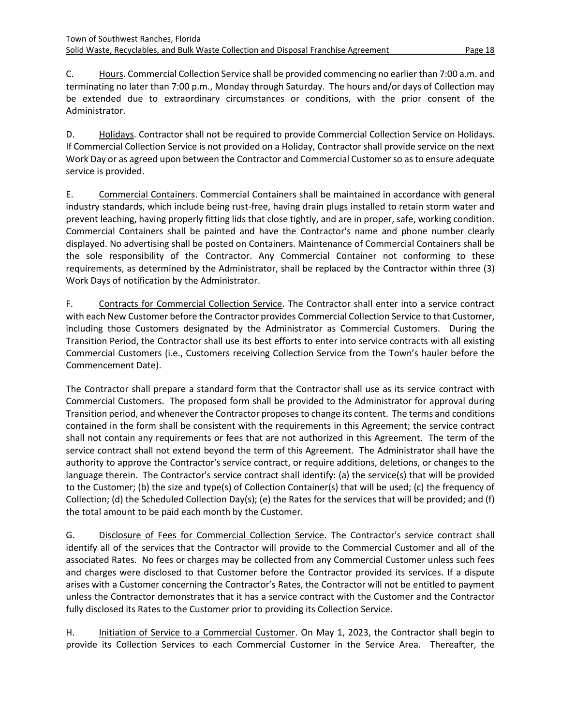C. Hours. Commercial Collection Service shall be provided commencing no earlier than 7:00 a.m. and terminating no later than 7:00 p.m., Monday through Saturday. The hours and/or days of Collection may be extended due to extraordinary circumstances or conditions, with the prior consent of the Administrator.

D. Holidays. Contractor shall not be required to provide Commercial Collection Service on Holidays. If Commercial Collection Service is not provided on a Holiday, Contractor shall provide service on the next Work Day or as agreed upon between the Contractor and Commercial Customer so as to ensure adequate service is provided.

E. Commercial Containers. Commercial Containers shall be maintained in accordance with general industry standards, which include being rust-free, having drain plugs installed to retain storm water and prevent leaching, having properly fitting lids that close tightly, and are in proper, safe, working condition. Commercial Containers shall be painted and have the Contractor's name and phone number clearly displayed. No advertising shall be posted on Containers. Maintenance of Commercial Containers shall be the sole responsibility of the Contractor. Any Commercial Container not conforming to these requirements, as determined by the Administrator, shall be replaced by the Contractor within three (3) Work Days of notification by the Administrator.

F. Contracts for Commercial Collection Service. The Contractor shall enter into a service contract with each New Customer before the Contractor provides Commercial Collection Service to that Customer, including those Customers designated by the Administrator as Commercial Customers. During the Transition Period, the Contractor shall use its best efforts to enter into service contracts with all existing Commercial Customers (i.e., Customers receiving Collection Service from the Town's hauler before the Commencement Date).

The Contractor shall prepare a standard form that the Contractor shall use as its service contract with Commercial Customers. The proposed form shall be provided to the Administrator for approval during Transition period, and whenever the Contractor proposes to change its content. The terms and conditions contained in the form shall be consistent with the requirements in this Agreement; the service contract shall not contain any requirements or fees that are not authorized in this Agreement. The term of the service contract shall not extend beyond the term of this Agreement. The Administrator shall have the authority to approve the Contractor's service contract, or require additions, deletions, or changes to the language therein. The Contractor's service contract shall identify: (a) the service(s) that will be provided to the Customer; (b) the size and type(s) of Collection Container(s) that will be used; (c) the frequency of Collection; (d) the Scheduled Collection Day(s); (e) the Rates for the services that will be provided; and (f) the total amount to be paid each month by the Customer.

G. Disclosure of Fees for Commercial Collection Service. The Contractor's service contract shall identify all of the services that the Contractor will provide to the Commercial Customer and all of the associated Rates. No fees or charges may be collected from any Commercial Customer unless such fees and charges were disclosed to that Customer before the Contractor provided its services. If a dispute arises with a Customer concerning the Contractor's Rates, the Contractor will not be entitled to payment unless the Contractor demonstrates that it has a service contract with the Customer and the Contractor fully disclosed its Rates to the Customer prior to providing its Collection Service.

H. Initiation of Service to a Commercial Customer. On May 1, 2023, the Contractor shall begin to provide its Collection Services to each Commercial Customer in the Service Area. Thereafter, the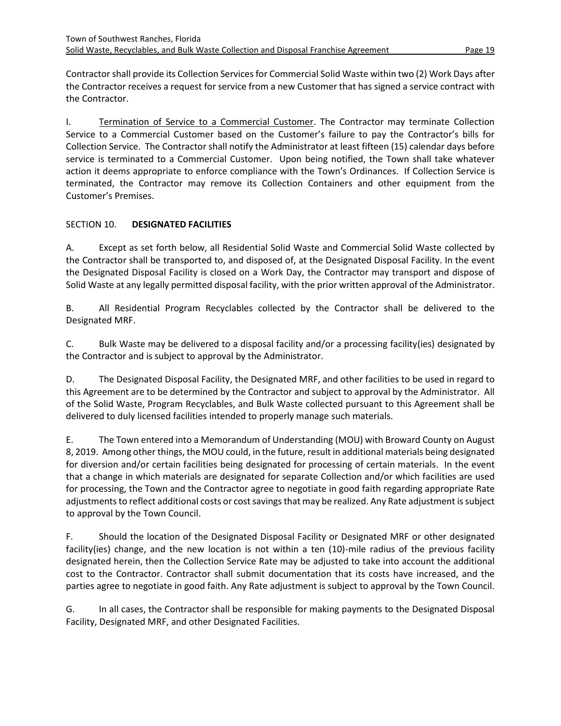Contractor shall provide its Collection Services for Commercial Solid Waste within two (2) Work Days after the Contractor receives a request for service from a new Customer that has signed a service contract with the Contractor.

I. Termination of Service to a Commercial Customer. The Contractor may terminate Collection Service to a Commercial Customer based on the Customer's failure to pay the Contractor's bills for Collection Service. The Contractor shall notify the Administrator at least fifteen (15) calendar days before service is terminated to a Commercial Customer. Upon being notified, the Town shall take whatever action it deems appropriate to enforce compliance with the Town's Ordinances. If Collection Service is terminated, the Contractor may remove its Collection Containers and other equipment from the Customer's Premises.

# <span id="page-21-0"></span>SECTION 10. **DESIGNATED FACILITIES**

A. Except as set forth below, all Residential Solid Waste and Commercial Solid Waste collected by the Contractor shall be transported to, and disposed of, at the Designated Disposal Facility. In the event the Designated Disposal Facility is closed on a Work Day, the Contractor may transport and dispose of Solid Waste at any legally permitted disposal facility, with the prior written approval of the Administrator.

B. All Residential Program Recyclables collected by the Contractor shall be delivered to the Designated MRF.

C. Bulk Waste may be delivered to a disposal facility and/or a processing facility(ies) designated by the Contractor and is subject to approval by the Administrator.

D. The Designated Disposal Facility, the Designated MRF, and other facilities to be used in regard to this Agreement are to be determined by the Contractor and subject to approval by the Administrator. All of the Solid Waste, Program Recyclables, and Bulk Waste collected pursuant to this Agreement shall be delivered to duly licensed facilities intended to properly manage such materials.

E. The Town entered into a Memorandum of Understanding (MOU) with Broward County on August 8, 2019. Among other things, the MOU could, in the future, result in additional materials being designated for diversion and/or certain facilities being designated for processing of certain materials. In the event that a change in which materials are designated for separate Collection and/or which facilities are used for processing, the Town and the Contractor agree to negotiate in good faith regarding appropriate Rate adjustments to reflect additional costs or cost savings that may be realized. Any Rate adjustment is subject to approval by the Town Council.

F. Should the location of the Designated Disposal Facility or Designated MRF or other designated facility(ies) change, and the new location is not within a ten (10)-mile radius of the previous facility designated herein, then the Collection Service Rate may be adjusted to take into account the additional cost to the Contractor. Contractor shall submit documentation that its costs have increased, and the parties agree to negotiate in good faith. Any Rate adjustment is subject to approval by the Town Council.

G. In all cases, the Contractor shall be responsible for making payments to the Designated Disposal Facility, Designated MRF, and other Designated Facilities.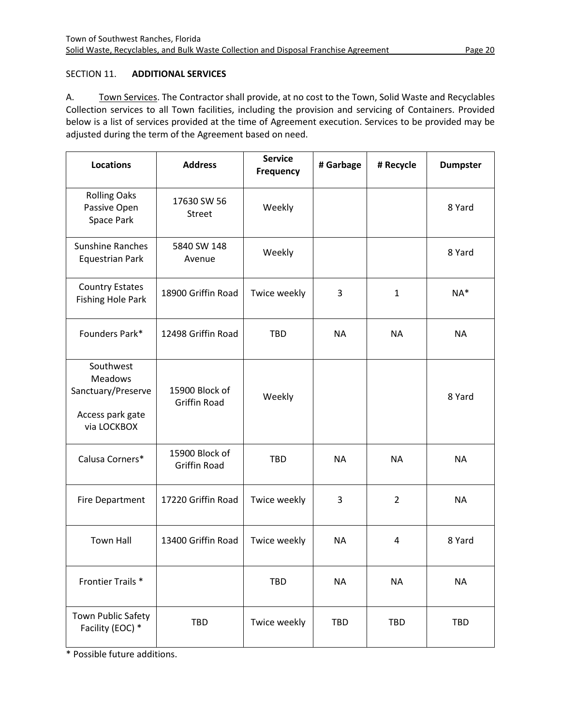# <span id="page-22-0"></span>SECTION 11. **ADDITIONAL SERVICES**

A. Town Services. The Contractor shall provide, at no cost to the Town, Solid Waste and Recyclables Collection services to all Town facilities, including the provision and servicing of Containers. Provided below is a list of services provided at the time of Agreement execution. Services to be provided may be adjusted during the term of the Agreement based on need.

| <b>Locations</b>                                                                     | <b>Address</b>                        | <b>Service</b><br>Frequency | # Garbage  | # Recycle    | <b>Dumpster</b> |
|--------------------------------------------------------------------------------------|---------------------------------------|-----------------------------|------------|--------------|-----------------|
| <b>Rolling Oaks</b><br>Passive Open<br>Space Park                                    | 17630 SW 56<br><b>Street</b>          | Weekly                      |            |              | 8 Yard          |
| <b>Sunshine Ranches</b><br><b>Equestrian Park</b>                                    | 5840 SW 148<br>Avenue                 | Weekly                      |            |              | 8 Yard          |
| <b>Country Estates</b><br><b>Fishing Hole Park</b>                                   | 18900 Griffin Road                    | Twice weekly                | 3          | $\mathbf{1}$ | NA*             |
| Founders Park*                                                                       | 12498 Griffin Road                    | <b>TBD</b>                  | <b>NA</b>  | <b>NA</b>    | <b>NA</b>       |
| Southwest<br><b>Meadows</b><br>Sanctuary/Preserve<br>Access park gate<br>via LOCKBOX | 15900 Block of<br><b>Griffin Road</b> | Weekly                      |            |              | 8 Yard          |
| Calusa Corners*                                                                      | 15900 Block of<br><b>Griffin Road</b> | <b>TBD</b>                  | <b>NA</b>  | <b>NA</b>    | <b>NA</b>       |
| <b>Fire Department</b>                                                               | 17220 Griffin Road                    | Twice weekly                | 3          | 2            | <b>NA</b>       |
| <b>Town Hall</b>                                                                     | 13400 Griffin Road                    | Twice weekly                | <b>NA</b>  | 4            | 8 Yard          |
| Frontier Trails *                                                                    |                                       | TBD                         | <b>NA</b>  | <b>NA</b>    | <b>NA</b>       |
| Town Public Safety<br>Facility (EOC) *                                               | TBD                                   | Twice weekly                | <b>TBD</b> | <b>TBD</b>   | TBD             |

\* Possible future additions.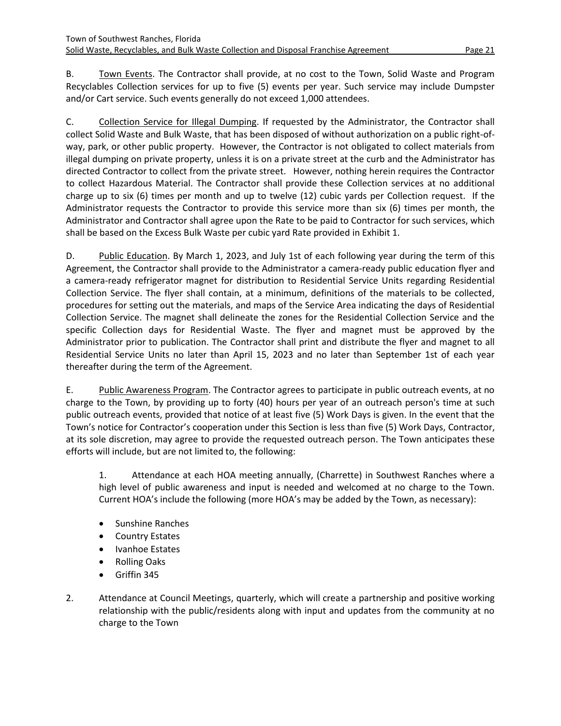B. Town Events. The Contractor shall provide, at no cost to the Town, Solid Waste and Program Recyclables Collection services for up to five (5) events per year. Such service may include Dumpster and/or Cart service. Such events generally do not exceed 1,000 attendees.

C. Collection Service for Illegal Dumping. If requested by the Administrator, the Contractor shall collect Solid Waste and Bulk Waste, that has been disposed of without authorization on a public right-ofway, park, or other public property. However, the Contractor is not obligated to collect materials from illegal dumping on private property, unless it is on a private street at the curb and the Administrator has directed Contractor to collect from the private street. However, nothing herein requires the Contractor to collect Hazardous Material. The Contractor shall provide these Collection services at no additional charge up to six (6) times per month and up to twelve (12) cubic yards per Collection request. If the Administrator requests the Contractor to provide this service more than six (6) times per month, the Administrator and Contractor shall agree upon the Rate to be paid to Contractor for such services, which shall be based on the Excess Bulk Waste per cubic yard Rate provided in Exhibit 1.

D. Public Education. By March 1, 2023, and July 1st of each following year during the term of this Agreement, the Contractor shall provide to the Administrator a camera-ready public education flyer and a camera-ready refrigerator magnet for distribution to Residential Service Units regarding Residential Collection Service. The flyer shall contain, at a minimum, definitions of the materials to be collected, procedures for setting out the materials, and maps of the Service Area indicating the days of Residential Collection Service. The magnet shall delineate the zones for the Residential Collection Service and the specific Collection days for Residential Waste. The flyer and magnet must be approved by the Administrator prior to publication. The Contractor shall print and distribute the flyer and magnet to all Residential Service Units no later than April 15, 2023 and no later than September 1st of each year thereafter during the term of the Agreement.

E. Public Awareness Program. The Contractor agrees to participate in public outreach events, at no charge to the Town, by providing up to forty (40) hours per year of an outreach person's time at such public outreach events, provided that notice of at least five (5) Work Days is given. In the event that the Town's notice for Contractor's cooperation under this Section is less than five (5) Work Days, Contractor, at its sole discretion, may agree to provide the requested outreach person. The Town anticipates these efforts will include, but are not limited to, the following:

1. Attendance at each HOA meeting annually, (Charrette) in Southwest Ranches where a high level of public awareness and input is needed and welcomed at no charge to the Town. Current HOA's include the following (more HOA's may be added by the Town, as necessary):

- Sunshine Ranches
- Country Estates
- Ivanhoe Estates
- Rolling Oaks
- Griffin 345
- 2. Attendance at Council Meetings, quarterly, which will create a partnership and positive working relationship with the public/residents along with input and updates from the community at no charge to the Town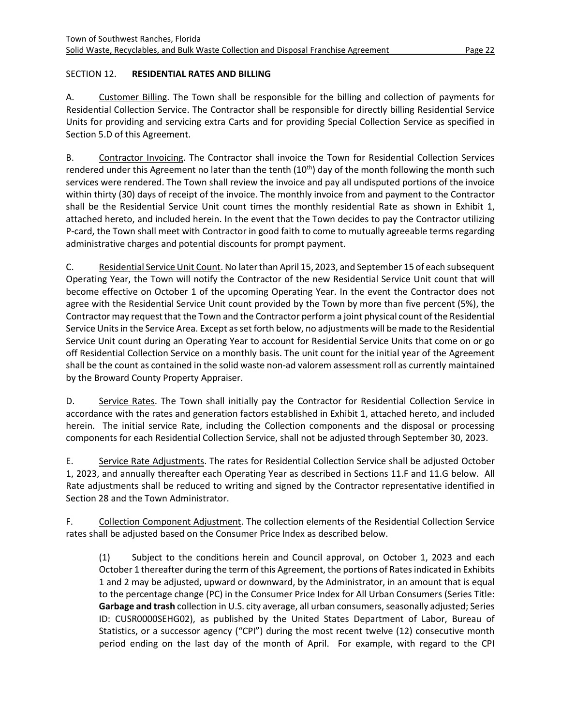# <span id="page-24-0"></span>SECTION 12. **RESIDENTIAL RATES AND BILLING**

A. Customer Billing. The Town shall be responsible for the billing and collection of payments for Residential Collection Service. The Contractor shall be responsible for directly billing Residential Service Units for providing and servicing extra Carts and for providing Special Collection Service as specified in Section 5.D of this Agreement.

B. Contractor Invoicing. The Contractor shall invoice the Town for Residential Collection Services rendered under this Agreement no later than the tenth  $(10<sup>th</sup>)$  day of the month following the month such services were rendered. The Town shall review the invoice and pay all undisputed portions of the invoice within thirty (30) days of receipt of the invoice. The monthly invoice from and payment to the Contractor shall be the Residential Service Unit count times the monthly residential Rate as shown in Exhibit 1, attached hereto, and included herein. In the event that the Town decides to pay the Contractor utilizing P-card, the Town shall meet with Contractor in good faith to come to mutually agreeable terms regarding administrative charges and potential discounts for prompt payment.

C. Residential Service Unit Count. No later than April 15, 2023, and September 15 of each subsequent Operating Year, the Town will notify the Contractor of the new Residential Service Unit count that will become effective on October 1 of the upcoming Operating Year. In the event the Contractor does not agree with the Residential Service Unit count provided by the Town by more than five percent (5%), the Contractor may request that the Town and the Contractor perform a joint physical count of the Residential Service Units in the Service Area. Except as set forth below, no adjustments will be made to the Residential Service Unit count during an Operating Year to account for Residential Service Units that come on or go off Residential Collection Service on a monthly basis. The unit count for the initial year of the Agreement shall be the count as contained in the solid waste non-ad valorem assessment roll as currently maintained by the Broward County Property Appraiser.

D. Service Rates. The Town shall initially pay the Contractor for Residential Collection Service in accordance with the rates and generation factors established in Exhibit 1, attached hereto, and included herein. The initial service Rate, including the Collection components and the disposal or processing components for each Residential Collection Service, shall not be adjusted through September 30, 2023.

E. Service Rate Adjustments. The rates for Residential Collection Service shall be adjusted October 1, 2023, and annually thereafter each Operating Year as described in Sections 11.F and 11.G below. All Rate adjustments shall be reduced to writing and signed by the Contractor representative identified in Section 28 and the Town Administrator.

F. Collection Component Adjustment. The collection elements of the Residential Collection Service rates shall be adjusted based on the Consumer Price Index as described below.

(1) Subject to the conditions herein and Council approval, on October 1, 2023 and each October 1 thereafter during the term of this Agreement, the portions of Rates indicated in Exhibits 1 and 2 may be adjusted, upward or downward, by the Administrator, in an amount that is equal to the percentage change (PC) in the Consumer Price Index for All Urban Consumers (Series Title: **Garbage and trash** collection in U.S. city average, all urban consumers, seasonally adjusted; Series ID: CUSR0000SEHG02), as published by the United States Department of Labor, Bureau of Statistics, or a successor agency ("CPI") during the most recent twelve (12) consecutive month period ending on the last day of the month of April. For example, with regard to the CPI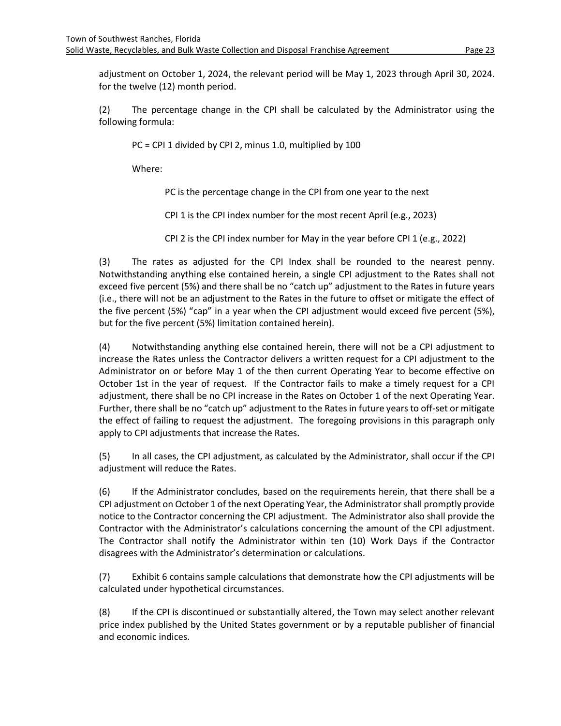adjustment on October 1, 2024, the relevant period will be May 1, 2023 through April 30, 2024. for the twelve (12) month period.

(2) The percentage change in the CPI shall be calculated by the Administrator using the following formula:

PC = CPI 1 divided by CPI 2, minus 1.0, multiplied by 100

Where:

PC is the percentage change in the CPI from one year to the next

CPI 1 is the CPI index number for the most recent April (e.g., 2023)

CPI 2 is the CPI index number for May in the year before CPI 1 (e.g., 2022)

(3) The rates as adjusted for the CPI Index shall be rounded to the nearest penny. Notwithstanding anything else contained herein, a single CPI adjustment to the Rates shall not exceed five percent (5%) and there shall be no "catch up" adjustment to the Rates in future years (i.e., there will not be an adjustment to the Rates in the future to offset or mitigate the effect of the five percent (5%) "cap" in a year when the CPI adjustment would exceed five percent (5%), but for the five percent (5%) limitation contained herein).

(4) Notwithstanding anything else contained herein, there will not be a CPI adjustment to increase the Rates unless the Contractor delivers a written request for a CPI adjustment to the Administrator on or before May 1 of the then current Operating Year to become effective on October 1st in the year of request. If the Contractor fails to make a timely request for a CPI adjustment, there shall be no CPI increase in the Rates on October 1 of the next Operating Year. Further, there shall be no "catch up" adjustment to the Rates in future years to off-set or mitigate the effect of failing to request the adjustment. The foregoing provisions in this paragraph only apply to CPI adjustments that increase the Rates.

(5) In all cases, the CPI adjustment, as calculated by the Administrator, shall occur if the CPI adjustment will reduce the Rates.

(6) If the Administrator concludes, based on the requirements herein, that there shall be a CPI adjustment on October 1 of the next Operating Year, the Administrator shall promptly provide notice to the Contractor concerning the CPI adjustment. The Administrator also shall provide the Contractor with the Administrator's calculations concerning the amount of the CPI adjustment. The Contractor shall notify the Administrator within ten (10) Work Days if the Contractor disagrees with the Administrator's determination or calculations.

(7) Exhibit 6 contains sample calculations that demonstrate how the CPI adjustments will be calculated under hypothetical circumstances.

(8) If the CPI is discontinued or substantially altered, the Town may select another relevant price index published by the United States government or by a reputable publisher of financial and economic indices.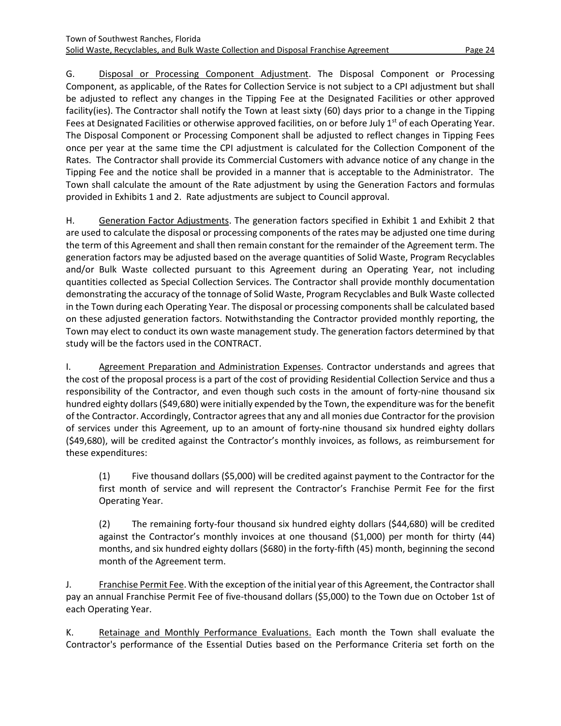G. Disposal or Processing Component Adjustment. The Disposal Component or Processing Component, as applicable, of the Rates for Collection Service is not subject to a CPI adjustment but shall be adjusted to reflect any changes in the Tipping Fee at the Designated Facilities or other approved facility(ies). The Contractor shall notify the Town at least sixty (60) days prior to a change in the Tipping Fees at Designated Facilities or otherwise approved facilities, on or before July 1<sup>st</sup> of each Operating Year. The Disposal Component or Processing Component shall be adjusted to reflect changes in Tipping Fees once per year at the same time the CPI adjustment is calculated for the Collection Component of the Rates. The Contractor shall provide its Commercial Customers with advance notice of any change in the Tipping Fee and the notice shall be provided in a manner that is acceptable to the Administrator. The Town shall calculate the amount of the Rate adjustment by using the Generation Factors and formulas provided in Exhibits 1 and 2. Rate adjustments are subject to Council approval.

H. Generation Factor Adjustments. The generation factors specified in Exhibit 1 and Exhibit 2 that are used to calculate the disposal or processing components of the rates may be adjusted one time during the term of this Agreement and shall then remain constant for the remainder of the Agreement term. The generation factors may be adjusted based on the average quantities of Solid Waste, Program Recyclables and/or Bulk Waste collected pursuant to this Agreement during an Operating Year, not including quantities collected as Special Collection Services. The Contractor shall provide monthly documentation demonstrating the accuracy of the tonnage of Solid Waste, Program Recyclables and Bulk Waste collected in the Town during each Operating Year. The disposal or processing components shall be calculated based on these adjusted generation factors. Notwithstanding the Contractor provided monthly reporting, the Town may elect to conduct its own waste management study. The generation factors determined by that study will be the factors used in the CONTRACT.

I. Agreement Preparation and Administration Expenses. Contractor understands and agrees that the cost of the proposal process is a part of the cost of providing Residential Collection Service and thus a responsibility of the Contractor, and even though such costs in the amount of forty-nine thousand six hundred eighty dollars (\$49,680) were initially expended by the Town, the expenditure was for the benefit of the Contractor. Accordingly, Contractor agrees that any and all monies due Contractor for the provision of services under this Agreement, up to an amount of forty-nine thousand six hundred eighty dollars (\$49,680), will be credited against the Contractor's monthly invoices, as follows, as reimbursement for these expenditures:

(1) Five thousand dollars (\$5,000) will be credited against payment to the Contractor for the first month of service and will represent the Contractor's Franchise Permit Fee for the first Operating Year.

(2) The remaining forty-four thousand six hundred eighty dollars (\$44,680) will be credited against the Contractor's monthly invoices at one thousand (\$1,000) per month for thirty (44) months, and six hundred eighty dollars (\$680) in the forty-fifth (45) month, beginning the second month of the Agreement term.

J. **Franchise Permit Fee. With the exception of the initial year of this Agreement, the Contractor shall** pay an annual Franchise Permit Fee of five-thousand dollars (\$5,000) to the Town due on October 1st of each Operating Year.

K. Retainage and Monthly Performance Evaluations. Each month the Town shall evaluate the Contractor's performance of the Essential Duties based on the Performance Criteria set forth on the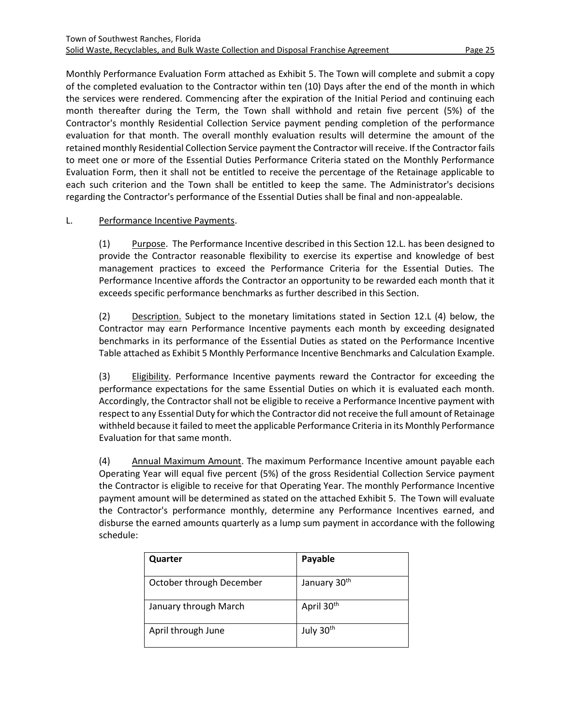Monthly Performance Evaluation Form attached as Exhibit 5. The Town will complete and submit a copy of the completed evaluation to the Contractor within ten (10) Days after the end of the month in which the services were rendered. Commencing after the expiration of the Initial Period and continuing each month thereafter during the Term, the Town shall withhold and retain five percent (5%) of the Contractor's monthly Residential Collection Service payment pending completion of the performance evaluation for that month. The overall monthly evaluation results will determine the amount of the retained monthly Residential Collection Service payment the Contractor will receive. If the Contractor fails to meet one or more of the Essential Duties Performance Criteria stated on the Monthly Performance Evaluation Form, then it shall not be entitled to receive the percentage of the Retainage applicable to each such criterion and the Town shall be entitled to keep the same. The Administrator's decisions regarding the Contractor's performance of the Essential Duties shall be final and non-appealable.

# L. Performance Incentive Payments.

(1) Purpose. The Performance Incentive described in this Section 12.L. has been designed to provide the Contractor reasonable flexibility to exercise its expertise and knowledge of best management practices to exceed the Performance Criteria for the Essential Duties. The Performance Incentive affords the Contractor an opportunity to be rewarded each month that it exceeds specific performance benchmarks as further described in this Section.

(2) Description. Subject to the monetary limitations stated in Section 12.L (4) below, the Contractor may earn Performance Incentive payments each month by exceeding designated benchmarks in its performance of the Essential Duties as stated on the Performance Incentive Table attached as Exhibit 5 Monthly Performance Incentive Benchmarks and Calculation Example.

(3) Eligibility. Performance Incentive payments reward the Contractor for exceeding the performance expectations for the same Essential Duties on which it is evaluated each month. Accordingly, the Contractor shall not be eligible to receive a Performance Incentive payment with respect to any Essential Duty for which the Contractor did not receive the full amount of Retainage withheld because it failed to meet the applicable Performance Criteria in its Monthly Performance Evaluation for that same month.

(4) Annual Maximum Amount. The maximum Performance Incentive amount payable each Operating Year will equal five percent (5%) of the gross Residential Collection Service payment the Contractor is eligible to receive for that Operating Year. The monthly Performance Incentive payment amount will be determined as stated on the attached Exhibit 5. The Town will evaluate the Contractor's performance monthly, determine any Performance Incentives earned, and disburse the earned amounts quarterly as a lump sum payment in accordance with the following schedule:

| Quarter                  | Payable                  |
|--------------------------|--------------------------|
| October through December | January 30 <sup>th</sup> |
| January through March    | April 30 <sup>th</sup>   |
| April through June       | July 30 <sup>th</sup>    |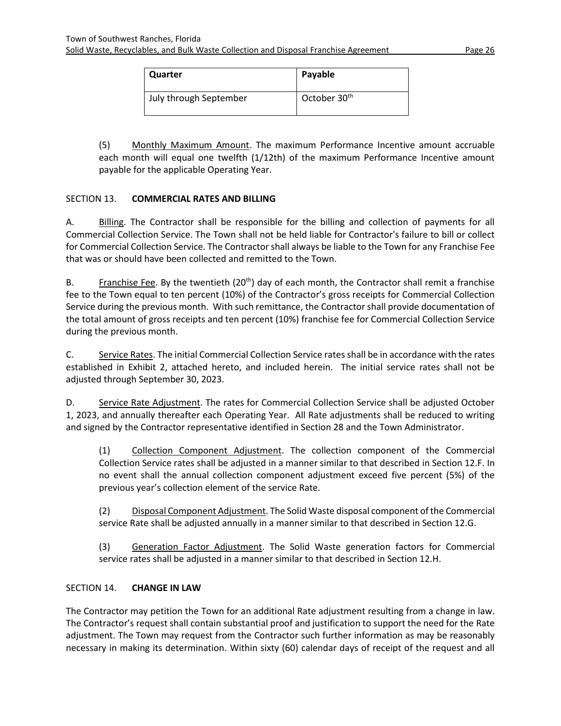| Quarter                | Payable                  |
|------------------------|--------------------------|
| July through September | October 30 <sup>th</sup> |

(5) Monthly Maximum Amount. The maximum Performance Incentive amount accruable each month will equal one twelfth (1/12th) of the maximum Performance Incentive amount payable for the applicable Operating Year.

# <span id="page-28-0"></span>SECTION 13. **COMMERCIAL RATES AND BILLING**

A. Billing. The Contractor shall be responsible for the billing and collection of payments for all Commercial Collection Service. The Town shall not be held liable for Contractor's failure to bill or collect for Commercial Collection Service. The Contractorshall always be liable to the Town for any Franchise Fee that was or should have been collected and remitted to the Town.

B. Franchise Fee. By the twentieth  $(20<sup>th</sup>)$  day of each month, the Contractor shall remit a franchise fee to the Town equal to ten percent (10%) of the Contractor's gross receipts for Commercial Collection Service during the previous month. With such remittance, the Contractorshall provide documentation of the total amount of gross receipts and ten percent (10%) franchise fee for Commercial Collection Service during the previous month.

C. Service Rates. The initial Commercial Collection Service rates shall be in accordance with the rates established in Exhibit 2, attached hereto, and included herein. The initial service rates shall not be adjusted through September 30, 2023.

D. Service Rate Adjustment. The rates for Commercial Collection Service shall be adjusted October 1, 2023, and annually thereafter each Operating Year. All Rate adjustments shall be reduced to writing and signed by the Contractor representative identified in Section 28 and the Town Administrator.

(1) Collection Component Adjustment. The collection component of the Commercial Collection Service rates shall be adjusted in a manner similar to that described in Section 12.F. In no event shall the annual collection component adjustment exceed five percent (5%) of the previous year's collection element of the service Rate.

(2) Disposal Component Adjustment. The Solid Waste disposal component of the Commercial service Rate shall be adjusted annually in a manner similar to that described in Section 12.G.

(3) Generation Factor Adjustment. The Solid Waste generation factors for Commercial service rates shall be adjusted in a manner similar to that described in Section 12.H.

# <span id="page-28-1"></span>SECTION 14. **CHANGE IN LAW**

The Contractor may petition the Town for an additional Rate adjustment resulting from a change in law. The Contractor's request shall contain substantial proof and justification to support the need for the Rate adjustment. The Town may request from the Contractor such further information as may be reasonably necessary in making its determination. Within sixty (60) calendar days of receipt of the request and all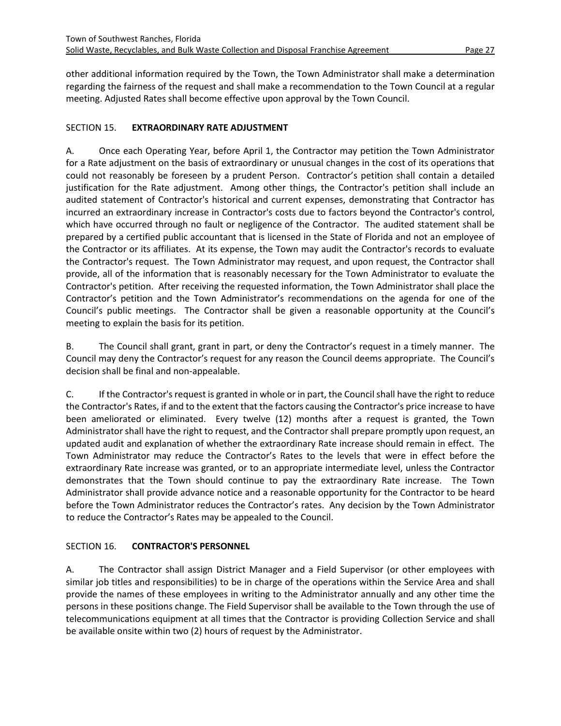other additional information required by the Town, the Town Administrator shall make a determination regarding the fairness of the request and shall make a recommendation to the Town Council at a regular meeting. Adjusted Rates shall become effective upon approval by the Town Council.

#### <span id="page-29-0"></span>SECTION 15. **EXTRAORDINARY RATE ADJUSTMENT**

A. Once each Operating Year, before April 1, the Contractor may petition the Town Administrator for a Rate adjustment on the basis of extraordinary or unusual changes in the cost of its operations that could not reasonably be foreseen by a prudent Person. Contractor's petition shall contain a detailed justification for the Rate adjustment. Among other things, the Contractor's petition shall include an audited statement of Contractor's historical and current expenses, demonstrating that Contractor has incurred an extraordinary increase in Contractor's costs due to factors beyond the Contractor's control, which have occurred through no fault or negligence of the Contractor. The audited statement shall be prepared by a certified public accountant that is licensed in the State of Florida and not an employee of the Contractor or its affiliates. At its expense, the Town may audit the Contractor's records to evaluate the Contractor's request. The Town Administrator may request, and upon request, the Contractor shall provide, all of the information that is reasonably necessary for the Town Administrator to evaluate the Contractor's petition. After receiving the requested information, the Town Administrator shall place the Contractor's petition and the Town Administrator's recommendations on the agenda for one of the Council's public meetings. The Contractor shall be given a reasonable opportunity at the Council's meeting to explain the basis for its petition.

B. The Council shall grant, grant in part, or deny the Contractor's request in a timely manner. The Council may deny the Contractor's request for any reason the Council deems appropriate. The Council's decision shall be final and non-appealable.

C. If the Contractor's request is granted in whole or in part, the Council shall have the right to reduce the Contractor's Rates, if and to the extent that the factors causing the Contractor's price increase to have been ameliorated or eliminated. Every twelve (12) months after a request is granted, the Town Administrator shall have the right to request, and the Contractor shall prepare promptly upon request, an updated audit and explanation of whether the extraordinary Rate increase should remain in effect. The Town Administrator may reduce the Contractor's Rates to the levels that were in effect before the extraordinary Rate increase was granted, or to an appropriate intermediate level, unless the Contractor demonstrates that the Town should continue to pay the extraordinary Rate increase. The Town Administrator shall provide advance notice and a reasonable opportunity for the Contractor to be heard before the Town Administrator reduces the Contractor's rates. Any decision by the Town Administrator to reduce the Contractor's Rates may be appealed to the Council.

# <span id="page-29-1"></span>SECTION 16. **CONTRACTOR'S PERSONNEL**

A. The Contractor shall assign District Manager and a Field Supervisor (or other employees with similar job titles and responsibilities) to be in charge of the operations within the Service Area and shall provide the names of these employees in writing to the Administrator annually and any other time the persons in these positions change. The Field Supervisor shall be available to the Town through the use of telecommunications equipment at all times that the Contractor is providing Collection Service and shall be available onsite within two (2) hours of request by the Administrator.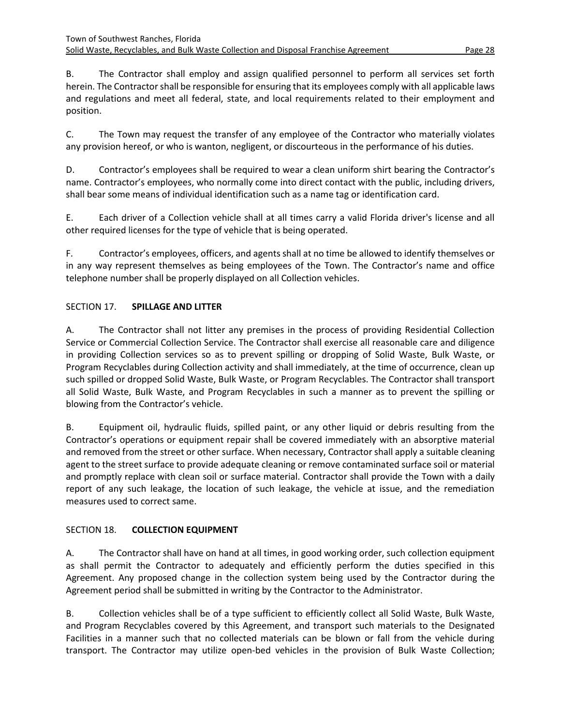B. The Contractor shall employ and assign qualified personnel to perform all services set forth herein. The Contractor shall be responsible for ensuring that its employees comply with all applicable laws and regulations and meet all federal, state, and local requirements related to their employment and position.

C. The Town may request the transfer of any employee of the Contractor who materially violates any provision hereof, or who is wanton, negligent, or discourteous in the performance of his duties.

D. Contractor's employees shall be required to wear a clean uniform shirt bearing the Contractor's name. Contractor's employees, who normally come into direct contact with the public, including drivers, shall bear some means of individual identification such as a name tag or identification card.

E. Each driver of a Collection vehicle shall at all times carry a valid Florida driver's license and all other required licenses for the type of vehicle that is being operated.

F. Contractor's employees, officers, and agents shall at no time be allowed to identify themselves or in any way represent themselves as being employees of the Town. The Contractor's name and office telephone number shall be properly displayed on all Collection vehicles.

# <span id="page-30-0"></span>SECTION 17. **SPILLAGE AND LITTER**

A. The Contractor shall not litter any premises in the process of providing Residential Collection Service or Commercial Collection Service. The Contractor shall exercise all reasonable care and diligence in providing Collection services so as to prevent spilling or dropping of Solid Waste, Bulk Waste, or Program Recyclables during Collection activity and shall immediately, at the time of occurrence, clean up such spilled or dropped Solid Waste, Bulk Waste, or Program Recyclables. The Contractor shall transport all Solid Waste, Bulk Waste, and Program Recyclables in such a manner as to prevent the spilling or blowing from the Contractor's vehicle.

B. Equipment oil, hydraulic fluids, spilled paint, or any other liquid or debris resulting from the Contractor's operations or equipment repair shall be covered immediately with an absorptive material and removed from the street or other surface. When necessary, Contractorshall apply a suitable cleaning agent to the street surface to provide adequate cleaning or remove contaminated surface soil or material and promptly replace with clean soil or surface material. Contractor shall provide the Town with a daily report of any such leakage, the location of such leakage, the vehicle at issue, and the remediation measures used to correct same.

# <span id="page-30-1"></span>SECTION 18. **COLLECTION EQUIPMENT**

A. The Contractor shall have on hand at all times, in good working order, such collection equipment as shall permit the Contractor to adequately and efficiently perform the duties specified in this Agreement. Any proposed change in the collection system being used by the Contractor during the Agreement period shall be submitted in writing by the Contractor to the Administrator.

B. Collection vehicles shall be of a type sufficient to efficiently collect all Solid Waste, Bulk Waste, and Program Recyclables covered by this Agreement, and transport such materials to the Designated Facilities in a manner such that no collected materials can be blown or fall from the vehicle during transport. The Contractor may utilize open-bed vehicles in the provision of Bulk Waste Collection;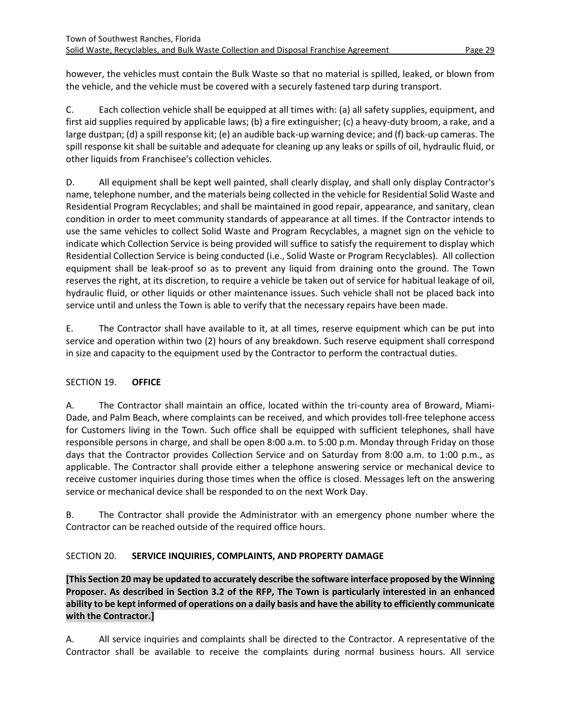however, the vehicles must contain the Bulk Waste so that no material is spilled, leaked, or blown from the vehicle, and the vehicle must be covered with a securely fastened tarp during transport.

C. Each collection vehicle shall be equipped at all times with: (a) all safety supplies, equipment, and first aid supplies required by applicable laws; (b) a fire extinguisher; (c) a heavy-duty broom, a rake, and a large dustpan; (d) a spill response kit; (e) an audible back-up warning device; and (f) back-up cameras. The spill response kit shall be suitable and adequate for cleaning up any leaks or spills of oil, hydraulic fluid, or other liquids from Franchisee's collection vehicles.

D. All equipment shall be kept well painted, shall clearly display, and shall only display Contractor's name, telephone number, and the materials being collected in the vehicle for Residential Solid Waste and Residential Program Recyclables; and shall be maintained in good repair, appearance, and sanitary, clean condition in order to meet community standards of appearance at all times. If the Contractor intends to use the same vehicles to collect Solid Waste and Program Recyclables, a magnet sign on the vehicle to indicate which Collection Service is being provided will suffice to satisfy the requirement to display which Residential Collection Service is being conducted (i.e., Solid Waste or Program Recyclables). All collection equipment shall be leak-proof so as to prevent any liquid from draining onto the ground. The Town reserves the right, at its discretion, to require a vehicle be taken out of service for habitual leakage of oil, hydraulic fluid, or other liquids or other maintenance issues. Such vehicle shall not be placed back into service until and unless the Town is able to verify that the necessary repairs have been made.

E. The Contractor shall have available to it, at all times, reserve equipment which can be put into service and operation within two (2) hours of any breakdown. Such reserve equipment shall correspond in size and capacity to the equipment used by the Contractor to perform the contractual duties.

# <span id="page-31-0"></span>SECTION 19. **OFFICE**

A. The Contractor shall maintain an office, located within the tri-county area of Broward, Miami-Dade, and Palm Beach, where complaints can be received, and which provides toll-free telephone access for Customers living in the Town. Such office shall be equipped with sufficient telephones, shall have responsible persons in charge, and shall be open 8:00 a.m. to 5:00 p.m. Monday through Friday on those days that the Contractor provides Collection Service and on Saturday from 8:00 a.m. to 1:00 p.m., as applicable. The Contractor shall provide either a telephone answering service or mechanical device to receive customer inquiries during those times when the office is closed. Messages left on the answering service or mechanical device shall be responded to on the next Work Day.

B. The Contractor shall provide the Administrator with an emergency phone number where the Contractor can be reached outside of the required office hours.

# <span id="page-31-1"></span>SECTION 20. **SERVICE INQUIRIES, COMPLAINTS, AND PROPERTY DAMAGE**

**[This Section 20 may be updated to accurately describe the software interface proposed by the Winning Proposer. As described in Section 3.2 of the RFP, The Town is particularly interested in an enhanced ability to be kept informed of operations on a daily basis and have the ability to efficiently communicate with the Contractor.]**

A. All service inquiries and complaints shall be directed to the Contractor. A representative of the Contractor shall be available to receive the complaints during normal business hours. All service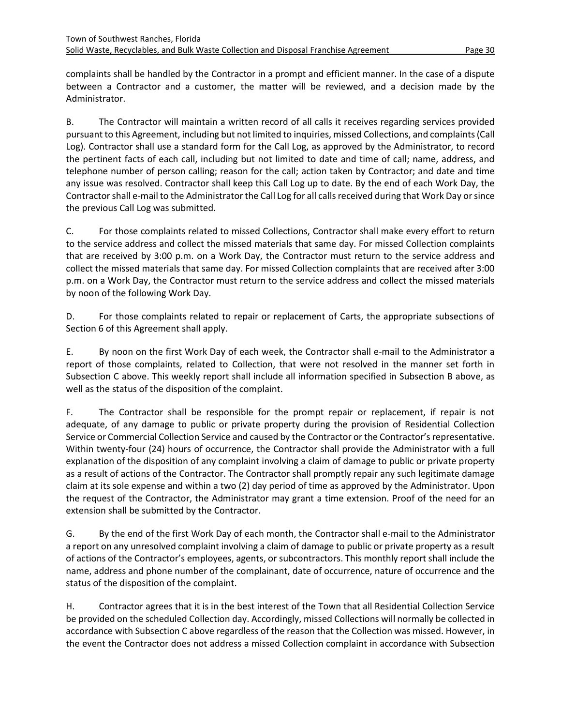complaints shall be handled by the Contractor in a prompt and efficient manner. In the case of a dispute between a Contractor and a customer, the matter will be reviewed, and a decision made by the Administrator.

B. The Contractor will maintain a written record of all calls it receives regarding services provided pursuant to this Agreement, including but not limited to inquiries, missed Collections, and complaints (Call Log). Contractor shall use a standard form for the Call Log, as approved by the Administrator, to record the pertinent facts of each call, including but not limited to date and time of call; name, address, and telephone number of person calling; reason for the call; action taken by Contractor; and date and time any issue was resolved. Contractor shall keep this Call Log up to date. By the end of each Work Day, the Contractorshall e-mail to the Administrator the Call Log for all calls received during that Work Day or since the previous Call Log was submitted.

C. For those complaints related to missed Collections, Contractor shall make every effort to return to the service address and collect the missed materials that same day. For missed Collection complaints that are received by 3:00 p.m. on a Work Day, the Contractor must return to the service address and collect the missed materials that same day. For missed Collection complaints that are received after 3:00 p.m. on a Work Day, the Contractor must return to the service address and collect the missed materials by noon of the following Work Day.

D. For those complaints related to repair or replacement of Carts, the appropriate subsections of Section 6 of this Agreement shall apply.

E. By noon on the first Work Day of each week, the Contractor shall e-mail to the Administrator a report of those complaints, related to Collection, that were not resolved in the manner set forth in Subsection C above. This weekly report shall include all information specified in Subsection B above, as well as the status of the disposition of the complaint.

F. The Contractor shall be responsible for the prompt repair or replacement, if repair is not adequate, of any damage to public or private property during the provision of Residential Collection Service or Commercial Collection Service and caused by the Contractor or the Contractor's representative. Within twenty-four (24) hours of occurrence, the Contractor shall provide the Administrator with a full explanation of the disposition of any complaint involving a claim of damage to public or private property as a result of actions of the Contractor. The Contractor shall promptly repair any such legitimate damage claim at its sole expense and within a two (2) day period of time as approved by the Administrator. Upon the request of the Contractor, the Administrator may grant a time extension. Proof of the need for an extension shall be submitted by the Contractor.

G. By the end of the first Work Day of each month, the Contractor shall e-mail to the Administrator a report on any unresolved complaint involving a claim of damage to public or private property as a result of actions of the Contractor's employees, agents, or subcontractors. This monthly report shall include the name, address and phone number of the complainant, date of occurrence, nature of occurrence and the status of the disposition of the complaint.

H. Contractor agrees that it is in the best interest of the Town that all Residential Collection Service be provided on the scheduled Collection day. Accordingly, missed Collections will normally be collected in accordance with Subsection C above regardless of the reason that the Collection was missed. However, in the event the Contractor does not address a missed Collection complaint in accordance with Subsection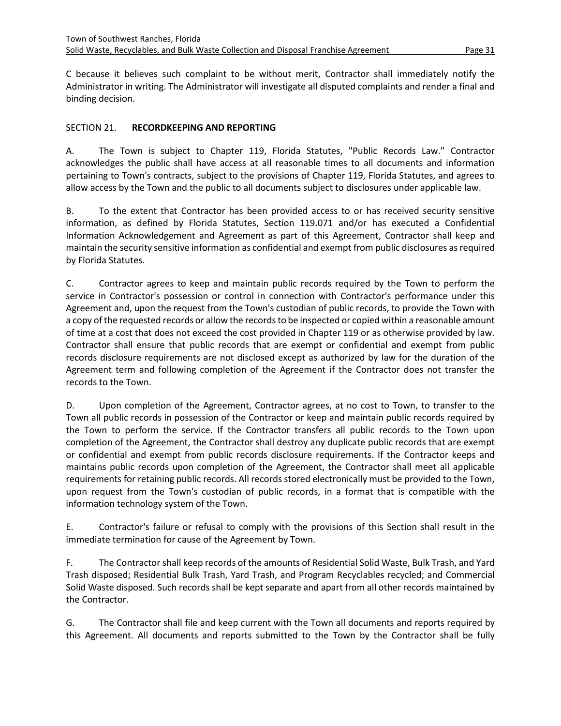C because it believes such complaint to be without merit, Contractor shall immediately notify the Administrator in writing. The Administrator will investigate all disputed complaints and render a final and binding decision.

#### <span id="page-33-0"></span>SECTION 21. **RECORDKEEPING AND REPORTING**

A. The Town is subject to Chapter 119, Florida Statutes, "Public Records Law." Contractor acknowledges the public shall have access at all reasonable times to all documents and information pertaining to Town's contracts, subject to the provisions of Chapter 119, Florida Statutes, and agrees to allow access by the Town and the public to all documents subject to disclosures under applicable law.

B. To the extent that Contractor has been provided access to or has received security sensitive information, as defined by Florida Statutes, Section 119.071 and/or has executed a Confidential Information Acknowledgement and Agreement as part of this Agreement, Contractor shall keep and maintain the security sensitive information as confidential and exempt from public disclosures as required by Florida Statutes.

C. Contractor agrees to keep and maintain public records required by the Town to perform the service in Contractor's possession or control in connection with Contractor's performance under this Agreement and, upon the request from the Town's custodian of public records, to provide the Town with a copy of the requested records or allow the records to be inspected or copied within a reasonable amount of time at a cost that does not exceed the cost provided in Chapter 119 or as otherwise provided by law. Contractor shall ensure that public records that are exempt or confidential and exempt from public records disclosure requirements are not disclosed except as authorized by law for the duration of the Agreement term and following completion of the Agreement if the Contractor does not transfer the records to the Town.

D. Upon completion of the Agreement, Contractor agrees, at no cost to Town, to transfer to the Town all public records in possession of the Contractor or keep and maintain public records required by the Town to perform the service. If the Contractor transfers all public records to the Town upon completion of the Agreement, the Contractor shall destroy any duplicate public records that are exempt or confidential and exempt from public records disclosure requirements. If the Contractor keeps and maintains public records upon completion of the Agreement, the Contractor shall meet all applicable requirements for retaining public records. All records stored electronically must be provided to the Town, upon request from the Town's custodian of public records, in a format that is compatible with the information technology system of the Town.

E. Contractor's failure or refusal to comply with the provisions of this Section shall result in the immediate termination for cause of the Agreement by Town.

F. The Contractor shall keep records of the amounts of Residential Solid Waste, Bulk Trash, and Yard Trash disposed; Residential Bulk Trash, Yard Trash, and Program Recyclables recycled; and Commercial Solid Waste disposed. Such records shall be kept separate and apart from all other records maintained by the Contractor.

G. The Contractor shall file and keep current with the Town all documents and reports required by this Agreement. All documents and reports submitted to the Town by the Contractor shall be fully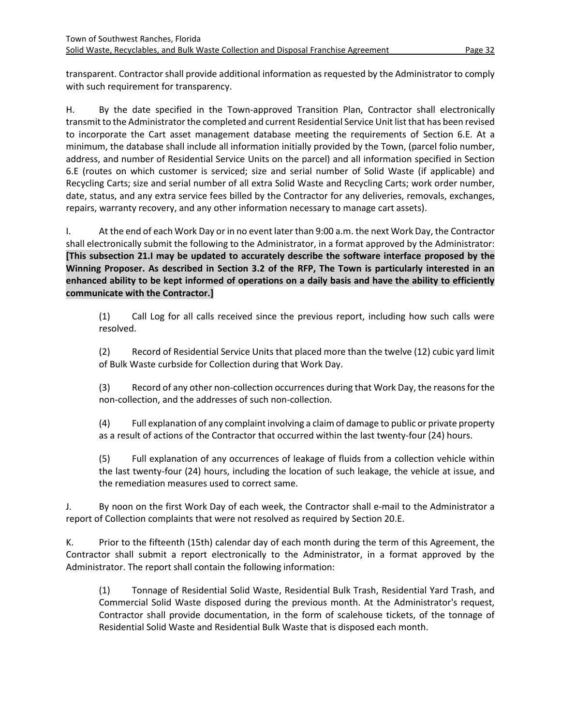transparent. Contractorshall provide additional information as requested by the Administrator to comply with such requirement for transparency.

H. By the date specified in the Town-approved Transition Plan, Contractor shall electronically transmit to the Administrator the completed and current Residential Service Unit list that has been revised to incorporate the Cart asset management database meeting the requirements of Section 6.E. At a minimum, the database shall include all information initially provided by the Town, (parcel folio number, address, and number of Residential Service Units on the parcel) and all information specified in Section 6.E (routes on which customer is serviced; size and serial number of Solid Waste (if applicable) and Recycling Carts; size and serial number of all extra Solid Waste and Recycling Carts; work order number, date, status, and any extra service fees billed by the Contractor for any deliveries, removals, exchanges, repairs, warranty recovery, and any other information necessary to manage cart assets).

I. At the end of each Work Day or in no event later than 9:00 a.m. the next Work Day, the Contractor shall electronically submit the following to the Administrator, in a format approved by the Administrator: **[This subsection 21.I may be updated to accurately describe the software interface proposed by the Winning Proposer. As described in Section 3.2 of the RFP, The Town is particularly interested in an enhanced ability to be kept informed of operations on a daily basis and have the ability to efficiently communicate with the Contractor.]**

(1) Call Log for all calls received since the previous report, including how such calls were resolved.

(2) Record of Residential Service Units that placed more than the twelve (12) cubic yard limit of Bulk Waste curbside for Collection during that Work Day.

(3) Record of any other non-collection occurrences during that Work Day, the reasons for the non-collection, and the addresses of such non-collection.

(4) Full explanation of any complaint involving a claim of damage to public or private property as a result of actions of the Contractor that occurred within the last twenty-four (24) hours.

(5) Full explanation of any occurrences of leakage of fluids from a collection vehicle within the last twenty-four (24) hours, including the location of such leakage, the vehicle at issue, and the remediation measures used to correct same.

J. By noon on the first Work Day of each week, the Contractor shall e-mail to the Administrator a report of Collection complaints that were not resolved as required by Section 20.E.

K. Prior to the fifteenth (15th) calendar day of each month during the term of this Agreement, the Contractor shall submit a report electronically to the Administrator, in a format approved by the Administrator. The report shall contain the following information:

(1) Tonnage of Residential Solid Waste, Residential Bulk Trash, Residential Yard Trash, and Commercial Solid Waste disposed during the previous month. At the Administrator's request, Contractor shall provide documentation, in the form of scalehouse tickets, of the tonnage of Residential Solid Waste and Residential Bulk Waste that is disposed each month.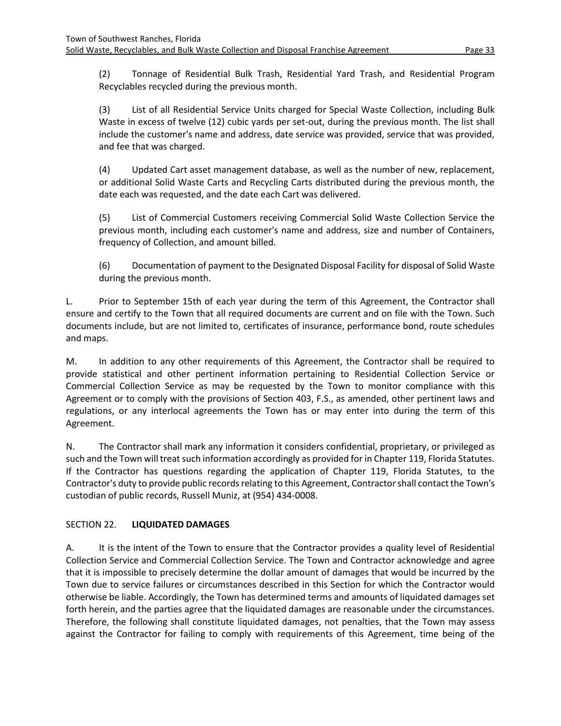(2) Tonnage of Residential Bulk Trash, Residential Yard Trash, and Residential Program Recyclables recycled during the previous month.

(3) List of all Residential Service Units charged for Special Waste Collection, including Bulk Waste in excess of twelve (12) cubic yards per set-out, during the previous month. The list shall include the customer's name and address, date service was provided, service that was provided, and fee that was charged.

(4) Updated Cart asset management database, as well as the number of new, replacement, or additional Solid Waste Carts and Recycling Carts distributed during the previous month, the date each was requested, and the date each Cart was delivered.

(5) List of Commercial Customers receiving Commercial Solid Waste Collection Service the previous month, including each customer's name and address, size and number of Containers, frequency of Collection, and amount billed.

(6) Documentation of payment to the Designated Disposal Facility for disposal of Solid Waste during the previous month.

L. Prior to September 15th of each year during the term of this Agreement, the Contractor shall ensure and certify to the Town that all required documents are current and on file with the Town. Such documents include, but are not limited to, certificates of insurance, performance bond, route schedules and maps.

M. In addition to any other requirements of this Agreement, the Contractor shall be required to provide statistical and other pertinent information pertaining to Residential Collection Service or Commercial Collection Service as may be requested by the Town to monitor compliance with this Agreement or to comply with the provisions of Section 403, F.S., as amended, other pertinent laws and regulations, or any interlocal agreements the Town has or may enter into during the term of this Agreement.

N. The Contractor shall mark any information it considers confidential, proprietary, or privileged as such and the Town will treat such information accordingly as provided for in Chapter 119, Florida Statutes. If the Contractor has questions regarding the application of Chapter 119, Florida Statutes, to the Contractor's duty to provide public records relating to this Agreement, Contractorshall contact the Town's custodian of public records, Russell Muniz, at (954) 434-0008.

# <span id="page-35-0"></span>SECTION 22. **LIQUIDATED DAMAGES**

A. It is the intent of the Town to ensure that the Contractor provides a quality level of Residential Collection Service and Commercial Collection Service. The Town and Contractor acknowledge and agree that it is impossible to precisely determine the dollar amount of damages that would be incurred by the Town due to service failures or circumstances described in this Section for which the Contractor would otherwise be liable. Accordingly, the Town has determined terms and amounts of liquidated damages set forth herein, and the parties agree that the liquidated damages are reasonable under the circumstances. Therefore, the following shall constitute liquidated damages, not penalties, that the Town may assess against the Contractor for failing to comply with requirements of this Agreement, time being of the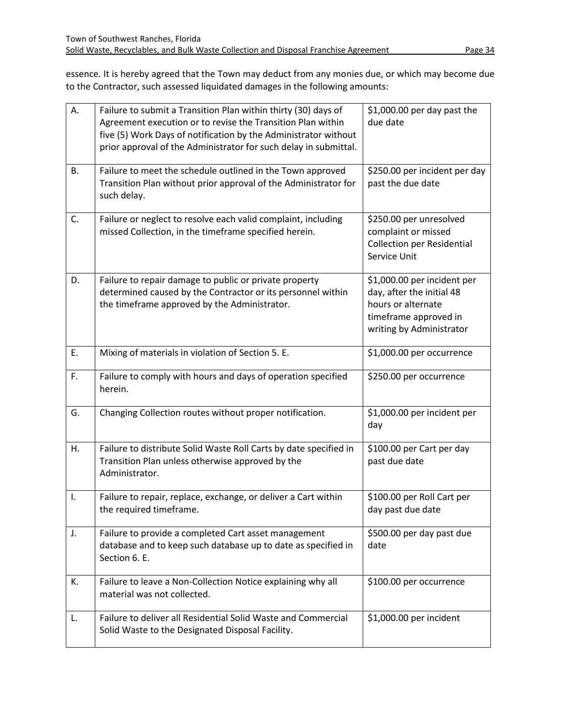essence. It is hereby agreed that the Town may deduct from any monies due, or which may become due to the Contractor, such assessed liquidated damages in the following amounts:

| А.             | Failure to submit a Transition Plan within thirty (30) days of<br>Agreement execution or to revise the Transition Plan within<br>five (5) Work Days of notification by the Administrator without<br>prior approval of the Administrator for such delay in submittal. | \$1,000.00 per day past the<br>due date                                                                                             |
|----------------|----------------------------------------------------------------------------------------------------------------------------------------------------------------------------------------------------------------------------------------------------------------------|-------------------------------------------------------------------------------------------------------------------------------------|
| <b>B.</b>      | Failure to meet the schedule outlined in the Town approved<br>Transition Plan without prior approval of the Administrator for<br>such delay.                                                                                                                         | \$250.00 per incident per day<br>past the due date                                                                                  |
| C.             | Failure or neglect to resolve each valid complaint, including<br>missed Collection, in the timeframe specified herein.                                                                                                                                               | \$250.00 per unresolved<br>complaint or missed<br><b>Collection per Residential</b><br>Service Unit                                 |
| D.             | Failure to repair damage to public or private property<br>determined caused by the Contractor or its personnel within<br>the timeframe approved by the Administrator.                                                                                                | \$1,000.00 per incident per<br>day, after the initial 48<br>hours or alternate<br>timeframe approved in<br>writing by Administrator |
| E.             | Mixing of materials in violation of Section 5. E.                                                                                                                                                                                                                    | \$1,000.00 per occurrence                                                                                                           |
| F.             | Failure to comply with hours and days of operation specified<br>herein.                                                                                                                                                                                              | \$250.00 per occurrence                                                                                                             |
| G.             | Changing Collection routes without proper notification.                                                                                                                                                                                                              | \$1,000.00 per incident per<br>day                                                                                                  |
| Η.             | Failure to distribute Solid Waste Roll Carts by date specified in<br>Transition Plan unless otherwise approved by the<br>Administrator.                                                                                                                              | \$100.00 per Cart per day<br>past due date                                                                                          |
| $\mathbf{I}$ . | Failure to repair, replace, exchange, or deliver a Cart within<br>the required timeframe.                                                                                                                                                                            | \$100.00 per Roll Cart per<br>day past due date                                                                                     |
| J.             | Failure to provide a completed Cart asset management<br>database and to keep such database up to date as specified in<br>Section 6. E.                                                                                                                               | \$500.00 per day past due<br>date                                                                                                   |
| К.             | Failure to leave a Non-Collection Notice explaining why all<br>material was not collected.                                                                                                                                                                           | \$100.00 per occurrence                                                                                                             |
| L.             | Failure to deliver all Residential Solid Waste and Commercial<br>Solid Waste to the Designated Disposal Facility.                                                                                                                                                    | \$1,000.00 per incident                                                                                                             |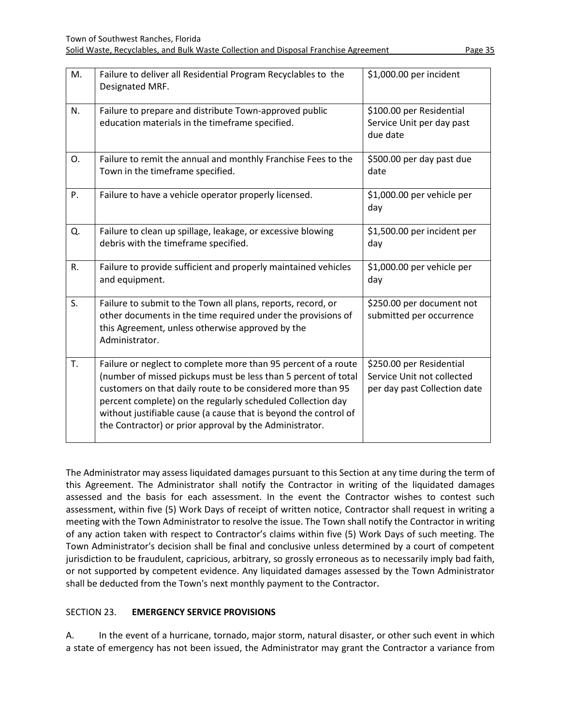| M. | Failure to deliver all Residential Program Recyclables to the<br>Designated MRF.                                                                                                                                                                                                                                                                                                              | \$1,000.00 per incident                                                                |
|----|-----------------------------------------------------------------------------------------------------------------------------------------------------------------------------------------------------------------------------------------------------------------------------------------------------------------------------------------------------------------------------------------------|----------------------------------------------------------------------------------------|
| N. | Failure to prepare and distribute Town-approved public<br>education materials in the timeframe specified.                                                                                                                                                                                                                                                                                     | \$100.00 per Residential<br>Service Unit per day past<br>due date                      |
| О. | Failure to remit the annual and monthly Franchise Fees to the<br>Town in the timeframe specified.                                                                                                                                                                                                                                                                                             | \$500.00 per day past due<br>date                                                      |
| P. | Failure to have a vehicle operator properly licensed.                                                                                                                                                                                                                                                                                                                                         | \$1,000.00 per vehicle per<br>day                                                      |
| Q. | Failure to clean up spillage, leakage, or excessive blowing<br>debris with the timeframe specified.                                                                                                                                                                                                                                                                                           | \$1,500.00 per incident per<br>day                                                     |
| R. | Failure to provide sufficient and properly maintained vehicles<br>and equipment.                                                                                                                                                                                                                                                                                                              | \$1,000.00 per vehicle per<br>day                                                      |
| S. | Failure to submit to the Town all plans, reports, record, or<br>other documents in the time required under the provisions of<br>this Agreement, unless otherwise approved by the<br>Administrator.                                                                                                                                                                                            | \$250.00 per document not<br>submitted per occurrence                                  |
| T. | Failure or neglect to complete more than 95 percent of a route<br>(number of missed pickups must be less than 5 percent of total<br>customers on that daily route to be considered more than 95<br>percent complete) on the regularly scheduled Collection day<br>without justifiable cause (a cause that is beyond the control of<br>the Contractor) or prior approval by the Administrator. | \$250.00 per Residential<br>Service Unit not collected<br>per day past Collection date |

The Administrator may assess liquidated damages pursuant to this Section at any time during the term of this Agreement. The Administrator shall notify the Contractor in writing of the liquidated damages assessed and the basis for each assessment. In the event the Contractor wishes to contest such assessment, within five (5) Work Days of receipt of written notice, Contractor shall request in writing a meeting with the Town Administrator to resolve the issue. The Town shall notify the Contractor in writing of any action taken with respect to Contractor's claims within five (5) Work Days of such meeting. The Town Administrator's decision shall be final and conclusive unless determined by a court of competent jurisdiction to be fraudulent, capricious, arbitrary, so grossly erroneous as to necessarily imply bad faith, or not supported by competent evidence. Any liquidated damages assessed by the Town Administrator shall be deducted from the Town's next monthly payment to the Contractor.

# <span id="page-37-0"></span>SECTION 23. **EMERGENCY SERVICE PROVISIONS**

A. In the event of a hurricane, tornado, major storm, natural disaster, or other such event in which a state of emergency has not been issued, the Administrator may grant the Contractor a variance from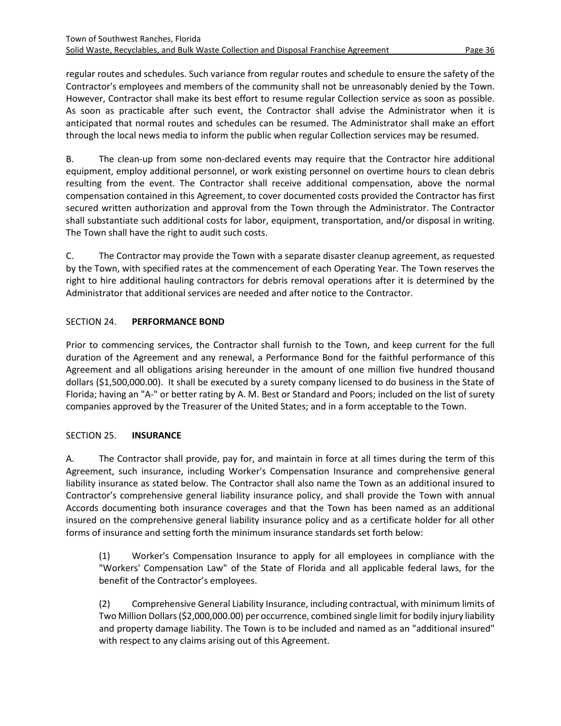regular routes and schedules. Such variance from regular routes and schedule to ensure the safety of the Contractor's employees and members of the community shall not be unreasonably denied by the Town. However, Contractor shall make its best effort to resume regular Collection service as soon as possible. As soon as practicable after such event, the Contractor shall advise the Administrator when it is anticipated that normal routes and schedules can be resumed. The Administrator shall make an effort through the local news media to inform the public when regular Collection services may be resumed.

B. The clean-up from some non-declared events may require that the Contractor hire additional equipment, employ additional personnel, or work existing personnel on overtime hours to clean debris resulting from the event. The Contractor shall receive additional compensation, above the normal compensation contained in this Agreement, to cover documented costs provided the Contractor has first secured written authorization and approval from the Town through the Administrator. The Contractor shall substantiate such additional costs for labor, equipment, transportation, and/or disposal in writing. The Town shall have the right to audit such costs.

C. The Contractor may provide the Town with a separate disaster cleanup agreement, as requested by the Town, with specified rates at the commencement of each Operating Year. The Town reserves the right to hire additional hauling contractors for debris removal operations after it is determined by the Administrator that additional services are needed and after notice to the Contractor.

# <span id="page-38-0"></span>SECTION 24. **PERFORMANCE BOND**

Prior to commencing services, the Contractor shall furnish to the Town, and keep current for the full duration of the Agreement and any renewal, a Performance Bond for the faithful performance of this Agreement and all obligations arising hereunder in the amount of one million five hundred thousand dollars (\$1,500,000.00). It shall be executed by a surety company licensed to do business in the State of Florida; having an "A-" or better rating by A. M. Best or Standard and Poors; included on the list of surety companies approved by the Treasurer of the United States; and in a form acceptable to the Town.

# <span id="page-38-1"></span>SECTION 25. **INSURANCE**

A. The Contractor shall provide, pay for, and maintain in force at all times during the term of this Agreement, such insurance, including Worker's Compensation Insurance and comprehensive general liability insurance as stated below. The Contractor shall also name the Town as an additional insured to Contractor's comprehensive general liability insurance policy, and shall provide the Town with annual Accords documenting both insurance coverages and that the Town has been named as an additional insured on the comprehensive general liability insurance policy and as a certificate holder for all other forms of insurance and setting forth the minimum insurance standards set forth below:

(1) Worker's Compensation Insurance to apply for all employees in compliance with the "Workers' Compensation Law" of the State of Florida and all applicable federal laws, for the benefit of the Contractor's employees.

(2) Comprehensive General Liability Insurance, including contractual, with minimum limits of Two Million Dollars (\$2,000,000.00) per occurrence, combined single limit for bodily injury liability and property damage liability. The Town is to be included and named as an "additional insured" with respect to any claims arising out of this Agreement.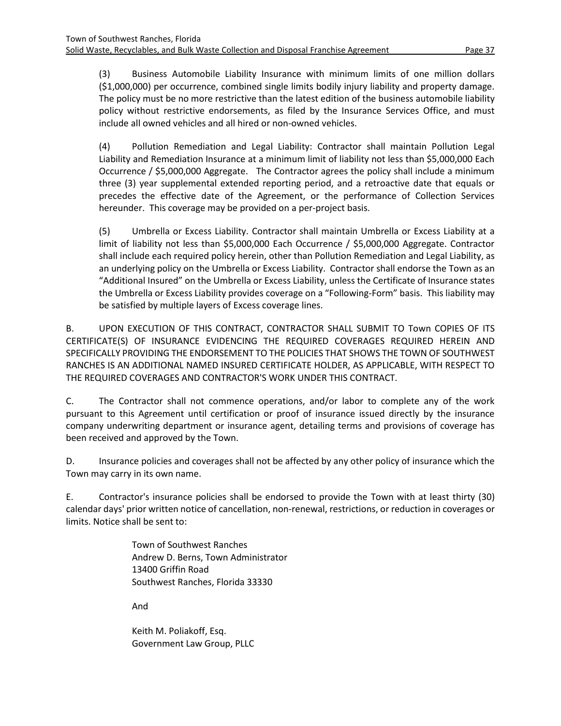(3) Business Automobile Liability Insurance with minimum limits of one million dollars (\$1,000,000) per occurrence, combined single limits bodily injury liability and property damage. The policy must be no more restrictive than the latest edition of the business automobile liability policy without restrictive endorsements, as filed by the Insurance Services Office, and must include all owned vehicles and all hired or non-owned vehicles.

(4) Pollution Remediation and Legal Liability: Contractor shall maintain Pollution Legal Liability and Remediation Insurance at a minimum limit of liability not less than \$5,000,000 Each Occurrence / \$5,000,000 Aggregate. The Contractor agrees the policy shall include a minimum three (3) year supplemental extended reporting period, and a retroactive date that equals or precedes the effective date of the Agreement, or the performance of Collection Services hereunder. This coverage may be provided on a per-project basis.

(5) Umbrella or Excess Liability. Contractor shall maintain Umbrella or Excess Liability at a limit of liability not less than \$5,000,000 Each Occurrence / \$5,000,000 Aggregate. Contractor shall include each required policy herein, other than Pollution Remediation and Legal Liability, as an underlying policy on the Umbrella or Excess Liability. Contractor shall endorse the Town as an "Additional Insured" on the Umbrella or Excess Liability, unless the Certificate of Insurance states the Umbrella or Excess Liability provides coverage on a "Following-Form" basis. This liability may be satisfied by multiple layers of Excess coverage lines.

B. UPON EXECUTION OF THIS CONTRACT, CONTRACTOR SHALL SUBMIT TO Town COPIES OF ITS CERTIFICATE(S) OF INSURANCE EVIDENCING THE REQUIRED COVERAGES REQUIRED HEREIN AND SPECIFICALLY PROVIDING THE ENDORSEMENT TO THE POLICIES THAT SHOWS THE TOWN OF SOUTHWEST RANCHES IS AN ADDITIONAL NAMED INSURED CERTIFICATE HOLDER, AS APPLICABLE, WITH RESPECT TO THE REQUIRED COVERAGES AND CONTRACTOR'S WORK UNDER THIS CONTRACT.

C. The Contractor shall not commence operations, and/or labor to complete any of the work pursuant to this Agreement until certification or proof of insurance issued directly by the insurance company underwriting department or insurance agent, detailing terms and provisions of coverage has been received and approved by the Town.

D. Insurance policies and coverages shall not be affected by any other policy of insurance which the Town may carry in its own name.

E. Contractor's insurance policies shall be endorsed to provide the Town with at least thirty (30) calendar days' prior written notice of cancellation, non-renewal, restrictions, or reduction in coverages or limits. Notice shall be sent to:

> Town of Southwest Ranches Andrew D. Berns, Town Administrator 13400 Griffin Road Southwest Ranches, Florida 33330

And

Keith M. Poliakoff, Esq. Government Law Group, PLLC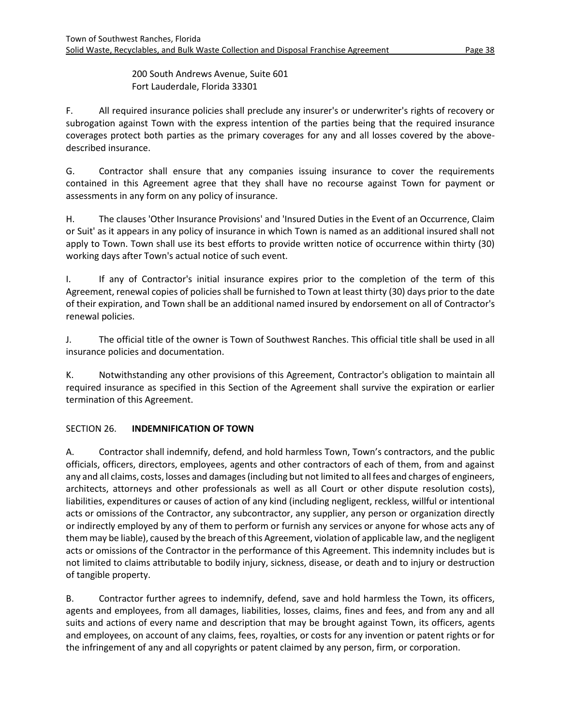200 South Andrews Avenue, Suite 601 Fort Lauderdale, Florida 33301

F. All required insurance policies shall preclude any insurer's or underwriter's rights of recovery or subrogation against Town with the express intention of the parties being that the required insurance coverages protect both parties as the primary coverages for any and all losses covered by the abovedescribed insurance.

G. Contractor shall ensure that any companies issuing insurance to cover the requirements contained in this Agreement agree that they shall have no recourse against Town for payment or assessments in any form on any policy of insurance.

H. The clauses 'Other Insurance Provisions' and 'Insured Duties in the Event of an Occurrence, Claim or Suit' as it appears in any policy of insurance in which Town is named as an additional insured shall not apply to Town. Town shall use its best efforts to provide written notice of occurrence within thirty (30) working days after Town's actual notice of such event.

I. If any of Contractor's initial insurance expires prior to the completion of the term of this Agreement, renewal copies of policies shall be furnished to Town at least thirty (30) days prior to the date of their expiration, and Town shall be an additional named insured by endorsement on all of Contractor's renewal policies.

J. The official title of the owner is Town of Southwest Ranches. This official title shall be used in all insurance policies and documentation.

K. Notwithstanding any other provisions of this Agreement, Contractor's obligation to maintain all required insurance as specified in this Section of the Agreement shall survive the expiration or earlier termination of this Agreement.

# <span id="page-40-0"></span>SECTION 26. **INDEMNIFICATION OF TOWN**

A. Contractor shall indemnify, defend, and hold harmless Town, Town's contractors, and the public officials, officers, directors, employees, agents and other contractors of each of them, from and against any and all claims, costs, losses and damages (including but not limited to all fees and charges of engineers, architects, attorneys and other professionals as well as all Court or other dispute resolution costs), liabilities, expenditures or causes of action of any kind (including negligent, reckless, willful or intentional acts or omissions of the Contractor, any subcontractor, any supplier, any person or organization directly or indirectly employed by any of them to perform or furnish any services or anyone for whose acts any of them may be liable), caused by the breach of this Agreement, violation of applicable law, and the negligent acts or omissions of the Contractor in the performance of this Agreement. This indemnity includes but is not limited to claims attributable to bodily injury, sickness, disease, or death and to injury or destruction of tangible property.

B. Contractor further agrees to indemnify, defend, save and hold harmless the Town, its officers, agents and employees, from all damages, liabilities, losses, claims, fines and fees, and from any and all suits and actions of every name and description that may be brought against Town, its officers, agents and employees, on account of any claims, fees, royalties, or costs for any invention or patent rights or for the infringement of any and all copyrights or patent claimed by any person, firm, or corporation.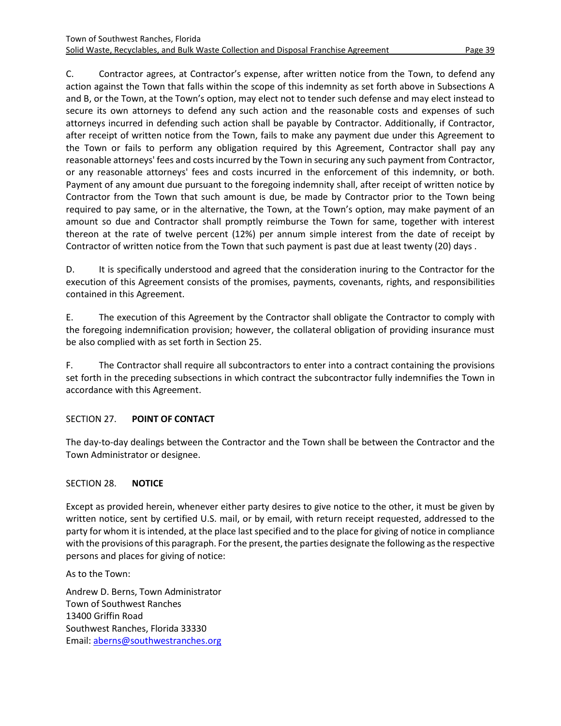C. Contractor agrees, at Contractor's expense, after written notice from the Town, to defend any action against the Town that falls within the scope of this indemnity as set forth above in Subsections A and B, or the Town, at the Town's option, may elect not to tender such defense and may elect instead to secure its own attorneys to defend any such action and the reasonable costs and expenses of such attorneys incurred in defending such action shall be payable by Contractor. Additionally, if Contractor, after receipt of written notice from the Town, fails to make any payment due under this Agreement to the Town or fails to perform any obligation required by this Agreement, Contractor shall pay any reasonable attorneys' fees and costs incurred by the Town in securing any such payment from Contractor, or any reasonable attorneys' fees and costs incurred in the enforcement of this indemnity, or both. Payment of any amount due pursuant to the foregoing indemnity shall, after receipt of written notice by Contractor from the Town that such amount is due, be made by Contractor prior to the Town being required to pay same, or in the alternative, the Town, at the Town's option, may make payment of an amount so due and Contractor shall promptly reimburse the Town for same, together with interest thereon at the rate of twelve percent (12%) per annum simple interest from the date of receipt by Contractor of written notice from the Town that such payment is past due at least twenty (20) days .

D. It is specifically understood and agreed that the consideration inuring to the Contractor for the execution of this Agreement consists of the promises, payments, covenants, rights, and responsibilities contained in this Agreement.

E. The execution of this Agreement by the Contractor shall obligate the Contractor to comply with the foregoing indemnification provision; however, the collateral obligation of providing insurance must be also complied with as set forth in Section 25.

F. The Contractor shall require all subcontractors to enter into a contract containing the provisions set forth in the preceding subsections in which contract the subcontractor fully indemnifies the Town in accordance with this Agreement.

# <span id="page-41-0"></span>SECTION 27. **POINT OF CONTACT**

The day-to-day dealings between the Contractor and the Town shall be between the Contractor and the Town Administrator or designee.

#### <span id="page-41-1"></span>SECTION 28. **NOTICE**

Except as provided herein, whenever either party desires to give notice to the other, it must be given by written notice, sent by certified U.S. mail, or by email, with return receipt requested, addressed to the party for whom it is intended, at the place last specified and to the place for giving of notice in compliance with the provisions of this paragraph. For the present, the parties designate the following as the respective persons and places for giving of notice:

As to the Town:

Andrew D. Berns, Town Administrator Town of Southwest Ranches 13400 Griffin Road Southwest Ranches, Florida 33330 Email: [aberns@southwestranches.org](mailto:aberns@southwestranches.org)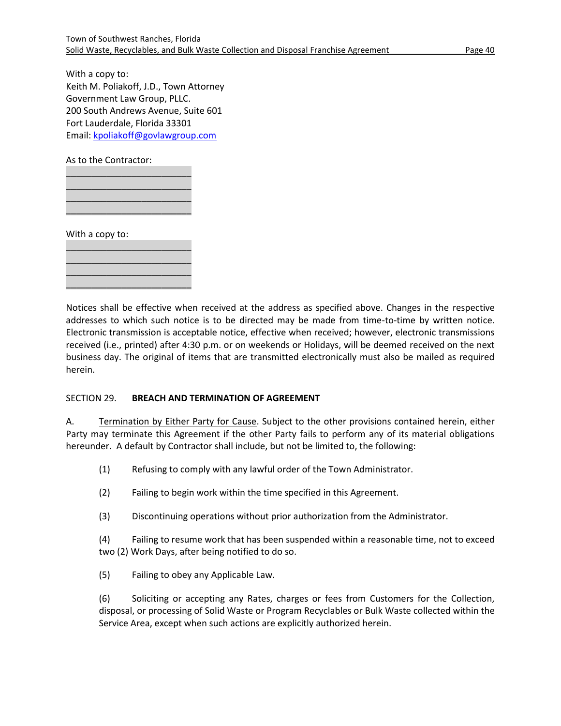With a copy to: Keith M. Poliakoff, J.D., Town Attorney Government Law Group, PLLC. 200 South Andrews Avenue, Suite 601 Fort Lauderdale, Florida 33301 Email: [kpoliakoff@govlawgroup.com](mailto:kpoliakoff@govlawgroup.com)

As to the Contractor:

\_\_\_\_\_\_\_\_\_\_\_\_\_\_\_\_\_\_\_\_\_\_\_\_\_ \_\_\_\_\_\_\_\_\_\_\_\_\_\_\_\_\_\_\_\_\_\_\_\_\_ \_\_\_\_\_\_\_\_\_\_\_\_\_\_\_\_\_\_\_\_\_\_\_\_\_  $\frac{1}{2}$  , and the set of the set of the set of the set of the set of the set of the set of the set of the set of the set of the set of the set of the set of the set of the set of the set of the set of the set of the set

\_\_\_\_\_\_\_\_\_\_\_\_\_\_\_\_\_\_\_\_\_\_\_\_\_ \_\_\_\_\_\_\_\_\_\_\_\_\_\_\_\_\_\_\_\_\_\_\_\_\_ \_\_\_\_\_\_\_\_\_\_\_\_\_\_\_\_\_\_\_\_\_\_\_\_\_ \_\_\_\_\_\_\_\_\_\_\_\_\_\_\_\_\_\_\_\_\_\_\_\_\_

With a copy to:

Notices shall be effective when received at the address as specified above. Changes in the respective addresses to which such notice is to be directed may be made from time-to-time by written notice. Electronic transmission is acceptable notice, effective when received; however, electronic transmissions received (i.e., printed) after 4:30 p.m. or on weekends or Holidays, will be deemed received on the next business day. The original of items that are transmitted electronically must also be mailed as required herein.

#### <span id="page-42-0"></span>SECTION 29. **BREACH AND TERMINATION OF AGREEMENT**

A. Termination by Either Party for Cause. Subject to the other provisions contained herein, either Party may terminate this Agreement if the other Party fails to perform any of its material obligations hereunder. A default by Contractor shall include, but not be limited to, the following:

(1) Refusing to comply with any lawful order of the Town Administrator.

- (2) Failing to begin work within the time specified in this Agreement.
- (3) Discontinuing operations without prior authorization from the Administrator.

(4) Failing to resume work that has been suspended within a reasonable time, not to exceed two (2) Work Days, after being notified to do so.

(5) Failing to obey any Applicable Law.

(6) Soliciting or accepting any Rates, charges or fees from Customers for the Collection, disposal, or processing of Solid Waste or Program Recyclables or Bulk Waste collected within the Service Area, except when such actions are explicitly authorized herein.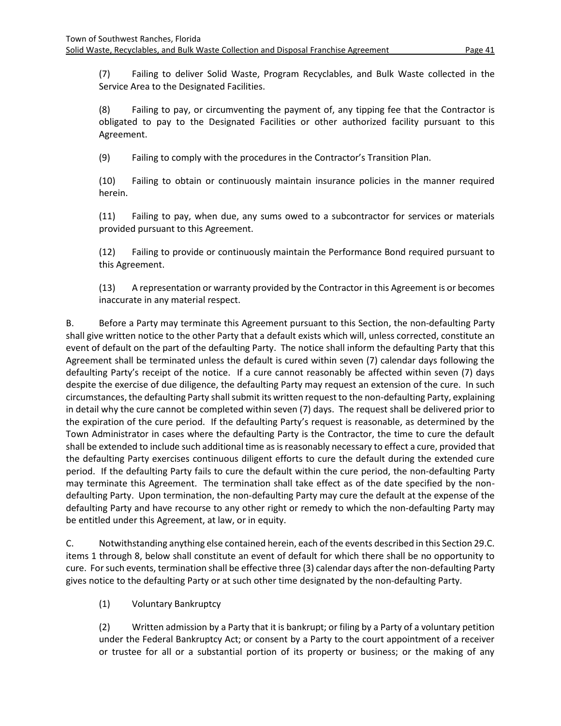(7) Failing to deliver Solid Waste, Program Recyclables, and Bulk Waste collected in the Service Area to the Designated Facilities.

(8) Failing to pay, or circumventing the payment of, any tipping fee that the Contractor is obligated to pay to the Designated Facilities or other authorized facility pursuant to this Agreement.

(9) Failing to comply with the procedures in the Contractor's Transition Plan.

(10) Failing to obtain or continuously maintain insurance policies in the manner required herein.

(11) Failing to pay, when due, any sums owed to a subcontractor for services or materials provided pursuant to this Agreement.

(12) Failing to provide or continuously maintain the Performance Bond required pursuant to this Agreement.

(13) A representation or warranty provided by the Contractor in this Agreement is or becomes inaccurate in any material respect.

B. Before a Party may terminate this Agreement pursuant to this Section, the non-defaulting Party shall give written notice to the other Party that a default exists which will, unless corrected, constitute an event of default on the part of the defaulting Party. The notice shall inform the defaulting Party that this Agreement shall be terminated unless the default is cured within seven (7) calendar days following the defaulting Party's receipt of the notice. If a cure cannot reasonably be affected within seven (7) days despite the exercise of due diligence, the defaulting Party may request an extension of the cure. In such circumstances, the defaulting Party shall submit its written request to the non-defaulting Party, explaining in detail why the cure cannot be completed within seven (7) days. The request shall be delivered prior to the expiration of the cure period. If the defaulting Party's request is reasonable, as determined by the Town Administrator in cases where the defaulting Party is the Contractor, the time to cure the default shall be extended to include such additional time as is reasonably necessary to effect a cure, provided that the defaulting Party exercises continuous diligent efforts to cure the default during the extended cure period. If the defaulting Party fails to cure the default within the cure period, the non-defaulting Party may terminate this Agreement. The termination shall take effect as of the date specified by the nondefaulting Party. Upon termination, the non-defaulting Party may cure the default at the expense of the defaulting Party and have recourse to any other right or remedy to which the non-defaulting Party may be entitled under this Agreement, at law, or in equity.

C. Notwithstanding anything else contained herein, each of the events described in this Section 29.C. items 1 through 8, below shall constitute an event of default for which there shall be no opportunity to cure. For such events, termination shall be effective three (3) calendar days after the non-defaulting Party gives notice to the defaulting Party or at such other time designated by the non-defaulting Party.

(1) Voluntary Bankruptcy

(2) Written admission by a Party that it is bankrupt; or filing by a Party of a voluntary petition under the Federal Bankruptcy Act; or consent by a Party to the court appointment of a receiver or trustee for all or a substantial portion of its property or business; or the making of any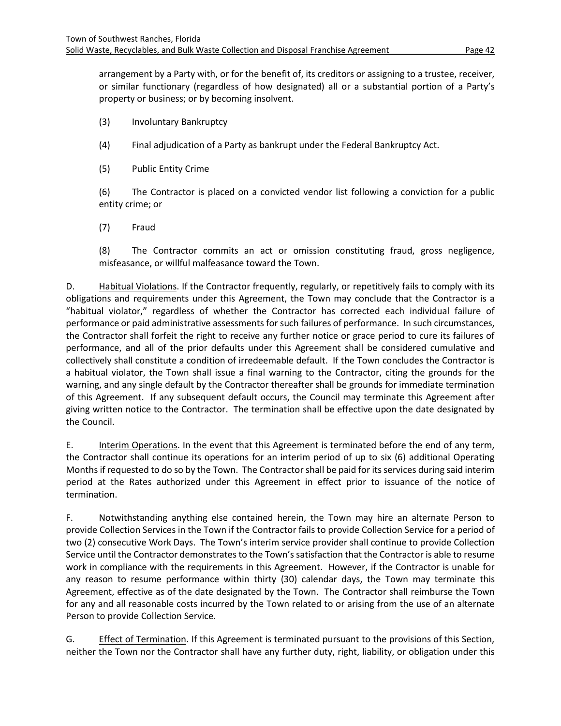arrangement by a Party with, or for the benefit of, its creditors or assigning to a trustee, receiver, or similar functionary (regardless of how designated) all or a substantial portion of a Party's property or business; or by becoming insolvent.

- (3) Involuntary Bankruptcy
- (4) Final adjudication of a Party as bankrupt under the Federal Bankruptcy Act.
- (5) Public Entity Crime

(6) The Contractor is placed on a convicted vendor list following a conviction for a public entity crime; or

(7) Fraud

(8) The Contractor commits an act or omission constituting fraud, gross negligence, misfeasance, or willful malfeasance toward the Town.

D. Habitual Violations. If the Contractor frequently, regularly, or repetitively fails to comply with its obligations and requirements under this Agreement, the Town may conclude that the Contractor is a "habitual violator," regardless of whether the Contractor has corrected each individual failure of performance or paid administrative assessments for such failures of performance. In such circumstances, the Contractor shall forfeit the right to receive any further notice or grace period to cure its failures of performance, and all of the prior defaults under this Agreement shall be considered cumulative and collectively shall constitute a condition of irredeemable default. If the Town concludes the Contractor is a habitual violator, the Town shall issue a final warning to the Contractor, citing the grounds for the warning, and any single default by the Contractor thereafter shall be grounds for immediate termination of this Agreement. If any subsequent default occurs, the Council may terminate this Agreement after giving written notice to the Contractor. The termination shall be effective upon the date designated by the Council.

E. Interim Operations. In the event that this Agreement is terminated before the end of any term, the Contractor shall continue its operations for an interim period of up to six (6) additional Operating Months if requested to do so by the Town. The Contractor shall be paid for its services during said interim period at the Rates authorized under this Agreement in effect prior to issuance of the notice of termination.

F. Notwithstanding anything else contained herein, the Town may hire an alternate Person to provide Collection Services in the Town if the Contractor fails to provide Collection Service for a period of two (2) consecutive Work Days. The Town's interim service provider shall continue to provide Collection Service until the Contractor demonstrates to the Town's satisfaction that the Contractor is able to resume work in compliance with the requirements in this Agreement. However, if the Contractor is unable for any reason to resume performance within thirty (30) calendar days, the Town may terminate this Agreement, effective as of the date designated by the Town. The Contractor shall reimburse the Town for any and all reasonable costs incurred by the Town related to or arising from the use of an alternate Person to provide Collection Service.

G. Effect of Termination. If this Agreement is terminated pursuant to the provisions of this Section, neither the Town nor the Contractor shall have any further duty, right, liability, or obligation under this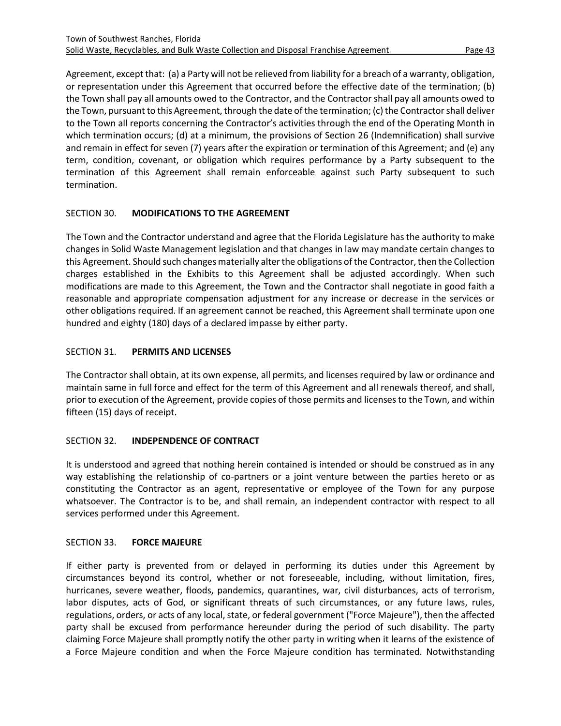Agreement, except that: (a) a Party will not be relieved from liability for a breach of a warranty, obligation, or representation under this Agreement that occurred before the effective date of the termination; (b) the Town shall pay all amounts owed to the Contractor, and the Contractor shall pay all amounts owed to the Town, pursuant to this Agreement, through the date of the termination; (c) the Contractor shall deliver to the Town all reports concerning the Contractor's activities through the end of the Operating Month in which termination occurs; (d) at a minimum, the provisions of Section 26 (Indemnification) shall survive and remain in effect for seven (7) years after the expiration or termination of this Agreement; and (e) any term, condition, covenant, or obligation which requires performance by a Party subsequent to the termination of this Agreement shall remain enforceable against such Party subsequent to such termination.

# <span id="page-45-0"></span>SECTION 30. **MODIFICATIONS TO THE AGREEMENT**

The Town and the Contractor understand and agree that the Florida Legislature has the authority to make changes in Solid Waste Management legislation and that changes in law may mandate certain changes to this Agreement. Should such changes materially alter the obligations of the Contractor, then the Collection charges established in the Exhibits to this Agreement shall be adjusted accordingly. When such modifications are made to this Agreement, the Town and the Contractor shall negotiate in good faith a reasonable and appropriate compensation adjustment for any increase or decrease in the services or other obligations required. If an agreement cannot be reached, this Agreement shall terminate upon one hundred and eighty (180) days of a declared impasse by either party.

#### <span id="page-45-1"></span>SECTION 31. **PERMITS AND LICENSES**

The Contractor shall obtain, at its own expense, all permits, and licenses required by law or ordinance and maintain same in full force and effect for the term of this Agreement and all renewals thereof, and shall, prior to execution of the Agreement, provide copies of those permits and licenses to the Town, and within fifteen (15) days of receipt.

# <span id="page-45-2"></span>SECTION 32. **INDEPENDENCE OF CONTRACT**

It is understood and agreed that nothing herein contained is intended or should be construed as in any way establishing the relationship of co-partners or a joint venture between the parties hereto or as constituting the Contractor as an agent, representative or employee of the Town for any purpose whatsoever. The Contractor is to be, and shall remain, an independent contractor with respect to all services performed under this Agreement.

#### <span id="page-45-3"></span>SECTION 33. **FORCE MAJEURE**

If either party is prevented from or delayed in performing its duties under this Agreement by circumstances beyond its control, whether or not foreseeable, including, without limitation, fires, hurricanes, severe weather, floods, pandemics, quarantines, war, civil disturbances, acts of terrorism, labor disputes, acts of God, or significant threats of such circumstances, or any future laws, rules, regulations, orders, or acts of any local, state, or federal government ("Force Majeure"), then the affected party shall be excused from performance hereunder during the period of such disability. The party claiming Force Majeure shall promptly notify the other party in writing when it learns of the existence of a Force Majeure condition and when the Force Majeure condition has terminated. Notwithstanding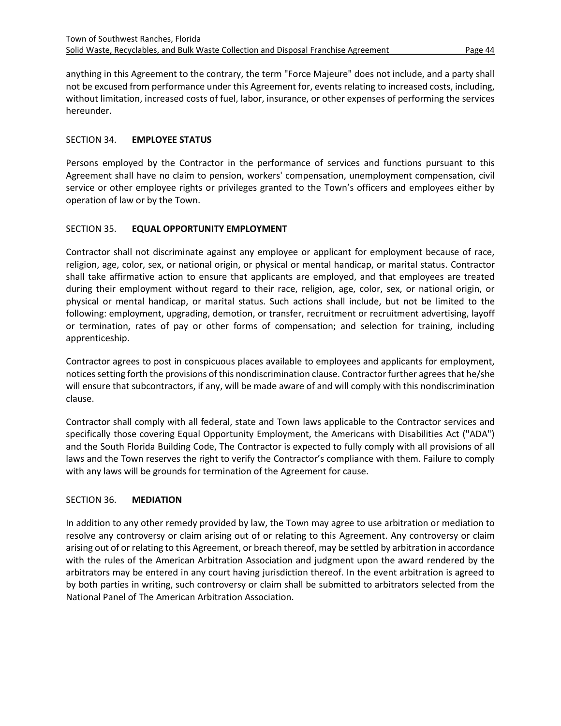anything in this Agreement to the contrary, the term "Force Majeure" does not include, and a party shall not be excused from performance under this Agreement for, events relating to increased costs, including, without limitation, increased costs of fuel, labor, insurance, or other expenses of performing the services hereunder.

#### <span id="page-46-0"></span>SECTION 34. **EMPLOYEE STATUS**

Persons employed by the Contractor in the performance of services and functions pursuant to this Agreement shall have no claim to pension, workers' compensation, unemployment compensation, civil service or other employee rights or privileges granted to the Town's officers and employees either by operation of law or by the Town.

# <span id="page-46-1"></span>SECTION 35. **EQUAL OPPORTUNITY EMPLOYMENT**

Contractor shall not discriminate against any employee or applicant for employment because of race, religion, age, color, sex, or national origin, or physical or mental handicap, or marital status. Contractor shall take affirmative action to ensure that applicants are employed, and that employees are treated during their employment without regard to their race, religion, age, color, sex, or national origin, or physical or mental handicap, or marital status. Such actions shall include, but not be limited to the following: employment, upgrading, demotion, or transfer, recruitment or recruitment advertising, layoff or termination, rates of pay or other forms of compensation; and selection for training, including apprenticeship.

Contractor agrees to post in conspicuous places available to employees and applicants for employment, notices setting forth the provisions of this nondiscrimination clause. Contractorfurther agrees that he/she will ensure that subcontractors, if any, will be made aware of and will comply with this nondiscrimination clause.

Contractor shall comply with all federal, state and Town laws applicable to the Contractor services and specifically those covering Equal Opportunity Employment, the Americans with Disabilities Act ("ADA") and the South Florida Building Code, The Contractor is expected to fully comply with all provisions of all laws and the Town reserves the right to verify the Contractor's compliance with them. Failure to comply with any laws will be grounds for termination of the Agreement for cause.

# <span id="page-46-2"></span>SECTION 36. **MEDIATION**

In addition to any other remedy provided by law, the Town may agree to use arbitration or mediation to resolve any controversy or claim arising out of or relating to this Agreement. Any controversy or claim arising out of or relating to this Agreement, or breach thereof, may be settled by arbitration in accordance with the rules of the American Arbitration Association and judgment upon the award rendered by the arbitrators may be entered in any court having jurisdiction thereof. In the event arbitration is agreed to by both parties in writing, such controversy or claim shall be submitted to arbitrators selected from the National Panel of The American Arbitration Association.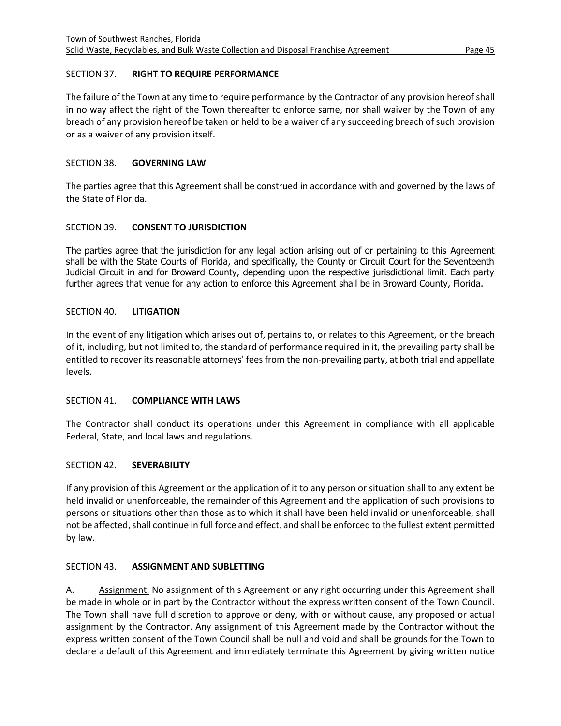#### <span id="page-47-0"></span>SECTION 37. **RIGHT TO REQUIRE PERFORMANCE**

The failure of the Town at any time to require performance by the Contractor of any provision hereof shall in no way affect the right of the Town thereafter to enforce same, nor shall waiver by the Town of any breach of any provision hereof be taken or held to be a waiver of any succeeding breach of such provision or as a waiver of any provision itself.

#### <span id="page-47-1"></span>SECTION 38. **GOVERNING LAW**

The parties agree that this Agreement shall be construed in accordance with and governed by the laws of the State of Florida.

#### <span id="page-47-2"></span>SECTION 39. **CONSENT TO JURISDICTION**

The parties agree that the jurisdiction for any legal action arising out of or pertaining to this Agreement shall be with the State Courts of Florida, and specifically, the County or Circuit Court for the Seventeenth Judicial Circuit in and for Broward County, depending upon the respective jurisdictional limit. Each party further agrees that venue for any action to enforce this Agreement shall be in Broward County, Florida.

#### <span id="page-47-3"></span>SECTION 40. **LITIGATION**

In the event of any litigation which arises out of, pertains to, or relates to this Agreement, or the breach of it, including, but not limited to, the standard of performance required in it, the prevailing party shall be entitled to recover its reasonable attorneys' fees from the non-prevailing party, at both trial and appellate levels.

#### <span id="page-47-4"></span>SECTION 41. **COMPLIANCE WITH LAWS**

The Contractor shall conduct its operations under this Agreement in compliance with all applicable Federal, State, and local laws and regulations.

#### <span id="page-47-5"></span>SECTION 42. **SEVERABILITY**

If any provision of this Agreement or the application of it to any person or situation shall to any extent be held invalid or unenforceable, the remainder of this Agreement and the application of such provisions to persons or situations other than those as to which it shall have been held invalid or unenforceable, shall not be affected, shall continue in full force and effect, and shall be enforced to the fullest extent permitted by law.

# <span id="page-47-6"></span>SECTION 43. **ASSIGNMENT AND SUBLETTING**

A. Assignment. No assignment of this Agreement or any right occurring under this Agreement shall be made in whole or in part by the Contractor without the express written consent of the Town Council. The Town shall have full discretion to approve or deny, with or without cause, any proposed or actual assignment by the Contractor. Any assignment of this Agreement made by the Contractor without the express written consent of the Town Council shall be null and void and shall be grounds for the Town to declare a default of this Agreement and immediately terminate this Agreement by giving written notice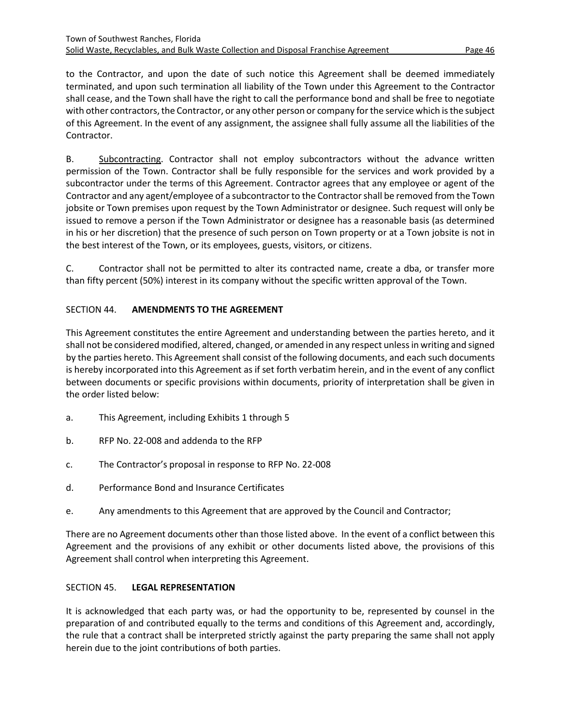to the Contractor, and upon the date of such notice this Agreement shall be deemed immediately terminated, and upon such termination all liability of the Town under this Agreement to the Contractor shall cease, and the Town shall have the right to call the performance bond and shall be free to negotiate with other contractors, the Contractor, or any other person or company for the service which is the subject of this Agreement. In the event of any assignment, the assignee shall fully assume all the liabilities of the Contractor.

B. Subcontracting. Contractor shall not employ subcontractors without the advance written permission of the Town. Contractor shall be fully responsible for the services and work provided by a subcontractor under the terms of this Agreement. Contractor agrees that any employee or agent of the Contractor and any agent/employee of a subcontractor to the Contractorshall be removed from the Town jobsite or Town premises upon request by the Town Administrator or designee. Such request will only be issued to remove a person if the Town Administrator or designee has a reasonable basis (as determined in his or her discretion) that the presence of such person on Town property or at a Town jobsite is not in the best interest of the Town, or its employees, guests, visitors, or citizens.

C. Contractor shall not be permitted to alter its contracted name, create a dba, or transfer more than fifty percent (50%) interest in its company without the specific written approval of the Town.

# <span id="page-48-0"></span>SECTION 44. **AMENDMENTS TO THE AGREEMENT**

This Agreement constitutes the entire Agreement and understanding between the parties hereto, and it shall not be considered modified, altered, changed, or amended in any respect unless in writing and signed by the parties hereto. This Agreement shall consist of the following documents, and each such documents is hereby incorporated into this Agreement as if set forth verbatim herein, and in the event of any conflict between documents or specific provisions within documents, priority of interpretation shall be given in the order listed below:

- a. This Agreement, including Exhibits 1 through 5
- b. RFP No. 22-008 and addenda to the RFP
- c. The Contractor's proposal in response to RFP No. 22-008
- d. Performance Bond and Insurance Certificates
- e. Any amendments to this Agreement that are approved by the Council and Contractor;

There are no Agreement documents other than those listed above. In the event of a conflict between this Agreement and the provisions of any exhibit or other documents listed above, the provisions of this Agreement shall control when interpreting this Agreement.

# <span id="page-48-1"></span>SECTION 45. **LEGAL REPRESENTATION**

It is acknowledged that each party was, or had the opportunity to be, represented by counsel in the preparation of and contributed equally to the terms and conditions of this Agreement and, accordingly, the rule that a contract shall be interpreted strictly against the party preparing the same shall not apply herein due to the joint contributions of both parties.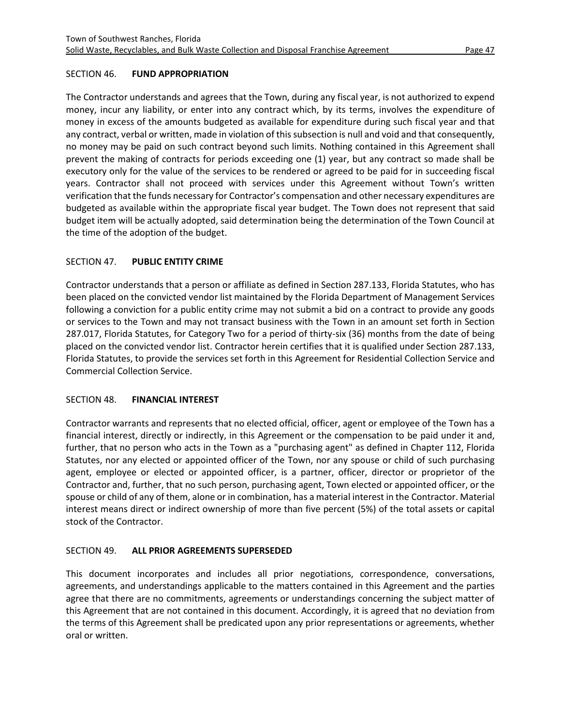# <span id="page-49-0"></span>SECTION 46. **FUND APPROPRIATION**

The Contractor understands and agrees that the Town, during any fiscal year, is not authorized to expend money, incur any liability, or enter into any contract which, by its terms, involves the expenditure of money in excess of the amounts budgeted as available for expenditure during such fiscal year and that any contract, verbal or written, made in violation of this subsection is null and void and that consequently, no money may be paid on such contract beyond such limits. Nothing contained in this Agreement shall prevent the making of contracts for periods exceeding one (1) year, but any contract so made shall be executory only for the value of the services to be rendered or agreed to be paid for in succeeding fiscal years. Contractor shall not proceed with services under this Agreement without Town's written verification that the funds necessary for Contractor's compensation and other necessary expenditures are budgeted as available within the appropriate fiscal year budget. The Town does not represent that said budget item will be actually adopted, said determination being the determination of the Town Council at the time of the adoption of the budget.

# <span id="page-49-1"></span>SECTION 47. **PUBLIC ENTITY CRIME**

Contractor understands that a person or affiliate as defined in Section 287.133, Florida Statutes, who has been placed on the convicted vendor list maintained by the Florida Department of Management Services following a conviction for a public entity crime may not submit a bid on a contract to provide any goods or services to the Town and may not transact business with the Town in an amount set forth in Section 287.017, Florida Statutes, for Category Two for a period of thirty-six (36) months from the date of being placed on the convicted vendor list. Contractor herein certifies that it is qualified under Section 287.133, Florida Statutes, to provide the services set forth in this Agreement for Residential Collection Service and Commercial Collection Service.

#### <span id="page-49-2"></span>SECTION 48. **FINANCIAL INTEREST**

Contractor warrants and represents that no elected official, officer, agent or employee of the Town has a financial interest, directly or indirectly, in this Agreement or the compensation to be paid under it and, further, that no person who acts in the Town as a "purchasing agent" as defined in Chapter 112, Florida Statutes, nor any elected or appointed officer of the Town, nor any spouse or child of such purchasing agent, employee or elected or appointed officer, is a partner, officer, director or proprietor of the Contractor and, further, that no such person, purchasing agent, Town elected or appointed officer, or the spouse or child of any of them, alone or in combination, has a material interest in the Contractor. Material interest means direct or indirect ownership of more than five percent (5%) of the total assets or capital stock of the Contractor.

# <span id="page-49-3"></span>SECTION 49. **ALL PRIOR AGREEMENTS SUPERSEDED**

This document incorporates and includes all prior negotiations, correspondence, conversations, agreements, and understandings applicable to the matters contained in this Agreement and the parties agree that there are no commitments, agreements or understandings concerning the subject matter of this Agreement that are not contained in this document. Accordingly, it is agreed that no deviation from the terms of this Agreement shall be predicated upon any prior representations or agreements, whether oral or written.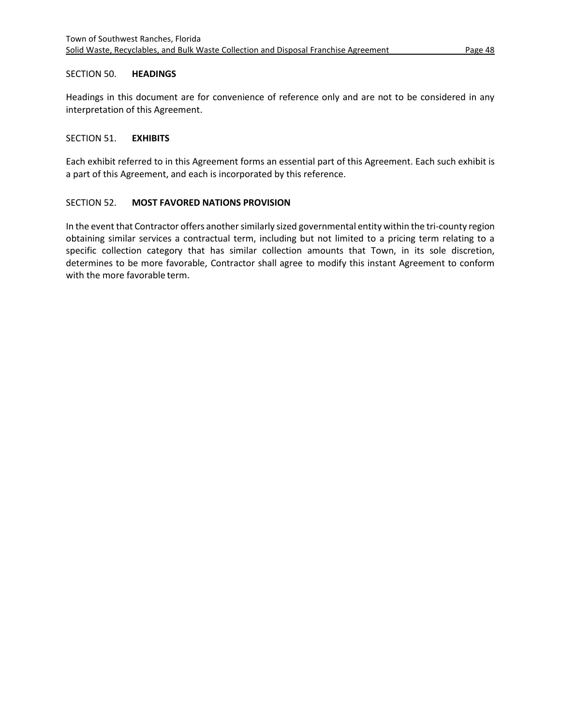#### <span id="page-50-0"></span>SECTION 50. **HEADINGS**

Headings in this document are for convenience of reference only and are not to be considered in any interpretation of this Agreement.

#### <span id="page-50-1"></span>SECTION 51. **EXHIBITS**

Each exhibit referred to in this Agreement forms an essential part of this Agreement. Each such exhibit is a part of this Agreement, and each is incorporated by this reference.

#### <span id="page-50-2"></span>SECTION 52. **MOST FAVORED NATIONS PROVISION**

In the event that Contractor offers another similarly sized governmental entity within the tri-county region obtaining similar services a contractual term, including but not limited to a pricing term relating to a specific collection category that has similar collection amounts that Town, in its sole discretion, determines to be more favorable, Contractor shall agree to modify this instant Agreement to conform with the more favorable term.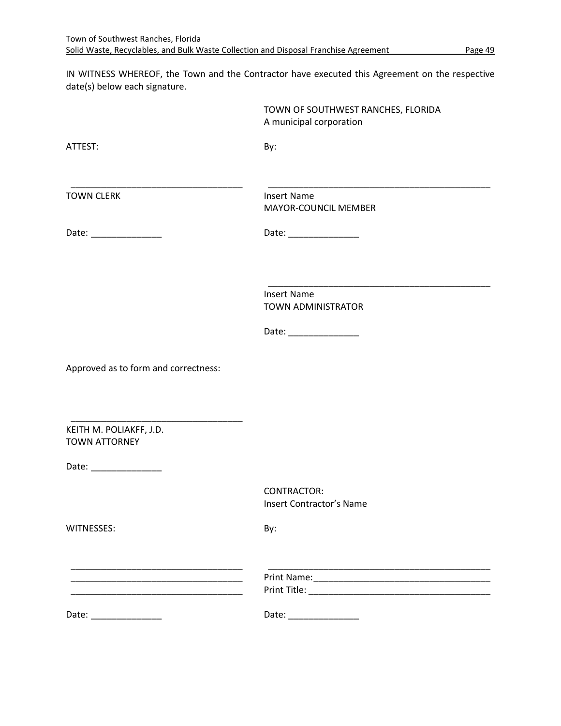IN WITNESS WHEREOF, the Town and the Contractor have executed this Agreement on the respective date(s) below each signature.

|                                                                                                                      | TOWN OF SOUTHWEST RANCHES, FLORIDA<br>A municipal corporation |
|----------------------------------------------------------------------------------------------------------------------|---------------------------------------------------------------|
| ATTEST:                                                                                                              | By:                                                           |
| <b>TOWN CLERK</b>                                                                                                    | <b>Insert Name</b><br>MAYOR-COUNCIL MEMBER                    |
| Date: ________________                                                                                               | Date: __________________                                      |
|                                                                                                                      | <b>Insert Name</b>                                            |
|                                                                                                                      | TOWN ADMINISTRATOR<br>Date: __________________                |
| Approved as to form and correctness:                                                                                 |                                                               |
| KEITH M. POLIAKFF, J.D.<br><b>TOWN ATTORNEY</b>                                                                      |                                                               |
| Date: _________________                                                                                              |                                                               |
|                                                                                                                      | CONTRACTOR:<br><b>Insert Contractor's Name</b>                |
| WITNESSES:                                                                                                           | By:                                                           |
| <u> 1950 - Johann John Stone, mars eta bainar eta industrial eta industrial eta industrial eta industrial eta in</u> |                                                               |
| Date: _______________                                                                                                | Date: ________________                                        |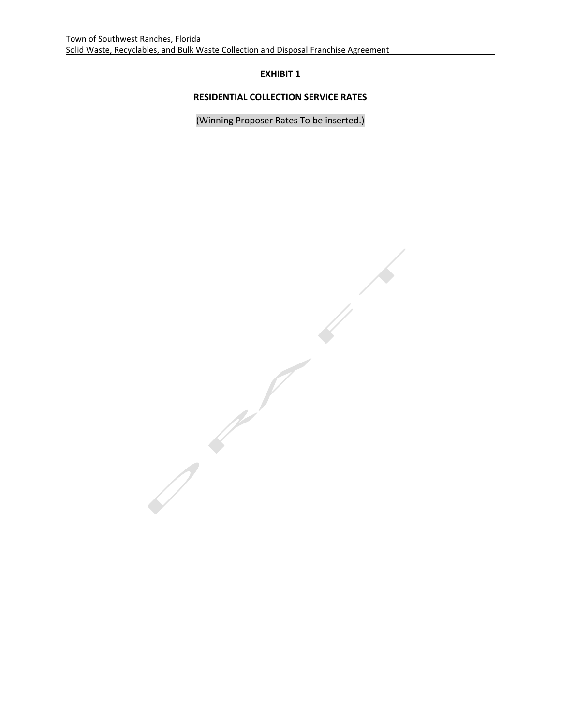# **RESIDENTIAL COLLECTION SERVICE RATES**

(Winning Proposer Rates To be inserted.)

 $\frac{1}{\sqrt{2}}$  $\bigg)$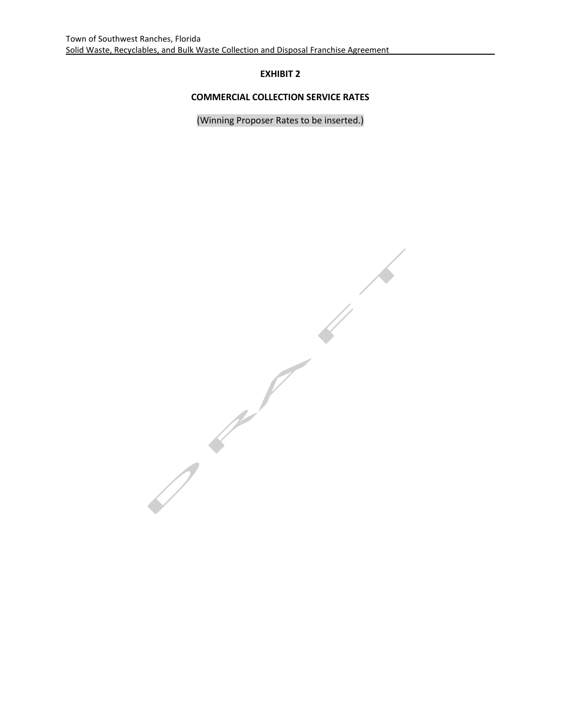# **COMMERCIAL COLLECTION SERVICE RATES**

(Winning Proposer Rates to be inserted.)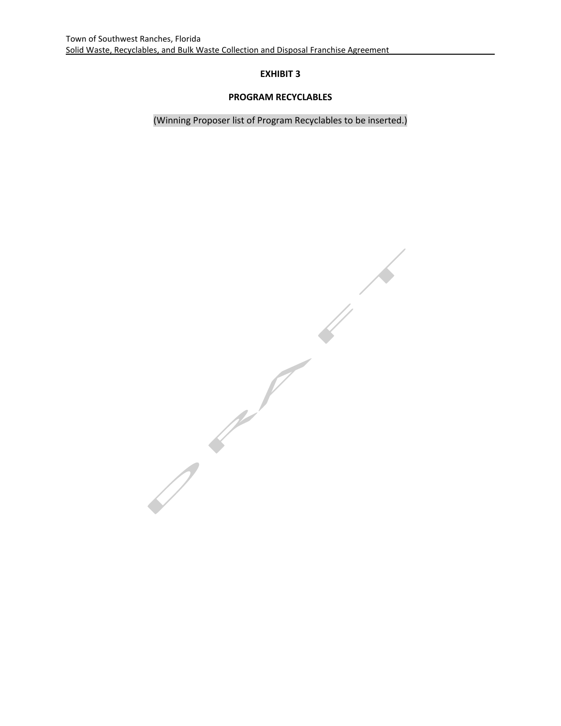# **PROGRAM RECYCLABLES**

(Winning Proposer list of Program Recyclables to be inserted.)

 $\frac{1}{2}$  $\bigwedge$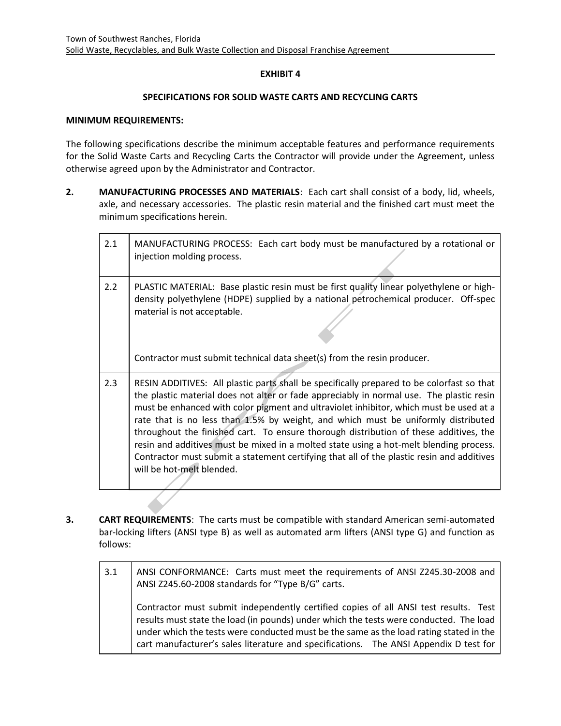#### **SPECIFICATIONS FOR SOLID WASTE CARTS AND RECYCLING CARTS**

#### **MINIMUM REQUIREMENTS:**

The following specifications describe the minimum acceptable features and performance requirements for the Solid Waste Carts and Recycling Carts the Contractor will provide under the Agreement, unless otherwise agreed upon by the Administrator and Contractor.

**2. MANUFACTURING PROCESSES AND MATERIALS**: Each cart shall consist of a body, lid, wheels, axle, and necessary accessories. The plastic resin material and the finished cart must meet the minimum specifications herein.

| 2.1              | MANUFACTURING PROCESS: Each cart body must be manufactured by a rotational or<br>injection molding process.                                                                                                                                                                                                                                                                                                                                                                                                                                                                                                                                                                       |
|------------------|-----------------------------------------------------------------------------------------------------------------------------------------------------------------------------------------------------------------------------------------------------------------------------------------------------------------------------------------------------------------------------------------------------------------------------------------------------------------------------------------------------------------------------------------------------------------------------------------------------------------------------------------------------------------------------------|
| $2.2\phantom{0}$ | PLASTIC MATERIAL: Base plastic resin must be first quality linear polyethylene or high-<br>density polyethylene (HDPE) supplied by a national petrochemical producer. Off-spec<br>material is not acceptable.                                                                                                                                                                                                                                                                                                                                                                                                                                                                     |
|                  | Contractor must submit technical data sheet(s) from the resin producer.                                                                                                                                                                                                                                                                                                                                                                                                                                                                                                                                                                                                           |
| 2.3              | RESIN ADDITIVES: All plastic parts shall be specifically prepared to be colorfast so that<br>the plastic material does not alter or fade appreciably in normal use. The plastic resin<br>must be enhanced with color pigment and ultraviolet inhibitor, which must be used at a<br>rate that is no less than 1.5% by weight, and which must be uniformly distributed<br>throughout the finished cart. To ensure thorough distribution of these additives, the<br>resin and additives must be mixed in a molted state using a hot-melt blending process.<br>Contractor must submit a statement certifying that all of the plastic resin and additives<br>will be hot-melt blended. |

- **3. CART REQUIREMENTS**: The carts must be compatible with standard American semi-automated bar-locking lifters (ANSI type B) as well as automated arm lifters (ANSI type G) and function as follows:
	- 3.1 ANSI CONFORMANCE: Carts must meet the requirements of ANSI Z245.30-2008 and ANSI Z245.60-2008 standards for "Type B/G" carts. Contractor must submit independently certified copies of all ANSI test results. Test results must state the load (in pounds) under which the tests were conducted. The load under which the tests were conducted must be the same as the load rating stated in the cart manufacturer's sales literature and specifications. The ANSI Appendix D test for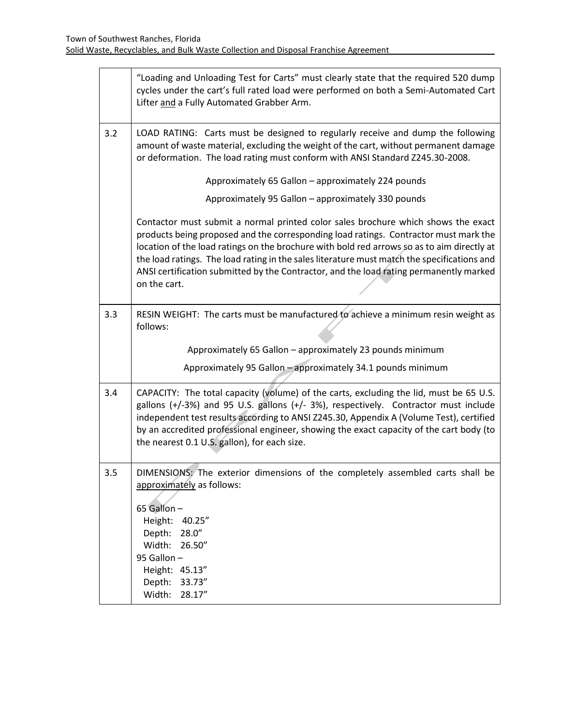|     | "Loading and Unloading Test for Carts" must clearly state that the required 520 dump<br>cycles under the cart's full rated load were performed on both a Semi-Automated Cart<br>Lifter and a Fully Automated Grabber Arm.                                                                                                                                                                                                                                                        |
|-----|----------------------------------------------------------------------------------------------------------------------------------------------------------------------------------------------------------------------------------------------------------------------------------------------------------------------------------------------------------------------------------------------------------------------------------------------------------------------------------|
| 3.2 | LOAD RATING: Carts must be designed to regularly receive and dump the following<br>amount of waste material, excluding the weight of the cart, without permanent damage<br>or deformation. The load rating must conform with ANSI Standard Z245.30-2008.                                                                                                                                                                                                                         |
|     | Approximately 65 Gallon - approximately 224 pounds                                                                                                                                                                                                                                                                                                                                                                                                                               |
|     | Approximately 95 Gallon - approximately 330 pounds                                                                                                                                                                                                                                                                                                                                                                                                                               |
|     | Contactor must submit a normal printed color sales brochure which shows the exact<br>products being proposed and the corresponding load ratings. Contractor must mark the<br>location of the load ratings on the brochure with bold red arrows so as to aim directly at<br>the load ratings. The load rating in the sales literature must match the specifications and<br>ANSI certification submitted by the Contractor, and the load rating permanently marked<br>on the cart. |
| 3.3 | RESIN WEIGHT: The carts must be manufactured to achieve a minimum resin weight as<br>follows:                                                                                                                                                                                                                                                                                                                                                                                    |
|     | Approximately 65 Gallon - approximately 23 pounds minimum                                                                                                                                                                                                                                                                                                                                                                                                                        |
|     | Approximately 95 Gallon - approximately 34.1 pounds minimum                                                                                                                                                                                                                                                                                                                                                                                                                      |
| 3.4 | CAPACITY: The total capacity (volume) of the carts, excluding the lid, must be 65 U.S.<br>gallons (+/-3%) and 95 U.S. gallons (+/-3%), respectively. Contractor must include<br>independent test results according to ANSI Z245.30, Appendix A (Volume Test), certified<br>by an accredited professional engineer, showing the exact capacity of the cart body (to<br>the nearest 0.1 U.S. gallon), for each size.                                                               |
| 3.5 | DIMENSIONS: The exterior dimensions of the completely assembled carts shall be<br>approximately as follows:<br>65 Gallon -<br>Height: 40.25"<br>Depth:<br>28.0''<br>Width:<br>26.50"<br>95 Gallon -<br>Height: 45.13"<br>Depth:<br>33.73"<br>Width:<br>28.17"                                                                                                                                                                                                                    |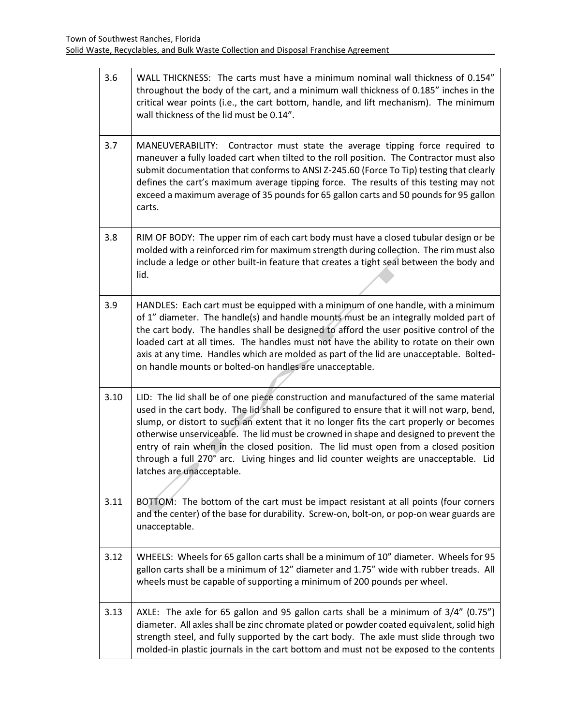| 3.6  | WALL THICKNESS: The carts must have a minimum nominal wall thickness of 0.154"<br>throughout the body of the cart, and a minimum wall thickness of 0.185" inches in the<br>critical wear points (i.e., the cart bottom, handle, and lift mechanism). The minimum<br>wall thickness of the lid must be 0.14".                                                                                                                                                                                                                                                                       |
|------|------------------------------------------------------------------------------------------------------------------------------------------------------------------------------------------------------------------------------------------------------------------------------------------------------------------------------------------------------------------------------------------------------------------------------------------------------------------------------------------------------------------------------------------------------------------------------------|
| 3.7  | MANEUVERABILITY: Contractor must state the average tipping force required to<br>maneuver a fully loaded cart when tilted to the roll position. The Contractor must also<br>submit documentation that conforms to ANSI Z-245.60 (Force To Tip) testing that clearly<br>defines the cart's maximum average tipping force. The results of this testing may not<br>exceed a maximum average of 35 pounds for 65 gallon carts and 50 pounds for 95 gallon<br>carts.                                                                                                                     |
| 3.8  | RIM OF BODY: The upper rim of each cart body must have a closed tubular design or be<br>molded with a reinforced rim for maximum strength during collection. The rim must also<br>include a ledge or other built-in feature that creates a tight seal between the body and<br>lid.                                                                                                                                                                                                                                                                                                 |
| 3.9  | HANDLES: Each cart must be equipped with a minimum of one handle, with a minimum<br>of 1" diameter. The handle(s) and handle mounts must be an integrally molded part of<br>the cart body. The handles shall be designed to afford the user positive control of the<br>loaded cart at all times. The handles must not have the ability to rotate on their own<br>axis at any time. Handles which are molded as part of the lid are unacceptable. Bolted-<br>on handle mounts or bolted-on handles are unacceptable.                                                                |
| 3.10 | LID: The lid shall be of one piece construction and manufactured of the same material<br>used in the cart body. The lid shall be configured to ensure that it will not warp, bend,<br>slump, or distort to such an extent that it no longer fits the cart properly or becomes<br>otherwise unserviceable. The lid must be crowned in shape and designed to prevent the<br>entry of rain when in the closed position. The lid must open from a closed position<br>through a full 270° arc. Living hinges and lid counter weights are unacceptable. Lid<br>latches are unacceptable. |
| 3.11 | BOTTOM: The bottom of the cart must be impact resistant at all points (four corners<br>and the center) of the base for durability. Screw-on, bolt-on, or pop-on wear guards are<br>unacceptable.                                                                                                                                                                                                                                                                                                                                                                                   |
| 3.12 | WHEELS: Wheels for 65 gallon carts shall be a minimum of 10" diameter. Wheels for 95<br>gallon carts shall be a minimum of 12" diameter and 1.75" wide with rubber treads. All<br>wheels must be capable of supporting a minimum of 200 pounds per wheel.                                                                                                                                                                                                                                                                                                                          |
| 3.13 | AXLE: The axle for 65 gallon and 95 gallon carts shall be a minimum of $3/4$ " (0.75")<br>diameter. All axles shall be zinc chromate plated or powder coated equivalent, solid high<br>strength steel, and fully supported by the cart body. The axle must slide through two<br>molded-in plastic journals in the cart bottom and must not be exposed to the contents                                                                                                                                                                                                              |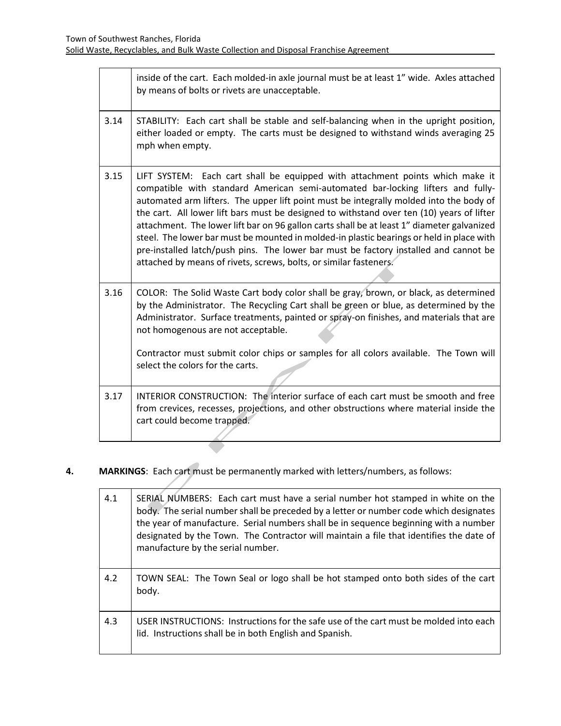|      | inside of the cart. Each molded-in axle journal must be at least 1" wide. Axles attached<br>by means of bolts or rivets are unacceptable.                                                                                                                                                                                                                                                                                                                                                                                                                                                                                                                                                                      |
|------|----------------------------------------------------------------------------------------------------------------------------------------------------------------------------------------------------------------------------------------------------------------------------------------------------------------------------------------------------------------------------------------------------------------------------------------------------------------------------------------------------------------------------------------------------------------------------------------------------------------------------------------------------------------------------------------------------------------|
| 3.14 | STABILITY: Each cart shall be stable and self-balancing when in the upright position,<br>either loaded or empty. The carts must be designed to withstand winds averaging 25<br>mph when empty.                                                                                                                                                                                                                                                                                                                                                                                                                                                                                                                 |
| 3.15 | LIFT SYSTEM: Each cart shall be equipped with attachment points which make it<br>compatible with standard American semi-automated bar-locking lifters and fully-<br>automated arm lifters. The upper lift point must be integrally molded into the body of<br>the cart. All lower lift bars must be designed to withstand over ten (10) years of lifter<br>attachment. The lower lift bar on 96 gallon carts shall be at least 1" diameter galvanized<br>steel. The lower bar must be mounted in molded-in plastic bearings or held in place with<br>pre-installed latch/push pins. The lower bar must be factory installed and cannot be<br>attached by means of rivets, screws, bolts, or similar fasteners. |
| 3.16 | COLOR: The Solid Waste Cart body color shall be gray, brown, or black, as determined<br>by the Administrator. The Recycling Cart shall be green or blue, as determined by the<br>Administrator. Surface treatments, painted or spray-on finishes, and materials that are<br>not homogenous are not acceptable.<br>Contractor must submit color chips or samples for all colors available. The Town will<br>select the colors for the carts.                                                                                                                                                                                                                                                                    |
| 3.17 | INTERIOR CONSTRUCTION: The interior surface of each cart must be smooth and free<br>from crevices, recesses, projections, and other obstructions where material inside the<br>cart could become trapped.                                                                                                                                                                                                                                                                                                                                                                                                                                                                                                       |
|      |                                                                                                                                                                                                                                                                                                                                                                                                                                                                                                                                                                                                                                                                                                                |

# **4. MARKINGS**: Each cart must be permanently marked with letters/numbers, as follows:

| 4.1 | SERIAL NUMBERS: Each cart must have a serial number hot stamped in white on the<br>body. The serial number shall be preceded by a letter or number code which designates<br>the year of manufacture. Serial numbers shall be in sequence beginning with a number<br>designated by the Town. The Contractor will maintain a file that identifies the date of<br>manufacture by the serial number. |
|-----|--------------------------------------------------------------------------------------------------------------------------------------------------------------------------------------------------------------------------------------------------------------------------------------------------------------------------------------------------------------------------------------------------|
| 4.2 | TOWN SEAL: The Town Seal or logo shall be hot stamped onto both sides of the cart<br>body.                                                                                                                                                                                                                                                                                                       |
| 4.3 | USER INSTRUCTIONS: Instructions for the safe use of the cart must be molded into each<br>lid. Instructions shall be in both English and Spanish.                                                                                                                                                                                                                                                 |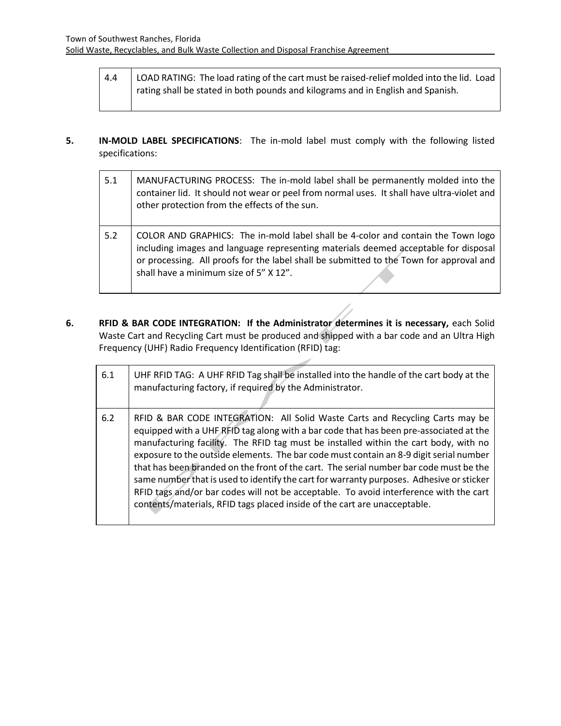- 4.4 | LOAD RATING: The load rating of the cart must be raised-relief molded into the lid. Load rating shall be stated in both pounds and kilograms and in English and Spanish.
- **5. IN-MOLD LABEL SPECIFICATIONS**: The in-mold label must comply with the following listed specifications:

| 5.1 | MANUFACTURING PROCESS: The in-mold label shall be permanently molded into the<br>container lid. It should not wear or peel from normal uses. It shall have ultra-violet and<br>other protection from the effects of the sun.                                                                                 |
|-----|--------------------------------------------------------------------------------------------------------------------------------------------------------------------------------------------------------------------------------------------------------------------------------------------------------------|
| 5.2 | COLOR AND GRAPHICS: The in-mold label shall be 4-color and contain the Town logo<br>including images and language representing materials deemed acceptable for disposal<br>or processing. All proofs for the label shall be submitted to the Town for approval and<br>shall have a minimum size of 5" X 12". |

**6. RFID & BAR CODE INTEGRATION: If the Administrator determines it is necessary,** each Solid Waste Cart and Recycling Cart must be produced and shipped with a bar code and an Ultra High Frequency (UHF) Radio Frequency Identification (RFID) tag:

| 6.1 | UHF RFID TAG: A UHF RFID Tag shall be installed into the handle of the cart body at the<br>manufacturing factory, if required by the Administrator.                                                                                                                                                                                                                                                                                                                                                                                                                                                                                                                                                                    |
|-----|------------------------------------------------------------------------------------------------------------------------------------------------------------------------------------------------------------------------------------------------------------------------------------------------------------------------------------------------------------------------------------------------------------------------------------------------------------------------------------------------------------------------------------------------------------------------------------------------------------------------------------------------------------------------------------------------------------------------|
| 6.2 | RFID & BAR CODE INTEGRATION: All Solid Waste Carts and Recycling Carts may be<br>equipped with a UHF RFID tag along with a bar code that has been pre-associated at the<br>manufacturing facility. The RFID tag must be installed within the cart body, with no<br>exposure to the outside elements. The bar code must contain an 8-9 digit serial number<br>that has been branded on the front of the cart. The serial number bar code must be the<br>same number that is used to identify the cart for warranty purposes. Adhesive or sticker<br>RFID tags and/or bar codes will not be acceptable. To avoid interference with the cart<br>contents/materials, RFID tags placed inside of the cart are unacceptable. |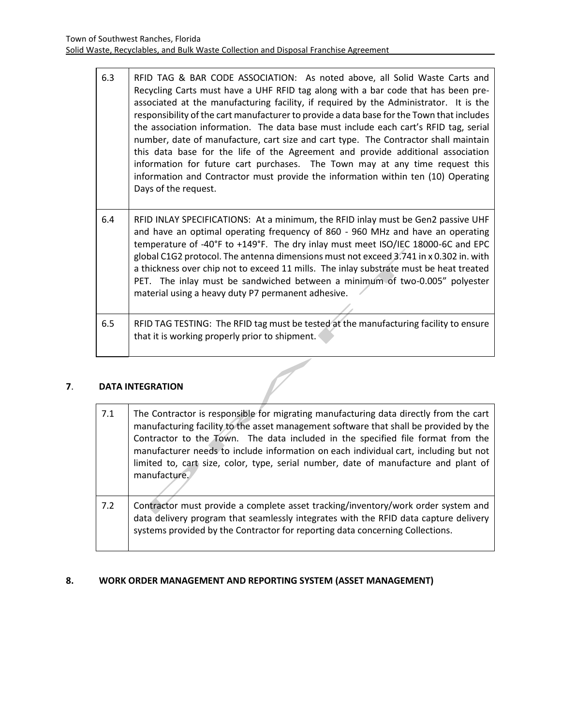| 6.3 | RFID TAG & BAR CODE ASSOCIATION: As noted above, all Solid Waste Carts and<br>Recycling Carts must have a UHF RFID tag along with a bar code that has been pre-<br>associated at the manufacturing facility, if required by the Administrator. It is the<br>responsibility of the cart manufacturer to provide a data base for the Town that includes<br>the association information. The data base must include each cart's RFID tag, serial<br>number, date of manufacture, cart size and cart type. The Contractor shall maintain<br>this data base for the life of the Agreement and provide additional association<br>information for future cart purchases. The Town may at any time request this<br>information and Contractor must provide the information within ten (10) Operating<br>Days of the request. |
|-----|----------------------------------------------------------------------------------------------------------------------------------------------------------------------------------------------------------------------------------------------------------------------------------------------------------------------------------------------------------------------------------------------------------------------------------------------------------------------------------------------------------------------------------------------------------------------------------------------------------------------------------------------------------------------------------------------------------------------------------------------------------------------------------------------------------------------|
| 6.4 | RFID INLAY SPECIFICATIONS: At a minimum, the RFID inlay must be Gen2 passive UHF<br>and have an optimal operating frequency of 860 - 960 MHz and have an operating<br>temperature of -40°F to +149°F. The dry inlay must meet ISO/IEC 18000-6C and EPC<br>global C1G2 protocol. The antenna dimensions must not exceed 3.741 in x 0.302 in. with<br>a thickness over chip not to exceed 11 mills. The inlay substrate must be heat treated<br>PET. The inlay must be sandwiched between a minimum of two-0.005" polyester<br>material using a heavy duty P7 permanent adhesive.                                                                                                                                                                                                                                      |
| 6.5 | RFID TAG TESTING: The RFID tag must be tested at the manufacturing facility to ensure<br>that it is working properly prior to shipment.                                                                                                                                                                                                                                                                                                                                                                                                                                                                                                                                                                                                                                                                              |

# **7**. **DATA INTEGRATION**

| 7.1 | The Contractor is responsible for migrating manufacturing data directly from the cart<br>manufacturing facility to the asset management software that shall be provided by the<br>Contractor to the Town. The data included in the specified file format from the<br>manufacturer needs to include information on each individual cart, including but not<br>limited to, cart size, color, type, serial number, date of manufacture and plant of<br>manufacture. |
|-----|------------------------------------------------------------------------------------------------------------------------------------------------------------------------------------------------------------------------------------------------------------------------------------------------------------------------------------------------------------------------------------------------------------------------------------------------------------------|
| 7.2 | Contractor must provide a complete asset tracking/inventory/work order system and<br>data delivery program that seamlessly integrates with the RFID data capture delivery<br>systems provided by the Contractor for reporting data concerning Collections.                                                                                                                                                                                                       |

# **8. WORK ORDER MANAGEMENT AND REPORTING SYSTEM (ASSET MANAGEMENT)**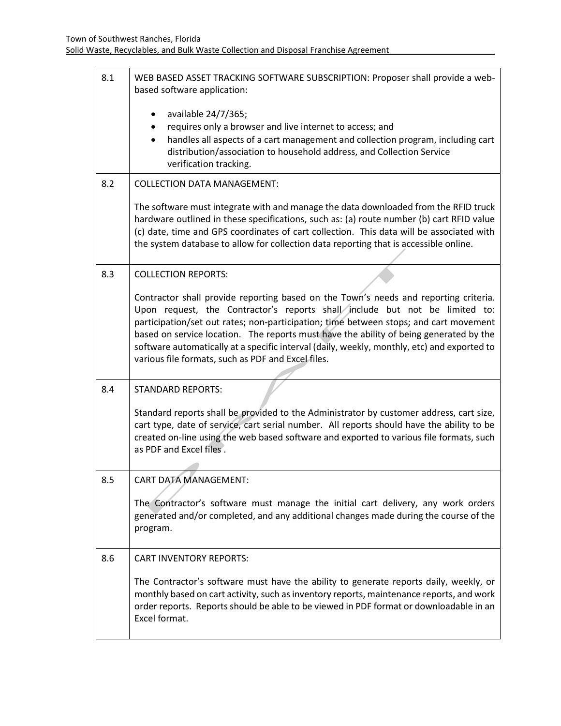| 8.1 | WEB BASED ASSET TRACKING SOFTWARE SUBSCRIPTION: Proposer shall provide a web-<br>based software application:                                                                         |
|-----|--------------------------------------------------------------------------------------------------------------------------------------------------------------------------------------|
|     | available 24/7/365;                                                                                                                                                                  |
|     | requires only a browser and live internet to access; and                                                                                                                             |
|     | handles all aspects of a cart management and collection program, including cart<br>$\bullet$<br>distribution/association to household address, and Collection Service                |
|     | verification tracking.                                                                                                                                                               |
| 8.2 | <b>COLLECTION DATA MANAGEMENT:</b>                                                                                                                                                   |
|     | The software must integrate with and manage the data downloaded from the RFID truck                                                                                                  |
|     | hardware outlined in these specifications, such as: (a) route number (b) cart RFID value<br>(c) date, time and GPS coordinates of cart collection. This data will be associated with |
|     | the system database to allow for collection data reporting that is accessible online.                                                                                                |
|     |                                                                                                                                                                                      |
| 8.3 | <b>COLLECTION REPORTS:</b>                                                                                                                                                           |
|     | Contractor shall provide reporting based on the Town's needs and reporting criteria.                                                                                                 |
|     | Upon request, the Contractor's reports shall include but not be limited to:<br>participation/set out rates; non-participation; time between stops; and cart movement                 |
|     | based on service location. The reports must have the ability of being generated by the                                                                                               |
|     | software automatically at a specific interval (daily, weekly, monthly, etc) and exported to                                                                                          |
|     | various file formats, such as PDF and Excel files.                                                                                                                                   |
| 8.4 | <b>STANDARD REPORTS:</b>                                                                                                                                                             |
|     |                                                                                                                                                                                      |
|     | Standard reports shall be provided to the Administrator by customer address, cart size,                                                                                              |
|     | cart type, date of service, cart serial number. All reports should have the ability to be<br>created on-line using the web based software and exported to various file formats, such |
|     | as PDF and Excel files.                                                                                                                                                              |
|     |                                                                                                                                                                                      |
| 8.5 | CART DATA MANAGEMENT:                                                                                                                                                                |
|     | The Contractor's software must manage the initial cart delivery, any work orders                                                                                                     |
|     | generated and/or completed, and any additional changes made during the course of the                                                                                                 |
|     | program.                                                                                                                                                                             |
| 8.6 | <b>CART INVENTORY REPORTS:</b>                                                                                                                                                       |
|     | The Contractor's software must have the ability to generate reports daily, weekly, or                                                                                                |
|     | monthly based on cart activity, such as inventory reports, maintenance reports, and work<br>order reports. Reports should be able to be viewed in PDF format or downloadable in an   |
|     | Excel format.                                                                                                                                                                        |
|     |                                                                                                                                                                                      |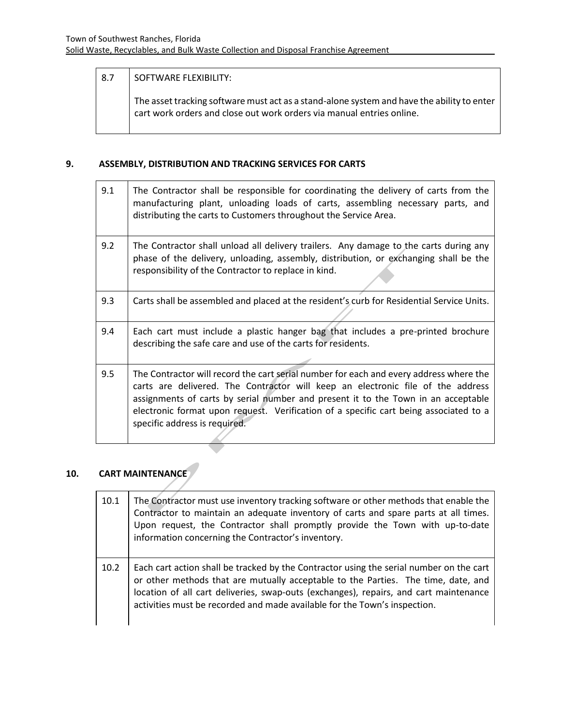# 8.7 SOFTWARE FLEXIBILITY:

The asset tracking software must act as a stand-alone system and have the ability to enter cart work orders and close out work orders via manual entries online.

# **9. ASSEMBLY, DISTRIBUTION AND TRACKING SERVICES FOR CARTS**

| The Contractor shall unload all delivery trailers. Any damage to the carts during any<br>phase of the delivery, unloading, assembly, distribution, or exchanging shall be the                                                                                  |
|----------------------------------------------------------------------------------------------------------------------------------------------------------------------------------------------------------------------------------------------------------------|
|                                                                                                                                                                                                                                                                |
| Carts shall be assembled and placed at the resident's curb for Residential Service Units.                                                                                                                                                                      |
| Each cart must include a plastic hanger bag that includes a pre-printed brochure                                                                                                                                                                               |
| The Contractor will record the cart serial number for each and every address where the<br>carts are delivered. The Contractor will keep an electronic file of the address<br>assignments of carts by serial number and present it to the Town in an acceptable |
|                                                                                                                                                                                                                                                                |

# **10. CART MAINTENANCE**

| 10.1 | The Contractor must use inventory tracking software or other methods that enable the<br>Contractor to maintain an adequate inventory of carts and spare parts at all times.<br>Upon request, the Contractor shall promptly provide the Town with up-to-date<br>information concerning the Contractor's inventory.                                  |
|------|----------------------------------------------------------------------------------------------------------------------------------------------------------------------------------------------------------------------------------------------------------------------------------------------------------------------------------------------------|
| 10.2 | Each cart action shall be tracked by the Contractor using the serial number on the cart<br>or other methods that are mutually acceptable to the Parties. The time, date, and<br>location of all cart deliveries, swap-outs (exchanges), repairs, and cart maintenance<br>activities must be recorded and made available for the Town's inspection. |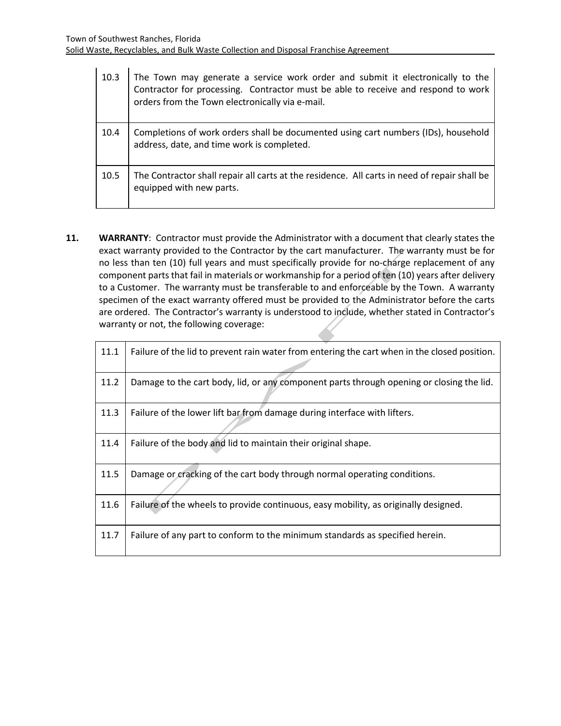| 10.3 | The Town may generate a service work order and submit it electronically to the<br>Contractor for processing. Contractor must be able to receive and respond to work<br>orders from the Town electronically via e-mail. |
|------|------------------------------------------------------------------------------------------------------------------------------------------------------------------------------------------------------------------------|
| 10.4 | Completions of work orders shall be documented using cart numbers (IDs), household<br>address, date, and time work is completed.                                                                                       |
| 10.5 | The Contractor shall repair all carts at the residence. All carts in need of repair shall be<br>equipped with new parts.                                                                                               |

**11. WARRANTY**: Contractor must provide the Administrator with a document that clearly states the exact warranty provided to the Contractor by the cart manufacturer. The warranty must be for no less than ten (10) full years and must specifically provide for no-charge replacement of any component parts that fail in materials or workmanship for a period of ten (10) years after delivery to a Customer. The warranty must be transferable to and enforceable by the Town. A warranty specimen of the exact warranty offered must be provided to the Administrator before the carts are ordered. The Contractor's warranty is understood to include, whether stated in Contractor's warranty or not, the following coverage:

| 11.1 | Failure of the lid to prevent rain water from entering the cart when in the closed position. |  |  |  |
|------|----------------------------------------------------------------------------------------------|--|--|--|
| 11.2 | Damage to the cart body, lid, or any component parts through opening or closing the lid.     |  |  |  |
| 11.3 | Failure of the lower lift bar from damage during interface with lifters.                     |  |  |  |
| 11.4 | Failure of the body and lid to maintain their original shape.                                |  |  |  |
| 11.5 | Damage or cracking of the cart body through normal operating conditions.                     |  |  |  |
| 11.6 | Failure of the wheels to provide continuous, easy mobility, as originally designed.          |  |  |  |
| 11.7 | Failure of any part to conform to the minimum standards as specified herein.                 |  |  |  |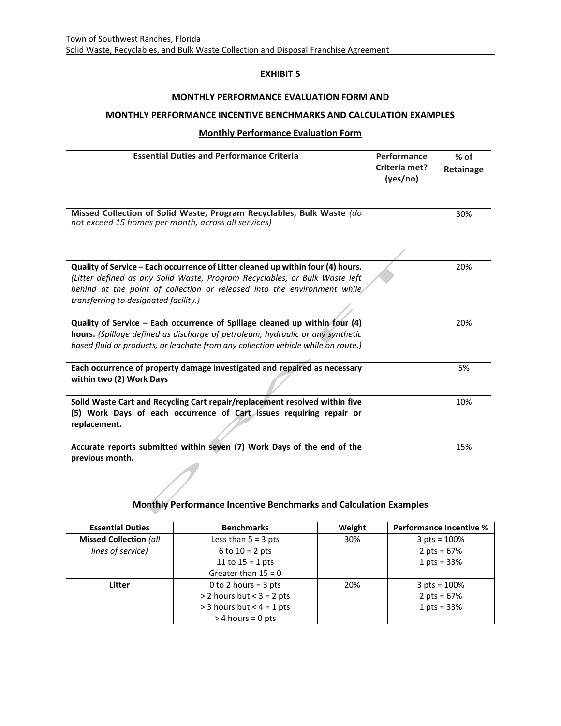#### **MONTHLY PERFORMANCE EVALUATION FORM AND**

#### **MONTHLY PERFORMANCE INCENTIVE BENCHMARKS AND CALCULATION EXAMPLES**

#### **Monthly Performance Evaluation Form**

| <b>Essential Duties and Performance Criteria</b>                                                                                                                                                                                                                                     | Performance<br>Criteria met?<br>(yes/no) | $%$ of<br>Retainage |
|--------------------------------------------------------------------------------------------------------------------------------------------------------------------------------------------------------------------------------------------------------------------------------------|------------------------------------------|---------------------|
| Missed Collection of Solid Waste, Program Recyclables, Bulk Waste (do<br>not exceed 15 homes per month, across all services)                                                                                                                                                         |                                          | 30%                 |
| Quality of Service - Each occurrence of Litter cleaned up within four (4) hours.<br>(Litter defined as any Solid Waste, Program Recyclables, or Bulk Waste left<br>behind at the point of collection or released into the environment while<br>transferring to designated facility.) |                                          | 20%                 |
| Quality of Service - Each occurrence of Spillage cleaned up within four (4)<br>hours. (Spillage defined as discharge of petroleum, hydraulic or any synthetic<br>based fluid or products, or leachate from any collection vehicle while on route.)                                   |                                          | 20%                 |
| Each occurrence of property damage investigated and repaired as necessary<br>within two (2) Work Days                                                                                                                                                                                |                                          | 5%                  |
| Solid Waste Cart and Recycling Cart repair/replacement resolved within five<br>(5) Work Days of each occurrence of Cart issues requiring repair or<br>replacement.                                                                                                                   |                                          | 10%                 |
| Accurate reports submitted within seven (7) Work Days of the end of the<br>previous month.                                                                                                                                                                                           |                                          | 15%                 |

# **Monthly Performance Incentive Benchmarks and Calculation Examples**

| <b>Essential Duties</b>       | <b>Benchmarks</b>           | Weight | <b>Performance Incentive %</b> |
|-------------------------------|-----------------------------|--------|--------------------------------|
| <b>Missed Collection (all</b> | Less than $5 = 3$ pts       | 30%    | $3 \text{ pts} = 100\%$        |
| lines of service)             | 6 to $10 = 2$ pts           |        | 2 pts = $67%$                  |
|                               | 11 to $15 = 1$ pts          |        | 1 pts = $33%$                  |
|                               | Greater than $15 = 0$       |        |                                |
| Litter                        | 0 to 2 hours = $3$ pts      | 20%    | $3 \text{ pts} = 100\%$        |
|                               | $>$ 2 hours but < 3 = 2 pts |        | 2 pts = $67%$                  |
|                               | $>$ 3 hours but < 4 = 1 pts |        | 1 pts = $33%$                  |
|                               | $>$ 4 hours = 0 pts         |        |                                |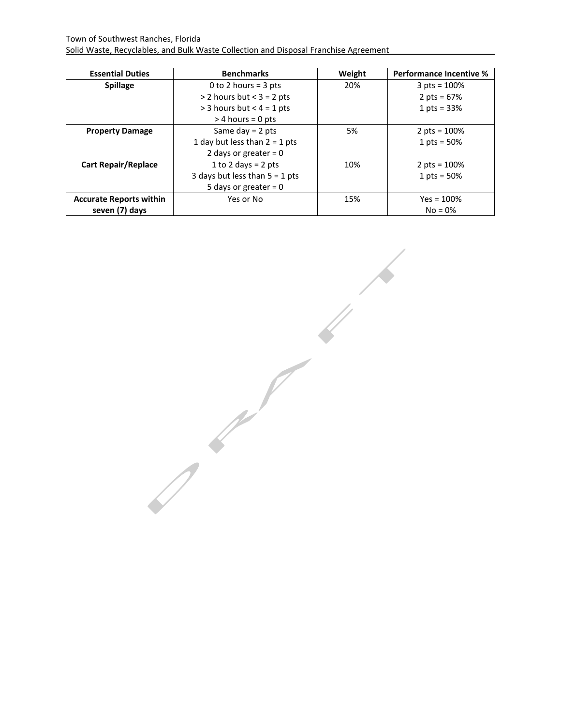| <b>Essential Duties</b>        | <b>Benchmarks</b>                | Weight | <b>Performance Incentive %</b> |
|--------------------------------|----------------------------------|--------|--------------------------------|
| <b>Spillage</b>                | 0 to 2 hours = $3$ pts           | 20%    | 3 pts = $100%$                 |
|                                | $> 2$ hours but < $3 = 2$ pts    |        | 2 pts = $67%$                  |
|                                | $>$ 3 hours but < 4 = 1 pts      |        | 1 pts = $33%$                  |
|                                | $>$ 4 hours = 0 pts              |        |                                |
| <b>Property Damage</b>         | Same day $= 2$ pts               | 5%     | 2 pts = $100%$                 |
|                                | 1 day but less than $2 = 1$ pts  |        | 1 pts = $50%$                  |
|                                | 2 days or greater = $0$          |        |                                |
| <b>Cart Repair/Replace</b>     | 1 to 2 days = $2$ pts            | 10%    | 2 pts = $100%$                 |
|                                | 3 days but less than $5 = 1$ pts |        | 1 pts = $50%$                  |
|                                | 5 days or greater = $0$          |        |                                |
| <b>Accurate Reports within</b> | Yes or No                        | 15%    | $Yes = 100%$                   |
| seven (7) days                 |                                  |        | $No = 0\%$                     |

 $\frac{1}{2}$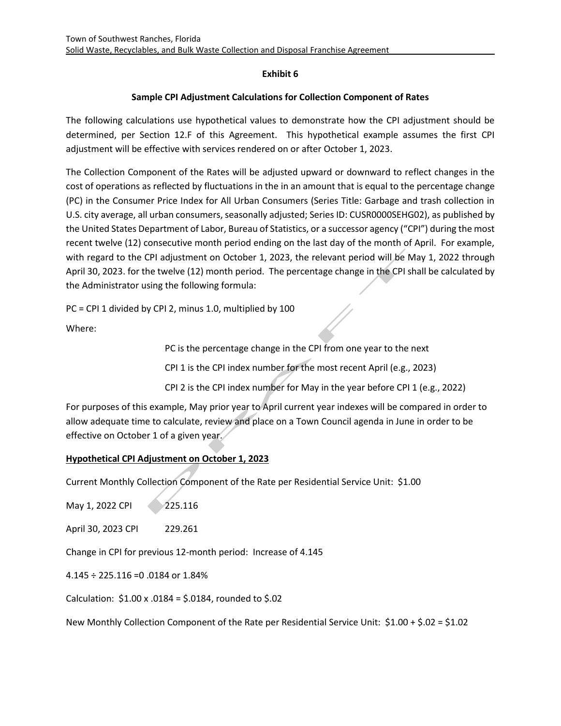# **Exhibit 6**

# **Sample CPI Adjustment Calculations for Collection Component of Rates**

The following calculations use hypothetical values to demonstrate how the CPI adjustment should be determined, per Section 12.F of this Agreement. This hypothetical example assumes the first CPI adjustment will be effective with services rendered on or after October 1, 2023.

The Collection Component of the Rates will be adjusted upward or downward to reflect changes in the cost of operations as reflected by fluctuations in the in an amount that is equal to the percentage change (PC) in the Consumer Price Index for All Urban Consumers (Series Title: Garbage and trash collection in U.S. city average, all urban consumers, seasonally adjusted; Series ID: CUSR0000SEHG02), as published by the United States Department of Labor, Bureau of Statistics, or a successor agency ("CPI") during the most recent twelve (12) consecutive month period ending on the last day of the month of April. For example, with regard to the CPI adjustment on October 1, 2023, the relevant period will be May 1, 2022 through April 30, 2023. for the twelve (12) month period. The percentage change in the CPI shall be calculated by the Administrator using the following formula:

PC = CPI 1 divided by CPI 2, minus 1.0, multiplied by 100

Where:

PC is the percentage change in the CPI from one year to the next CPI 1 is the CPI index number for the most recent April (e.g., 2023) CPI 2 is the CPI index number for May in the year before CPI 1 (e.g., 2022)

For purposes of this example, May prior year to April current year indexes will be compared in order to allow adequate time to calculate, review and place on a Town Council agenda in June in order to be effective on October 1 of a given year.

# **Hypothetical CPI Adjustment on October 1, 2023**

Current Monthly Collection Component of the Rate per Residential Service Unit: \$1.00

May 1, 2022 CPI 225.116

April 30, 2023 CPI 229.261

Change in CPI for previous 12-month period: Increase of 4.145

4.145 ÷ 225.116 =0 .0184 or 1.84%

Calculation: \$1.00 x .0184 = \$.0184, rounded to \$.02

New Monthly Collection Component of the Rate per Residential Service Unit: \$1.00 + \$.02 = \$1.02